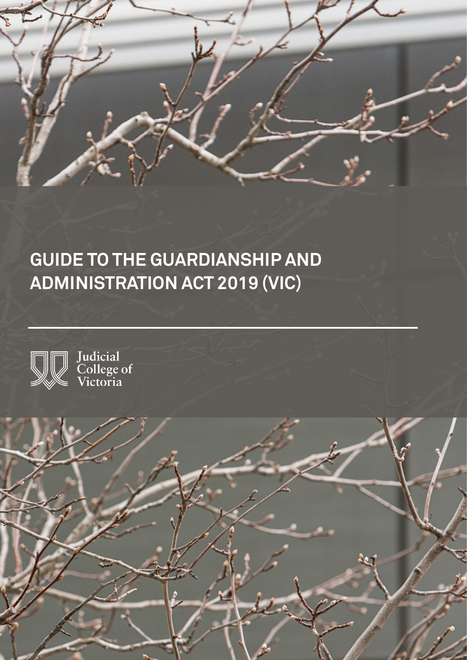

# **GUIDE TO THE GUARDIANSHIP AND ADMINISTRATION ACT 2019 (VIC)**



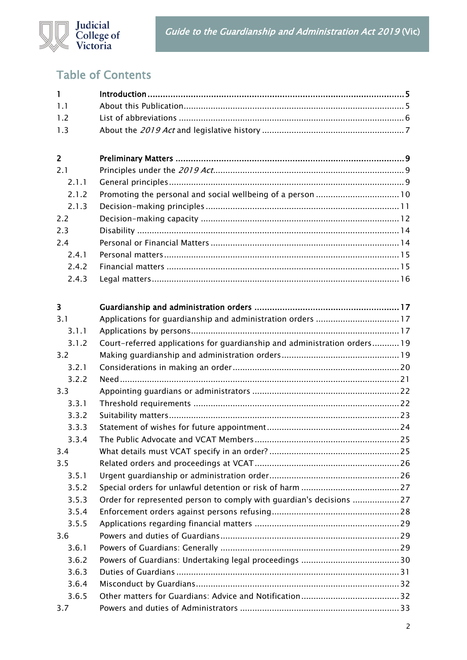

# Table of Contents

| $\mathbf{1}$   |                                                                           |  |
|----------------|---------------------------------------------------------------------------|--|
| 1.1            |                                                                           |  |
| 1.2            |                                                                           |  |
| 1.3            |                                                                           |  |
|                |                                                                           |  |
| $\overline{2}$ |                                                                           |  |
| 2.1            |                                                                           |  |
| 2.1.1          |                                                                           |  |
| 2.1.2          |                                                                           |  |
| 2.1.3          |                                                                           |  |
| 2.2            |                                                                           |  |
| 2.3            |                                                                           |  |
| 2.4            |                                                                           |  |
| 2.4.1          |                                                                           |  |
| 2.4.2          |                                                                           |  |
| 2.4.3          |                                                                           |  |
|                |                                                                           |  |
| 3              |                                                                           |  |
| 3.1            |                                                                           |  |
| 3.1.1          |                                                                           |  |
| 3.1.2          | Court-referred applications for guardianship and administration orders 19 |  |
| 3.2            |                                                                           |  |
| 3.2.1          |                                                                           |  |
| 3.2.2          |                                                                           |  |
| 3.3            |                                                                           |  |
| 3.3.1          |                                                                           |  |
| 3.3.2          |                                                                           |  |
| 3.3.3          |                                                                           |  |
| 3.3.4          |                                                                           |  |
| 3.4            |                                                                           |  |
| 3.5            |                                                                           |  |
| 3.5.1          |                                                                           |  |
| 3.5.2          |                                                                           |  |
| 3.5.3          | Order for represented person to comply with guardian's decisions 27       |  |
| 3.5.4          |                                                                           |  |
| 3.5.5          |                                                                           |  |
| 3.6            |                                                                           |  |
| 3.6.1          |                                                                           |  |
| 3.6.2          |                                                                           |  |
| 3.6.3          |                                                                           |  |
| 3.6.4          |                                                                           |  |
| 3.6.5          |                                                                           |  |
| 3.7            |                                                                           |  |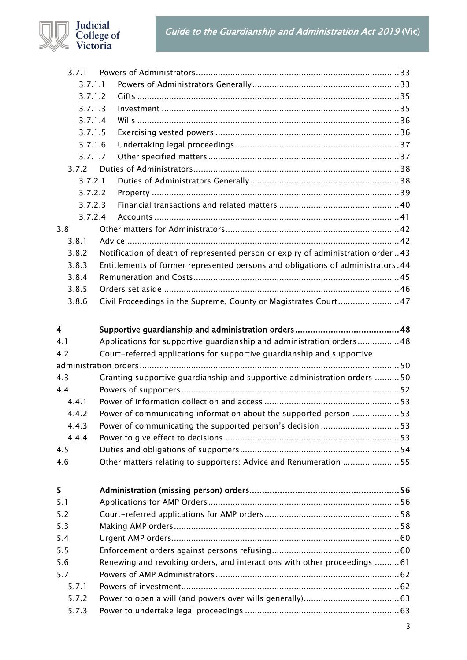Guide to the Guardianship and Administration Act 2019 (Vic)



| 3.7.1           |                                                                                                                                                 |  |
|-----------------|-------------------------------------------------------------------------------------------------------------------------------------------------|--|
| 3.7.1.1         |                                                                                                                                                 |  |
| 3.7.1.2         |                                                                                                                                                 |  |
| 3.7.1.3         |                                                                                                                                                 |  |
| 3.7.1.4         |                                                                                                                                                 |  |
| 3.7.1.5         |                                                                                                                                                 |  |
| 3.7.1.6         |                                                                                                                                                 |  |
| 3.7.1.7         |                                                                                                                                                 |  |
| 3.7.2           |                                                                                                                                                 |  |
| 3.7.2.1         |                                                                                                                                                 |  |
| 3.7.2.2         |                                                                                                                                                 |  |
| 3.7.2.3         |                                                                                                                                                 |  |
| 3.7.2.4         |                                                                                                                                                 |  |
| 3.8             |                                                                                                                                                 |  |
| 3.8.1           |                                                                                                                                                 |  |
| 3.8.2           | Notification of death of represented person or expiry of administration order 43                                                                |  |
| 3.8.3           | Entitlements of former represented persons and obligations of administrators. 44                                                                |  |
| 3.8.4           |                                                                                                                                                 |  |
| 3.8.5           |                                                                                                                                                 |  |
| 3.8.6           | Civil Proceedings in the Supreme, County or Magistrates Court 47                                                                                |  |
| 4<br>4.1<br>4.2 | Applications for supportive guardianship and administration orders 48<br>Court-referred applications for supportive guardianship and supportive |  |
|                 |                                                                                                                                                 |  |
| 4.3             | Granting supportive guardianship and supportive administration orders 50                                                                        |  |
| 4.4             |                                                                                                                                                 |  |
| 4.4.1           |                                                                                                                                                 |  |
| 442             | Power of communicating information about the supported person  53                                                                               |  |
| 4.4.3           |                                                                                                                                                 |  |
| 4.4.4           |                                                                                                                                                 |  |
| 4.5             |                                                                                                                                                 |  |
| 4.6             | Other matters relating to supporters: Advice and Renumeration 55                                                                                |  |
| 5               |                                                                                                                                                 |  |
| 5.1             |                                                                                                                                                 |  |
| 5.2             |                                                                                                                                                 |  |
| 5.3             |                                                                                                                                                 |  |
| 5.4             |                                                                                                                                                 |  |
| 5.5             |                                                                                                                                                 |  |
| 5.6             |                                                                                                                                                 |  |
| 5.7             | Renewing and revoking orders, and interactions with other proceedings  61                                                                       |  |
|                 |                                                                                                                                                 |  |
| 5.7.1           |                                                                                                                                                 |  |
| 5.7.2           |                                                                                                                                                 |  |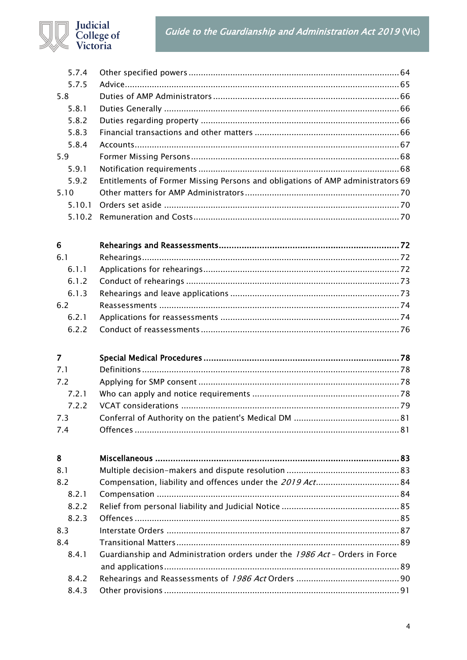# Guide to the Guardianship and Administration Act 2019 (Vic)



| 5.7.4          |                                                                                 |  |
|----------------|---------------------------------------------------------------------------------|--|
| 5.7.5          |                                                                                 |  |
| 5.8            |                                                                                 |  |
| 5.8.1          |                                                                                 |  |
| 5.8.2          |                                                                                 |  |
| 5.8.3          |                                                                                 |  |
| 5.8.4          |                                                                                 |  |
| 5.9            |                                                                                 |  |
| 5.9.1          |                                                                                 |  |
| 5.9.2          | Entitlements of Former Missing Persons and obligations of AMP administrators 69 |  |
| 5.10           |                                                                                 |  |
| 5.10.1         |                                                                                 |  |
| 5.10.2         |                                                                                 |  |
| 6              |                                                                                 |  |
| 6.1            |                                                                                 |  |
| 6.1.1          |                                                                                 |  |
| 6.1.2          |                                                                                 |  |
| 6.1.3          |                                                                                 |  |
| 6.2            |                                                                                 |  |
| 6.2.1          |                                                                                 |  |
| 6.2.2          |                                                                                 |  |
|                |                                                                                 |  |
| $\overline{7}$ |                                                                                 |  |
| 7.1            |                                                                                 |  |
| 7.2            |                                                                                 |  |
| 7.2.1          |                                                                                 |  |
| 7.2.2          |                                                                                 |  |
| 7.3            |                                                                                 |  |
| 7.4            |                                                                                 |  |
| 8              |                                                                                 |  |
| 8.1            |                                                                                 |  |
| 8.2            |                                                                                 |  |
| 8.2.1          |                                                                                 |  |
| 8.2.2          |                                                                                 |  |
| 8.2.3          |                                                                                 |  |
|                |                                                                                 |  |

| 8.3   |                                                                             |  |
|-------|-----------------------------------------------------------------------------|--|
| 8.4   |                                                                             |  |
| 8.4.1 | Guardianship and Administration orders under the 1986 Act - Orders in Force |  |
|       |                                                                             |  |
|       |                                                                             |  |
|       |                                                                             |  |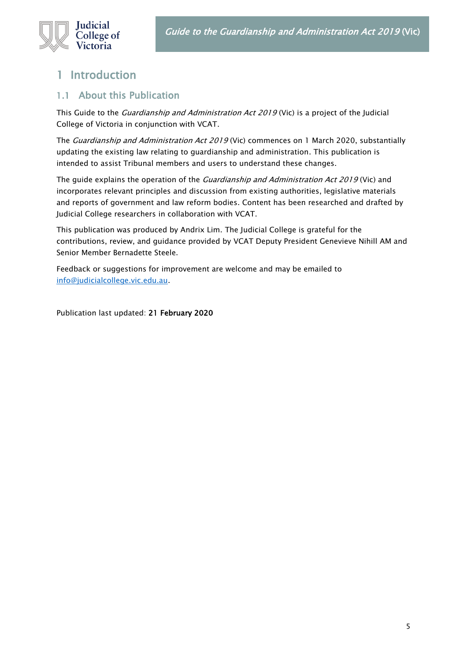

# <span id="page-4-0"></span>1 Introduction

# <span id="page-4-1"></span>1.1 About this Publication

This Guide to the *Guardianship and Administration Act 2019* (Vic) is a project of the Judicial College of Victoria in conjunction with VCAT.

The Guardianship and Administration Act 2019 (Vic) commences on 1 March 2020, substantially updating the existing law relating to guardianship and administration. This publication is intended to assist Tribunal members and users to understand these changes.

The guide explains the operation of the *Guardianship and Administration Act 2019* (Vic) and incorporates relevant principles and discussion from existing authorities, legislative materials and reports of government and law reform bodies. Content has been researched and drafted by Judicial College researchers in collaboration with VCAT.

This publication was produced by Andrix Lim. The Judicial College is grateful for the contributions, review, and guidance provided by VCAT Deputy President Genevieve Nihill AM and Senior Member Bernadette Steele.

Feedback or suggestions for improvement are welcome and may be emailed to [info@judicialcollege.vic.edu.au.](mailto:info@judicialcollege.vic.edu.au)

Publication last updated: 21 February 2020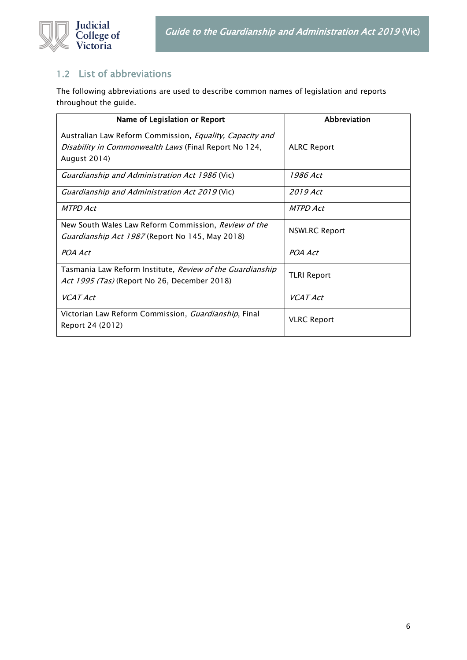

# <span id="page-5-0"></span>1.2 List of abbreviations

The following abbreviations are used to describe common names of legislation and reports throughout the guide.

| Name of Legislation or Report                                   | Abbreviation         |  |
|-----------------------------------------------------------------|----------------------|--|
| Australian Law Reform Commission, <i>Equality, Capacity and</i> |                      |  |
| <i>Disability in Commonwealth Laws</i> (Final Report No 124,    | <b>ALRC Report</b>   |  |
| August 2014)                                                    |                      |  |
| <i>Guardianship and Administration Act 1986</i> (Vic)           | 1986 Act             |  |
| <i>Guardianship and Administration Act 2019</i> (Vic)           | 2019 Act             |  |
| MTPD Act                                                        | MTPD Act             |  |
| New South Wales Law Reform Commission, Review of the            | <b>NSWLRC Report</b> |  |
| <i>Guardianship Act 1987</i> (Report No 145, May 2018)          |                      |  |
| POA Act                                                         | POA Act              |  |
| Tasmania Law Reform Institute, Review of the Guardianship       | <b>TLRI Report</b>   |  |
| Act 1995 (Tas) (Report No 26, December 2018)                    |                      |  |
| <b>VCAT Act</b>                                                 | <b>VCAT Act</b>      |  |
| Victorian Law Reform Commission, Guardianship, Final            | <b>VLRC Report</b>   |  |
| Report 24 (2012)                                                |                      |  |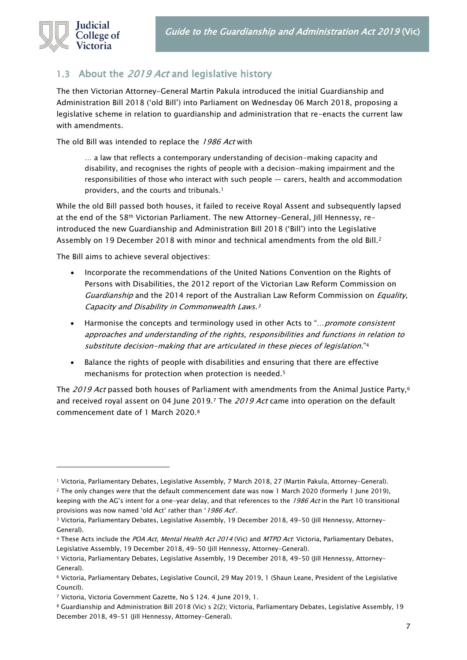

# <span id="page-6-0"></span>1.3 About the 2019 Act and legislative history

The then Victorian Attorney-General Martin Pakula introduced the initial Guardianship and Administration Bill 2018 ('old Bill') into Parliament on Wednesday 06 March 2018, proposing a legislative scheme in relation to guardianship and administration that re-enacts the current law with amendments.

The old Bill was intended to replace the 1986 Act with

… a law that reflects a contemporary understanding of decision-making capacity and disability, and recognises the rights of people with a decision-making impairment and the responsibilities of those who interact with such people — carers, health and accommodation providers, and the courts and tribunals.<sup>1</sup>

While the old Bill passed both houses, it failed to receive Royal Assent and subsequently lapsed at the end of the 58th Victorian Parliament. The new Attorney-General, Jill Hennessy, reintroduced the new Guardianship and Administration Bill 2018 ('Bill') into the Legislative Assembly on 19 December 2018 with minor and technical amendments from the old Bill.<sup>2</sup>

The Bill aims to achieve several objectives:

- Incorporate the recommendations of the United Nations Convention on the Rights of Persons with Disabilities, the 2012 report of the Victorian Law Reform Commission on Guardianship and the 2014 report of the Australian Law Reform Commission on Equality, Capacity and Disability in Commonwealth Laws. 3
- Harmonise the concepts and terminology used in other Acts to "... promote consistent approaches and understanding of the rights, responsibilities and functions in relation to substitute decision-making that are articulated in these pieces of legislation."<sup>4</sup>
- Balance the rights of people with disabilities and ensuring that there are effective mechanisms for protection when protection is needed.<sup>5</sup>

The 2019 Act passed both houses of Parliament with amendments from the Animal Justice Party,<sup>6</sup> and received royal assent on 04 June 2019.7 The 2019 Act came into operation on the default commencement date of 1 March 2020. 8

<sup>1</sup> Victoria, Parliamentary Debates, Legislative Assembly, 7 March 2018, 27 (Martin Pakula, Attorney-General).

<sup>2</sup> The only changes were that the default commencement date was now 1 March 2020 (formerly 1 June 2019), keeping with the AG's intent for a one-year delay, and that references to the 1986 Act in the Part 10 transitional provisions was now named 'old Act' rather than '1986 Act'.

<sup>3</sup> Victoria, Parliamentary Debates, Legislative Assembly, 19 December 2018, 49-50 (Jill Hennessy, Attorney-General).

<sup>4</sup> These Acts include the POA Act, Mental Health Act 2014 (Vic) and MTPD Act: Victoria, Parliamentary Debates, Legislative Assembly, 19 December 2018, 49-50 (Jill Hennessy, Attorney-General).

<sup>5</sup> Victoria, Parliamentary Debates, Legislative Assembly, 19 December 2018, 49-50 (Jill Hennessy, Attorney-General).

<sup>6</sup> Victoria, Parliamentary Debates, Legislative Council, 29 May 2019, 1 (Shaun Leane, President of the Legislative Council).

<sup>7</sup> Victoria, Victoria Government Gazette, No S 124. 4 June 2019, 1.

<sup>8</sup> Guardianship and Administration Bill 2018 (Vic) s 2(2); Victoria, Parliamentary Debates, Legislative Assembly, 19 December 2018, 49-51 (Jill Hennessy, Attorney-General).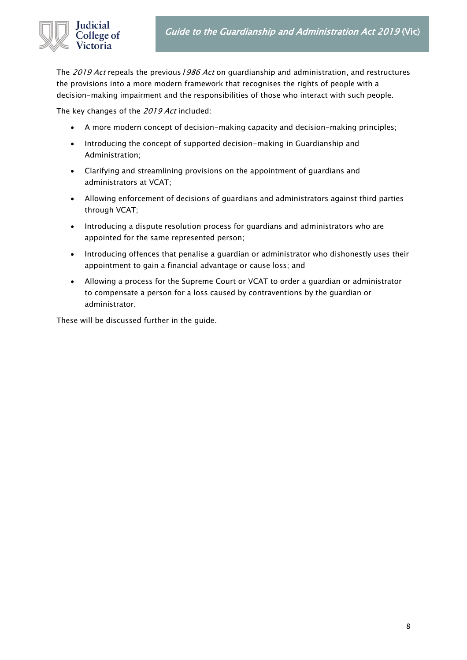The 2019 Act repeals the previous 1986 Act on guardianship and administration, and restructures the provisions into a more modern framework that recognises the rights of people with a decision-making impairment and the responsibilities of those who interact with such people.

The key changes of the 2019 Act included:

- A more modern concept of decision-making capacity and decision-making principles;
- Introducing the concept of supported decision-making in Guardianship and Administration;
- Clarifying and streamlining provisions on the appointment of guardians and administrators at VCAT;
- Allowing enforcement of decisions of guardians and administrators against third parties through VCAT;
- Introducing a dispute resolution process for guardians and administrators who are appointed for the same represented person;
- Introducing offences that penalise a guardian or administrator who dishonestly uses their appointment to gain a financial advantage or cause loss; and
- Allowing a process for the Supreme Court or VCAT to order a guardian or administrator to compensate a person for a loss caused by contraventions by the guardian or administrator.

These will be discussed further in the guide.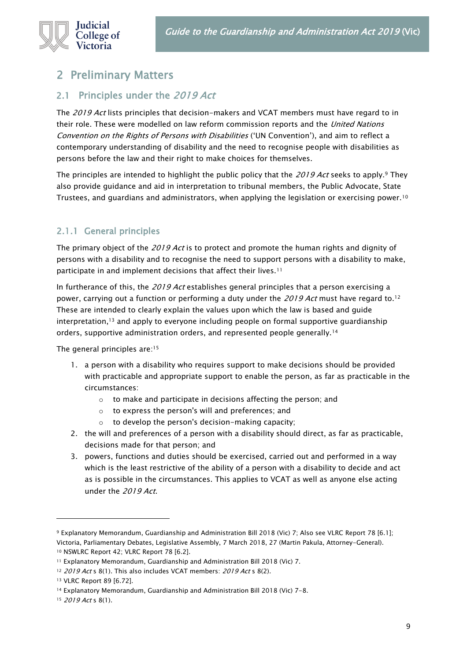

# <span id="page-8-0"></span>2 Preliminary Matters

# <span id="page-8-1"></span>2.1 Principles under the 2019 Act

The 2019 Act lists principles that decision-makers and VCAT members must have regard to in their role. These were modelled on law reform commission reports and the United Nations Convention on the Rights of Persons with Disabilities ('UN Convention'), and aim to reflect a contemporary understanding of disability and the need to recognise people with disabilities as persons before the law and their right to make choices for themselves.

The principles are intended to highlight the public policy that the 2019 Act seeks to apply.<sup>9</sup> They also provide guidance and aid in interpretation to tribunal members, the Public Advocate, State Trustees, and guardians and administrators, when applying the legislation or exercising power.<sup>10</sup>

# <span id="page-8-2"></span>2.1.1 General principles

The primary object of the 2019 Act is to protect and promote the human rights and dignity of persons with a disability and to recognise the need to support persons with a disability to make, participate in and implement decisions that affect their lives.<sup>11</sup>

In furtherance of this, the 2019 Act establishes general principles that a person exercising a power, carrying out a function or performing a duty under the 2019 Act must have regard to.<sup>12</sup> These are intended to clearly explain the values upon which the law is based and guide interpretation,<sup>13</sup> and apply to everyone including people on formal supportive guardianship orders, supportive administration orders, and represented people generally.<sup>14</sup>

The general principles are:<sup>15</sup>

- 1. a person with a disability who requires support to make decisions should be provided with practicable and appropriate support to enable the person, as far as practicable in the circumstances:
	- o to make and participate in decisions affecting the person; and
	- o to express the person's will and preferences; and
	- o to develop the person's decision-making capacity;
- 2. the will and preferences of a person with a disability should direct, as far as practicable, decisions made for that person; and
- 3. powers, functions and duties should be exercised, carried out and performed in a way which is the least restrictive of the ability of a person with a disability to decide and act as is possible in the circumstances. This applies to VCAT as well as anyone else acting under the 2019 Act.

<sup>9</sup> Explanatory Memorandum, Guardianship and Administration Bill 2018 (Vic) 7; Also see VLRC Report 78 [6.1]; Victoria, Parliamentary Debates, Legislative Assembly, 7 March 2018, 27 (Martin Pakula, Attorney-General). 10 NSWLRC Report 42; VLRC Report 78 [6.2].

<sup>11</sup> Explanatory Memorandum, Guardianship and Administration Bill 2018 (Vic) 7.

<sup>12 2019</sup> Act s 8(1). This also includes VCAT members: 2019 Act s 8(2).

<sup>13</sup> VLRC Report 89 [6.72].

<sup>14</sup> Explanatory Memorandum, Guardianship and Administration Bill 2018 (Vic) 7-8.

<sup>15 2019</sup> Act s 8(1).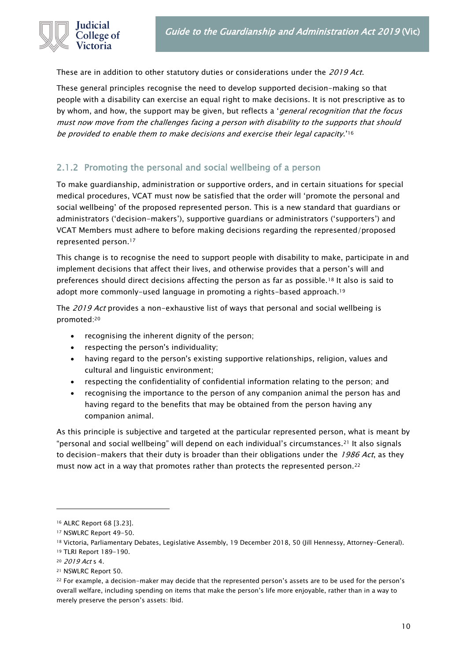

These are in addition to other statutory duties or considerations under the 2019 Act.

These general principles recognise the need to develop supported decision-making so that people with a disability can exercise an equal right to make decisions. It is not prescriptive as to by whom, and how, the support may be given, but reflects a 'general recognition that the focus must now move from the challenges facing a person with disability to the supports that should be provided to enable them to make decisions and exercise their legal capacity.'<sup>16</sup>

# <span id="page-9-0"></span>2.1.2 Promoting the personal and social wellbeing of a person

To make guardianship, administration or supportive orders, and in certain situations for special medical procedures, VCAT must now be satisfied that the order will 'promote the personal and social wellbeing' of the proposed represented person. This is a new standard that guardians or administrators ('decision-makers'), supportive guardians or administrators ('supporters') and VCAT Members must adhere to before making decisions regarding the represented/proposed represented person.<sup>17</sup>

This change is to recognise the need to support people with disability to make, participate in and implement decisions that affect their lives, and otherwise provides that a person's will and preferences should direct decisions affecting the person as far as possible.<sup>18</sup> It also is said to adopt more commonly-used language in promoting a rights-based approach.<sup>19</sup>

The 2019 Act provides a non-exhaustive list of ways that personal and social wellbeing is promoted:<sup>20</sup>

- recognising the inherent dignity of the person;
- respecting the person's individuality;
- having regard to the person's existing supportive relationships, religion, values and cultural and linguistic environment;
- respecting the confidentiality of confidential information relating to the person; and
- recognising the importance to the person of any companion animal the person has and having regard to the benefits that may be obtained from the person having any companion animal.

As this principle is subjective and targeted at the particular represented person, what is meant by "personal and social wellbeing" will depend on each individual's circumstances.<sup>21</sup> It also signals to decision-makers that their duty is broader than their obligations under the  $1986$  Act, as they must now act in a way that promotes rather than protects the represented person.<sup>22</sup>

<sup>16</sup> ALRC Report 68 [3.23].

<sup>17</sup> NSWLRC Report 49-50.

<sup>&</sup>lt;sup>18</sup> Victoria, Parliamentary Debates, Legislative Assembly, 19 December 2018, 50 (Jill Hennessy, Attorney-General). <sup>19</sup> TLRI Report 189-190.

<sup>20</sup> 2019 Act s 4.

<sup>21</sup> NSWLRC Report 50.

<sup>&</sup>lt;sup>22</sup> For example, a decision-maker may decide that the represented person's assets are to be used for the person's overall welfare, including spending on items that make the person's life more enjoyable, rather than in a way to merely preserve the person's assets: Ibid.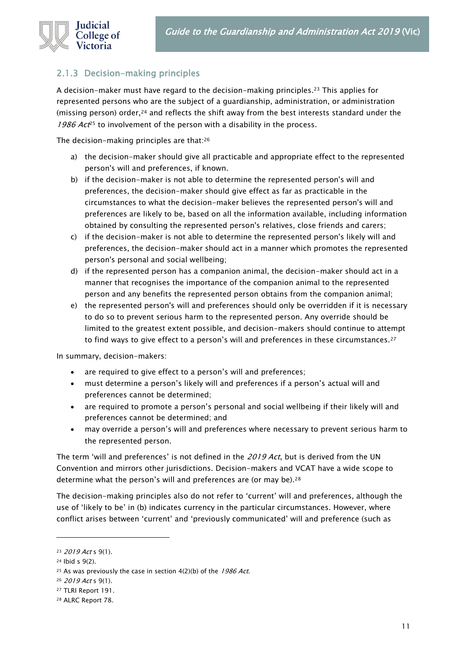

# <span id="page-10-0"></span>2.1.3 Decision-making principles

A decision-maker must have regard to the decision-making principles.<sup>23</sup> This applies for represented persons who are the subject of a guardianship, administration, or administration (missing person) order, $24$  and reflects the shift away from the best interests standard under the 1986  $Act^{25}$  to involvement of the person with a disability in the process.

The decision-making principles are that:<sup>26</sup>

- a) the decision-maker should give all practicable and appropriate effect to the represented person's will and preferences, if known.
- b) if the decision-maker is not able to determine the represented person's will and preferences, the decision-maker should give effect as far as practicable in the circumstances to what the decision-maker believes the represented person's will and preferences are likely to be, based on all the information available, including information obtained by consulting the represented person's relatives, close friends and carers;
- c) if the decision-maker is not able to determine the represented person's likely will and preferences, the decision-maker should act in a manner which promotes the represented person's personal and social wellbeing;
- d) if the represented person has a companion animal, the decision-maker should act in a manner that recognises the importance of the companion animal to the represented person and any benefits the represented person obtains from the companion animal;
- e) the represented person's will and preferences should only be overridden if it is necessary to do so to prevent serious harm to the represented person. Any override should be limited to the greatest extent possible, and decision-makers should continue to attempt to find ways to give effect to a person's will and preferences in these circumstances.<sup>27</sup>

In summary, decision-makers:

- are required to give effect to a person's will and preferences;
- must determine a person's likely will and preferences if a person's actual will and preferences cannot be determined;
- are required to promote a person's personal and social wellbeing if their likely will and preferences cannot be determined; and
- may override a person's will and preferences where necessary to prevent serious harm to the represented person.

The term 'will and preferences' is not defined in the  $2019$  Act, but is derived from the UN Convention and mirrors other jurisdictions. Decision-makers and VCAT have a wide scope to determine what the person's will and preferences are (or may be).<sup>28</sup>

The decision-making principles also do not refer to 'current' will and preferences, although the use of 'likely to be' in (b) indicates currency in the particular circumstances. However, where conflict arises between 'current' and 'previously communicated' will and preference (such as

<sup>23</sup> 2019 Act s 9(1).

<sup>24</sup> Ibid s 9(2).

<sup>&</sup>lt;sup>25</sup> As was previously the case in section  $4(2)(b)$  of the 1986 Act.

<sup>26</sup> 2019 Act s 9(1).

<sup>27</sup> TLRI Report 191.

<sup>28</sup> ALRC Report 78.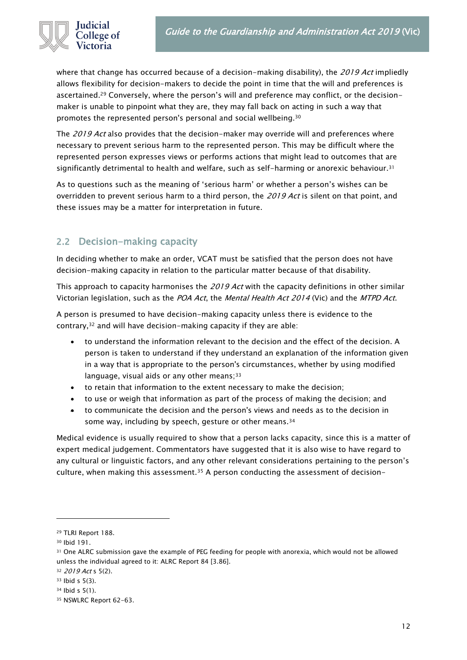

where that change has occurred because of a decision-making disability), the 2019 Act impliedly allows flexibility for decision-makers to decide the point in time that the will and preferences is ascertained.<sup>29</sup> Conversely, where the person's will and preference may conflict, or the decisionmaker is unable to pinpoint what they are, they may fall back on acting in such a way that promotes the represented person's personal and social wellbeing.<sup>30</sup>

The 2019 Act also provides that the decision-maker may override will and preferences where necessary to prevent serious harm to the represented person. This may be difficult where the represented person expresses views or performs actions that might lead to outcomes that are significantly detrimental to health and welfare, such as self-harming or anorexic behaviour.<sup>31</sup>

As to questions such as the meaning of 'serious harm' or whether a person's wishes can be overridden to prevent serious harm to a third person, the 2019 Act is silent on that point, and these issues may be a matter for interpretation in future.

# <span id="page-11-0"></span>2.2 Decision-making capacity

In deciding whether to make an order, VCAT must be satisfied that the person does not have decision-making capacity in relation to the particular matter because of that disability.

This approach to capacity harmonises the 2019 Act with the capacity definitions in other similar Victorian legislation, such as the POA Act, the Mental Health Act 2014 (Vic) and the MTPD Act.

A person is presumed to have decision-making capacity unless there is evidence to the contrary,<sup>32</sup> and will have decision-making capacity if they are able:

- to understand the information relevant to the decision and the effect of the decision. A person is taken to understand if they understand an explanation of the information given in a way that is appropriate to the person's circumstances, whether by using modified language, visual aids or any other means;  $33$
- to retain that information to the extent necessary to make the decision;
- to use or weigh that information as part of the process of making the decision; and
- to communicate the decision and the person's views and needs as to the decision in some way, including by speech, gesture or other means.<sup>34</sup>

Medical evidence is usually required to show that a person lacks capacity, since this is a matter of expert medical judgement. Commentators have suggested that it is also wise to have regard to any cultural or linguistic factors, and any other relevant considerations pertaining to the person's culture, when making this assessment.<sup>35</sup> A person conducting the assessment of decision-

<sup>29</sup> TLRI Report 188.

<sup>30</sup> Ibid 191.

<sup>31</sup> One ALRC submission gave the example of PEG feeding for people with anorexia, which would not be allowed unless the individual agreed to it: ALRC Report 84 [3.86].

<sup>32 2019</sup> Act s 5(2).

<sup>33</sup> Ibid s 5(3).

<sup>34</sup> Ibid s 5(1).

<sup>35</sup> NSWLRC Report 62-63.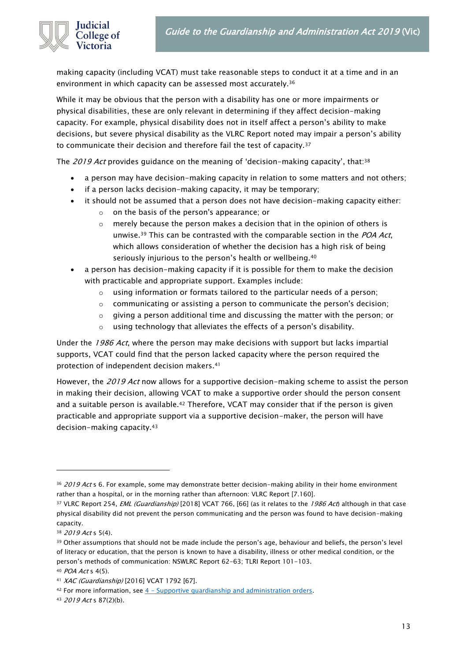

making capacity (including VCAT) must take reasonable steps to conduct it at a time and in an environment in which capacity can be assessed most accurately.<sup>36</sup>

While it may be obvious that the person with a disability has one or more impairments or physical disabilities, these are only relevant in determining if they affect decision-making capacity. For example, physical disability does not in itself affect a person's ability to make decisions, but severe physical disability as the VLRC Report noted may impair a person's ability to communicate their decision and therefore fail the test of capacity.<sup>37</sup>

The *2019 Act* provides guidance on the meaning of 'decision-making capacity', that:<sup>38</sup>

- a person may have decision-making capacity in relation to some matters and not others;
- if a person lacks decision-making capacity, it may be temporary;
- it should not be assumed that a person does not have decision-making capacity either:
	- o on the basis of the person's appearance; or
	- $\circ$  merely because the person makes a decision that in the opinion of others is unwise.<sup>39</sup> This can be contrasted with the comparable section in the  $POA$  Act, which allows consideration of whether the decision has a high risk of being seriously injurious to the person's health or wellbeing.<sup>40</sup>
- a person has decision-making capacity if it is possible for them to make the decision with practicable and appropriate support. Examples include:
	- $\circ$  using information or formats tailored to the particular needs of a person;
	- o communicating or assisting a person to communicate the person's decision;
	- $\circ$  giving a person additional time and discussing the matter with the person; or
	- o using technology that alleviates the effects of a person's disability.

Under the 1986 Act, where the person may make decisions with support but lacks impartial supports, VCAT could find that the person lacked capacity where the person required the protection of independent decision makers.<sup>41</sup>

However, the 2019 Act now allows for a supportive decision-making scheme to assist the person in making their decision, allowing VCAT to make a supportive order should the person consent and a suitable person is available.<sup>42</sup> Therefore, VCAT may consider that if the person is given practicable and appropriate support via a supportive decision-maker, the person will have decision-making capacity.<sup>43</sup>

<sup>36 2019</sup> Act s 6. For example, some may demonstrate better decision-making ability in their home environment rather than a hospital, or in the morning rather than afternoon: VLRC Report [7.160].

<sup>&</sup>lt;sup>37</sup> VLRC Report 254, *EML (Guardianship)* [2018] VCAT 766, [66] (as it relates to the 1986 Act) although in that case physical disability did not prevent the person communicating and the person was found to have decision-making capacity.

<sup>38 2019</sup> Act s 5(4).

<sup>&</sup>lt;sup>39</sup> Other assumptions that should not be made include the person's age, behaviour and beliefs, the person's level of literacy or education, that the person is known to have a disability, illness or other medical condition, or the person's methods of communication: NSWLRC Report 62-63; TLRI Report 101-103. <sup>40</sup> POA Act s 4(5).

<sup>41</sup> XAC (Guardianship) [2016] VCAT 1792 [67].

 $42$  For more information, see  $4$  – [Supportive guardianship and administration orders.](#page-47-0)

<sup>43</sup> 2019 Act s 87(2)(b).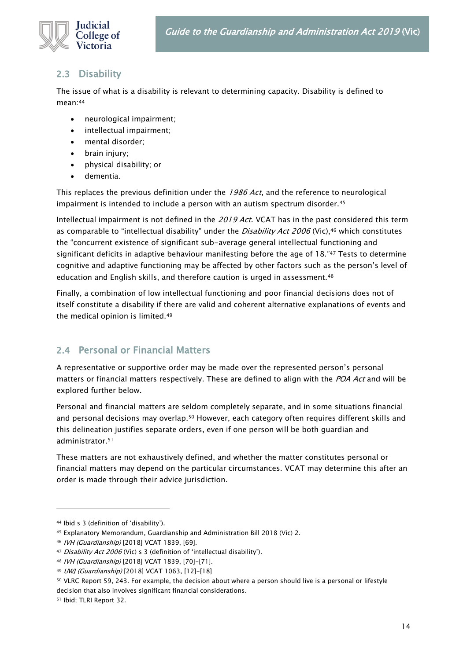

# <span id="page-13-0"></span>2.3 Disability

The issue of what is a disability is relevant to determining capacity. Disability is defined to mean:<sup>44</sup>

- neurological impairment;
- intellectual impairment;
- mental disorder;
- brain injury;
- physical disability; or
- dementia.

This replaces the previous definition under the 1986 Act, and the reference to neurological impairment is intended to include a person with an autism spectrum disorder.<sup>45</sup>

Intellectual impairment is not defined in the 2019 Act. VCAT has in the past considered this term as comparable to "intellectual disability" under the *Disability Act 2006* (Vic),<sup>46</sup> which constitutes the "concurrent existence of significant sub-average general intellectual functioning and significant deficits in adaptive behaviour manifesting before the age of 18." <sup>47</sup> Tests to determine cognitive and adaptive functioning may be affected by other factors such as the person's level of education and English skills, and therefore caution is urged in assessment.<sup>48</sup>

Finally, a combination of low intellectual functioning and poor financial decisions does not of itself constitute a disability if there are valid and coherent alternative explanations of events and the medical opinion is limited.<sup>49</sup>

# <span id="page-13-1"></span>2.4 Personal or Financial Matters

A representative or supportive order may be made over the represented person's personal matters or financial matters respectively. These are defined to align with the POA Act and will be explored further below.

Personal and financial matters are seldom completely separate, and in some situations financial and personal decisions may overlap.<sup>50</sup> However, each category often requires different skills and this delineation justifies separate orders, even if one person will be both guardian and administrator.<sup>51</sup>

These matters are not exhaustively defined, and whether the matter constitutes personal or financial matters may depend on the particular circumstances. VCAT may determine this after an order is made through their advice jurisdiction.

<sup>44</sup> Ibid s 3 (definition of 'disability').

<sup>45</sup> Explanatory Memorandum, Guardianship and Administration Bill 2018 (Vic) 2.

<sup>46</sup> IVH (Guardianship) [2018] VCAT 1839, [69].

<sup>47</sup> Disability Act 2006 (Vic) s 3 (definition of 'intellectual disability').

<sup>48</sup> IVH (Guardianship) [2018] VCAT 1839, [70]-[71].

<sup>49</sup> UWJ (Guardianship) [2018] VCAT 1063, [12]-[18]

<sup>50</sup> VLRC Report 59, 243. For example, the decision about where a person should live is a personal or lifestyle decision that also involves significant financial considerations.

<sup>51</sup> Ibid; TLRI Report 32.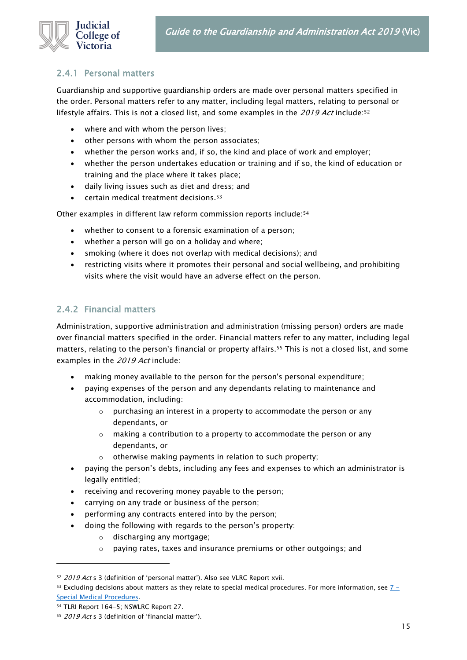

#### <span id="page-14-0"></span>2.4.1 Personal matters

Guardianship and supportive guardianship orders are made over personal matters specified in the order. Personal matters refer to any matter, including legal matters, relating to personal or lifestyle affairs. This is not a closed list, and some examples in the 2019 Act include:<sup>52</sup>

- where and with whom the person lives;
- other persons with whom the person associates;
- whether the person works and, if so, the kind and place of work and employer;
- whether the person undertakes education or training and if so, the kind of education or training and the place where it takes place;
- daily living issues such as diet and dress; and
- $\bullet$  certain medical treatment decisions.<sup>53</sup>

Other examples in different law reform commission reports include:<sup>54</sup>

- whether to consent to a forensic examination of a person;
- whether a person will go on a holiday and where;
- smoking (where it does not overlap with medical decisions); and
- restricting visits where it promotes their personal and social wellbeing, and prohibiting visits where the visit would have an adverse effect on the person.

#### <span id="page-14-1"></span>2.4.2 Financial matters

Administration, supportive administration and administration (missing person) orders are made over financial matters specified in the order. Financial matters refer to any matter, including legal matters, relating to the person's financial or property affairs.<sup>55</sup> This is not a closed list, and some examples in the 2019 Act include:

- making money available to the person for the person's personal expenditure;
- paying expenses of the person and any dependants relating to maintenance and accommodation, including:
	- $\circ$  purchasing an interest in a property to accommodate the person or any dependants, or
	- o making a contribution to a property to accommodate the person or any dependants, or
	- otherwise making payments in relation to such property;
- paying the person's debts, including any fees and expenses to which an administrator is legally entitled;
- receiving and recovering money payable to the person;
- carrying on any trade or business of the person;
- performing any contracts entered into by the person;
- doing the following with regards to the person's property:
	- o discharging any mortgage;
	- o paying rates, taxes and insurance premiums or other outgoings; and

<sup>52 2019</sup> Act s 3 (definition of 'personal matter'). Also see VLRC Report xvii.

<sup>53</sup> Excluding decisions about matters as they relate to special medical procedures. For more information, see  $7 -$ [Special Medical Procedures.](#page-77-0)

<sup>54</sup> TLRI Report 164-5; NSWLRC Report 27.

<sup>55 2019</sup> Act s 3 (definition of 'financial matter').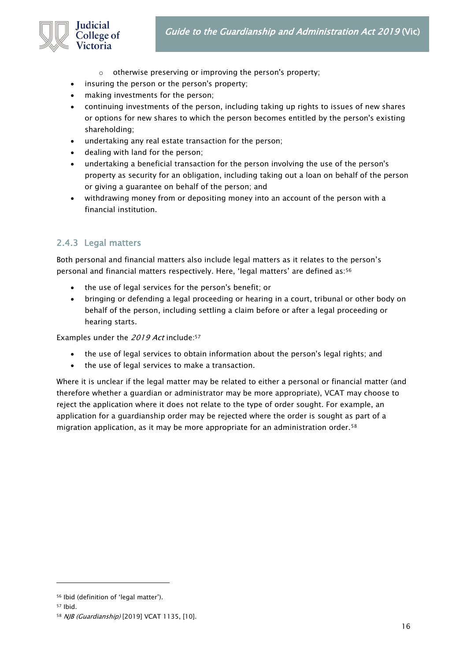

- o otherwise preserving or improving the person's property;
- insuring the person or the person's property;
- making investments for the person;
- continuing investments of the person, including taking up rights to issues of new shares or options for new shares to which the person becomes entitled by the person's existing shareholding;
- undertaking any real estate transaction for the person;
- dealing with land for the person;
- undertaking a beneficial transaction for the person involving the use of the person's property as security for an obligation, including taking out a loan on behalf of the person or giving a guarantee on behalf of the person; and
- withdrawing money from or depositing money into an account of the person with a financial institution.

# <span id="page-15-0"></span>2.4.3 Legal matters

Both personal and financial matters also include legal matters as it relates to the person's personal and financial matters respectively. Here, 'legal matters' are defined as:<sup>56</sup>

- the use of legal services for the person's benefit; or
- bringing or defending a legal proceeding or hearing in a court, tribunal or other body on behalf of the person, including settling a claim before or after a legal proceeding or hearing starts.

Examples under the 2019 Act include:<sup>57</sup>

- the use of legal services to obtain information about the person's legal rights; and
- the use of legal services to make a transaction.

Where it is unclear if the legal matter may be related to either a personal or financial matter (and therefore whether a guardian or administrator may be more appropriate), VCAT may choose to reject the application where it does not relate to the type of order sought. For example, an application for a guardianship order may be rejected where the order is sought as part of a migration application, as it may be more appropriate for an administration order.<sup>58</sup>

<sup>56</sup> Ibid (definition of 'legal matter').

<sup>57</sup> Ibid.

<sup>58</sup> NJB (Guardianship) [2019] VCAT 1135, [10].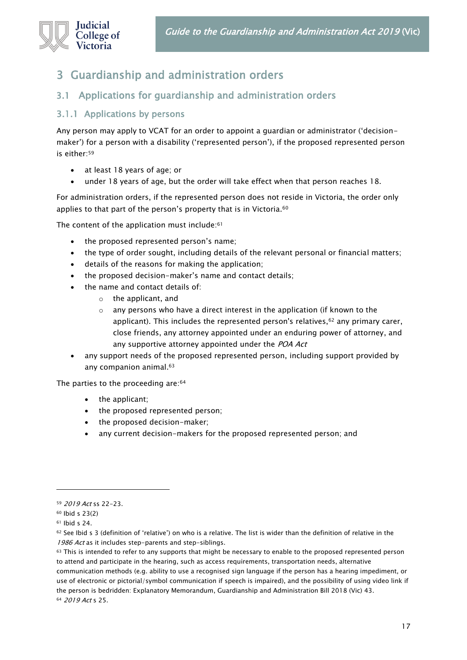

# <span id="page-16-0"></span>3 Guardianship and administration orders

# <span id="page-16-1"></span>3.1 Applications for guardianship and administration orders

#### <span id="page-16-2"></span>3.1.1 Applications by persons

Any person may apply to VCAT for an order to appoint a guardian or administrator ('decisionmaker') for a person with a disability ('represented person'), if the proposed represented person is either:<sup>59</sup>

- at least 18 years of age; or
- under 18 years of age, but the order will take effect when that person reaches 18.

For administration orders, if the represented person does not reside in Victoria, the order only applies to that part of the person's property that is in Victoria.<sup>60</sup>

The content of the application must include:<sup>61</sup>

- the proposed represented person's name;
- the type of order sought, including details of the relevant personal or financial matters;
- details of the reasons for making the application;
- the proposed decision-maker's name and contact details;
	- the name and contact details of:
		- o the applicant, and
		- $\circ$  any persons who have a direct interest in the application (if known to the applicant). This includes the represented person's relatives, 62 any primary carer, close friends, any attorney appointed under an enduring power of attorney, and any supportive attorney appointed under the POA Act
- any support needs of the proposed represented person, including support provided by any companion animal.<sup>63</sup>

The parties to the proceeding are: 64

- the applicant;
- the proposed represented person;
- the proposed decision-maker;
- any current decision-makers for the proposed represented person; and

communication methods (e.g. ability to use a recognised sign language if the person has a hearing impediment, or use of electronic or pictorial/symbol communication if speech is impaired), and the possibility of using video link if the person is bedridden: Explanatory Memorandum, Guardianship and Administration Bill 2018 (Vic) 43. <sup>64</sup> 2019 Act s 25.

<sup>59</sup> 2019 Act ss 22-23.

<sup>60</sup> Ibid s 23(2)

<sup>61</sup> Ibid s 24.

 $62$  See Ibid s 3 (definition of 'relative') on who is a relative. The list is wider than the definition of relative in the 1986 Act as it includes step-parents and step-siblings.

<sup>63</sup> This is intended to refer to any supports that might be necessary to enable to the proposed represented person to attend and participate in the hearing, such as access requirements, transportation needs, alternative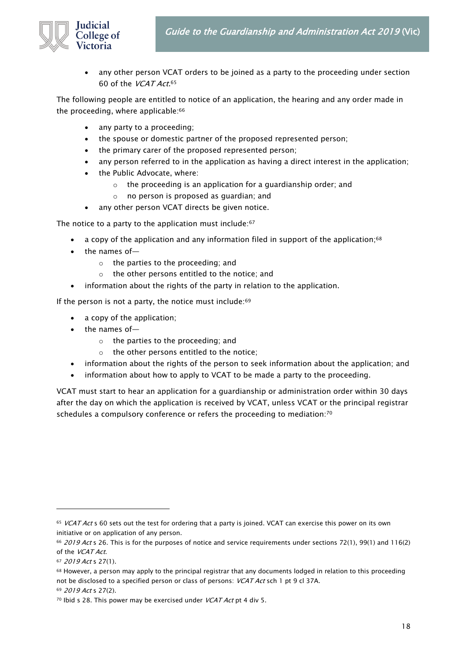

• any other person VCAT orders to be joined as a party to the proceeding under section 60 of the *VCAT Act*.<sup>65</sup>

The following people are entitled to notice of an application, the hearing and any order made in the proceeding, where applicable:<sup>66</sup>

- any party to a proceeding;
- the spouse or domestic partner of the proposed represented person;
- the primary carer of the proposed represented person;
- any person referred to in the application as having a direct interest in the application;
- the Public Advocate, where:
	- o the proceeding is an application for a guardianship order; and
	- o no person is proposed as guardian; and
- any other person VCAT directs be given notice.

The notice to a party to the application must include:<sup>67</sup>

- a copy of the application and any information filed in support of the application;<sup>68</sup>
- the names of
	- o the parties to the proceeding; and
	- o the other persons entitled to the notice; and
- information about the rights of the party in relation to the application.

If the person is not a party, the notice must include: $69$ 

- a copy of the application;
- the names of
	- o the parties to the proceeding; and
	- o the other persons entitled to the notice;
- information about the rights of the person to seek information about the application; and
- information about how to apply to VCAT to be made a party to the proceeding.

VCAT must start to hear an application for a guardianship or administration order within 30 days after the day on which the application is received by VCAT, unless VCAT or the principal registrar schedules a compulsory conference or refers the proceeding to mediation:<sup>70</sup>

<sup>65</sup> VCAT Act s 60 sets out the test for ordering that a party is joined. VCAT can exercise this power on its own initiative or on application of any person.

<sup>&</sup>lt;sup>66</sup> 2019 Act s 26. This is for the purposes of notice and service requirements under sections 72(1), 99(1) and 116(2) of the VCAT Act.

<sup>67</sup> 2019 Act s 27(1).

<sup>68</sup> However, a person may apply to the principal registrar that any documents lodged in relation to this proceeding not be disclosed to a specified person or class of persons: *VCAT Act* sch 1 pt 9 cl 37A.

<sup>69</sup> 2019 Act s 27(2).

 $70$  Ibid s 28. This power may be exercised under *VCAT Act* pt 4 div 5.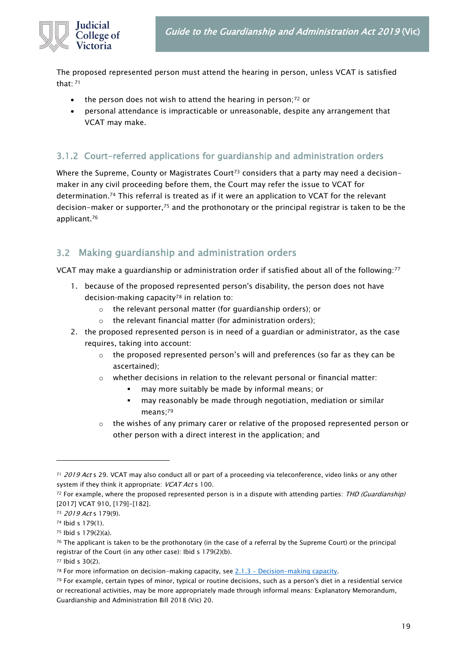

The proposed represented person must attend the hearing in person, unless VCAT is satisfied that: <sup>71</sup>

- the person does not wish to attend the hearing in person;<sup>72</sup> or
- personal attendance is impracticable or unreasonable, despite any arrangement that VCAT may make.

# <span id="page-18-0"></span>3.1.2 Court-referred applications for guardianship and administration orders

Where the Supreme, County or Magistrates Court<sup>73</sup> considers that a party may need a decisionmaker in any civil proceeding before them, the Court may refer the issue to VCAT for determination.<sup>74</sup> This referral is treated as if it were an application to VCAT for the relevant decision-maker or supporter,<sup>75</sup> and the prothonotary or the principal registrar is taken to be the applicant.<sup>76</sup>

# <span id="page-18-1"></span>3.2 Making guardianship and administration orders

VCAT may make a guardianship or administration order if satisfied about all of the following:<sup>77</sup>

- 1. because of the proposed represented person's disability, the person does not have decision-making capacity<sup>78</sup> in relation to:
	- o the relevant personal matter (for guardianship orders); or
	- o the relevant financial matter (for administration orders);
- 2. the proposed represented person is in need of a guardian or administrator, as the case requires, taking into account:
	- $\circ$  the proposed represented person's will and preferences (so far as they can be ascertained);
	- $\circ$  whether decisions in relation to the relevant personal or financial matter:
		- may more suitably be made by informal means; or
		- **·** may reasonably be made through negotiation, mediation or similar means;<sup>79</sup>
	- $\circ$  the wishes of any primary carer or relative of the proposed represented person or other person with a direct interest in the application; and

<sup>71 2019</sup> Act s 29. VCAT may also conduct all or part of a proceeding via teleconference, video links or any other system if they think it appropriate: *VCAT Act* s 100.

 $72$  For example, where the proposed represented person is in a dispute with attending parties: THD (Guardianship) [2017] VCAT 910, [179]-[182].

<sup>73</sup> 2019 Act s 179(9).

<sup>74</sup> Ibid s 179(1).

<sup>75</sup> Ibid s 179(2)(a).

<sup>&</sup>lt;sup>76</sup> The applicant is taken to be the prothonotary (in the case of a referral by the Supreme Court) or the principal registrar of the Court (in any other case): Ibid s 179(2)(b).

<sup>77</sup> Ibid s 30(2).

<sup>78</sup> For more information on decision-making capacity, see 2.1.3 – [Decision-making capacity.](#page-11-0)

 $79$  For example, certain types of minor, typical or routine decisions, such as a person's diet in a residential service or recreational activities, may be more appropriately made through informal means: Explanatory Memorandum, Guardianship and Administration Bill 2018 (Vic) 20.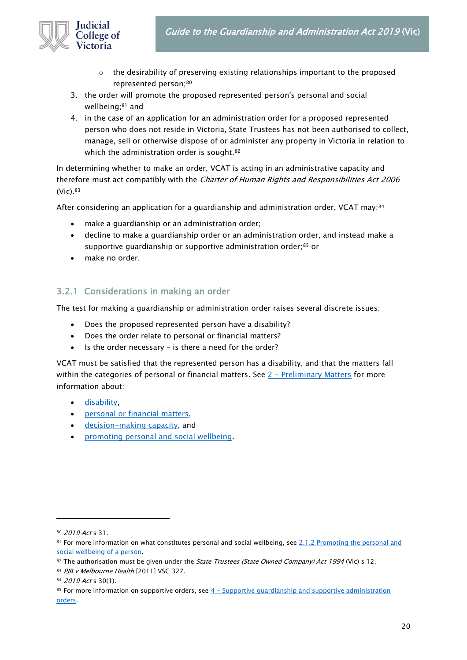

- $\circ$  the desirability of preserving existing relationships important to the proposed represented person;<sup>80</sup>
- 3. the order will promote the proposed represented person's personal and social wellbeing;<sup>81</sup> and
- 4. in the case of an application for an administration order for a proposed represented person who does not reside in Victoria, State Trustees has not been authorised to collect, manage, sell or otherwise dispose of or administer any property in Victoria in relation to which the administration order is sought.<sup>82</sup>

In determining whether to make an order, VCAT is acting in an administrative capacity and therefore must act compatibly with the *Charter of Human Rights and Responsibilities Act 2006* (Vic).<sup>83</sup>

After considering an application for a guardianship and administration order, VCAT may:<sup>84</sup>

- make a quardianship or an administration order;
- decline to make a guardianship order or an administration order, and instead make a supportive quardianship or supportive administration order;<sup>85</sup> or
- make no order.

#### <span id="page-19-0"></span>3.2.1 Considerations in making an order

The test for making a guardianship or administration order raises several discrete issues:

- Does the proposed represented person have a disability?
- Does the order relate to personal or financial matters?
- Is the order necessary is there a need for the order?

VCAT must be satisfied that the represented person has a disability, and that the matters fall within the categories of personal or financial matters. See  $2$  – [Preliminary Matters](#page-8-0) for more information about:

- [disability,](#page-13-0)
- [personal or financial matters,](#page-13-1)
- [decision-making capacity,](#page-11-0) and
- [promoting personal and social wellbeing.](#page-9-0)

<sup>80</sup> 2019 Act s 31.

<sup>81</sup> For more information on what constitutes personal and social wellbeing, see 2.1.2 Promoting the personal and [social wellbeing of a person.](#page-9-0)

<sup>82</sup> The authorisation must be given under the State Trustees (State Owned Company) Act 1994 (Vic) s 12.

<sup>83</sup> PJB v Melbourne Health [2011] VSC 327.

<sup>84 2019</sup> Act s 30(1).

<sup>85</sup> For more information on supportive orders, see  $4 -$  Supportive guardianship and supportive administration [orders.](#page-47-0)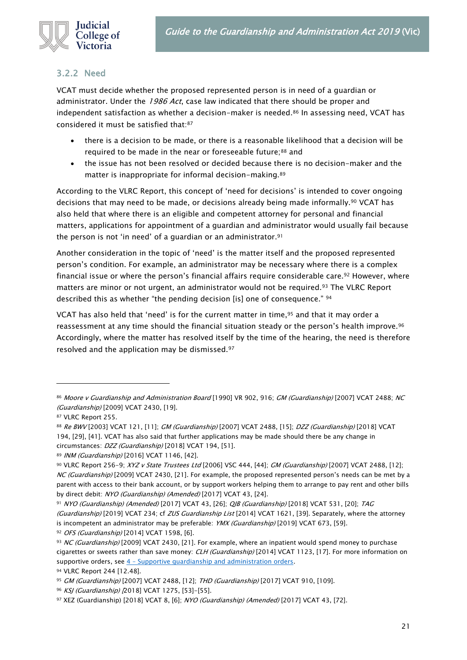

#### <span id="page-20-0"></span>3.2.2 Need

VCAT must decide whether the proposed represented person is in need of a guardian or administrator. Under the 1986 Act, case law indicated that there should be proper and independent satisfaction as whether a decision-maker is needed.<sup>86</sup> In assessing need, VCAT has considered it must be satisfied that:87

- there is a decision to be made, or there is a reasonable likelihood that a decision will be required to be made in the near or foreseeable future;<sup>88</sup> and
- the issue has not been resolved or decided because there is no decision-maker and the matter is inappropriate for informal decision-making.<sup>89</sup>

According to the VLRC Report, this concept of 'need for decisions' is intended to cover ongoing decisions that may need to be made, or decisions already being made informally.<sup>90</sup> VCAT has also held that where there is an eligible and competent attorney for personal and financial matters, applications for appointment of a guardian and administrator would usually fail because the person is not 'in need' of a guardian or an administrator.<sup>91</sup>

Another consideration in the topic of 'need' is the matter itself and the proposed represented person's condition. For example, an administrator may be necessary where there is a complex financial issue or where the person's financial affairs require considerable care.<sup>92</sup> However, where matters are minor or not urgent, an administrator would not be required.<sup>93</sup> The VLRC Report described this as whether "the pending decision [is] one of consequence." <sup>94</sup>

VCAT has also held that 'need' is for the current matter in time, $95$  and that it may order a reassessment at any time should the financial situation steady or the person's health improve.<sup>96</sup> Accordingly, where the matter has resolved itself by the time of the hearing, the need is therefore resolved and the application may be dismissed.<sup>97</sup>

92 OFS (Guardianship) [2014] VCAT 1598, [6].

<sup>86</sup> Moore v Guardianship and Administration Board [1990] VR 902, 916; GM (Guardianship) [2007] VCAT 2488; NC (Guardianship) [2009] VCAT 2430, [19].

<sup>87</sup> VLRC Report 255.

<sup>88</sup> Re BWV [2003] VCAT 121, [11]; GM (Guardianship) [2007] VCAT 2488, [15]; DZZ (Guardianship) [2018] VCAT 194, [29], [41]. VCAT has also said that further applications may be made should there be any change in circumstances: DZZ (Guardianship) [2018] VCAT 194, [51].

<sup>89</sup> INM (Guardianship) [2016] VCAT 1146, [42].

<sup>90</sup> VLRC Report 256-9; XYZ v State Trustees Ltd [2006] VSC 444, [44]; GM (Guardianship) [2007] VCAT 2488, [12]; NC (Guardianship) [2009] VCAT 2430, [21]. For example, the proposed represented person's needs can be met by a parent with access to their bank account, or by support workers helping them to arrange to pay rent and other bills by direct debit: NYO (Guardianship) (Amended) [2017] VCAT 43, [24].

<sup>91</sup> NYO (Guardianship) (Amended) [2017] VCAT 43, [26]; *QJB (Guardianship)* [2018] VCAT 531, [20]; TAG (Guardianship) [2019] VCAT 234; cf ZUS Guardianship List [2014] VCAT 1621, [39]. Separately, where the attorney is incompetent an administrator may be preferable: YMX (Guardianship) [2019] VCAT 673, [59].

<sup>93</sup> NC (Guardianship) [2009] VCAT 2430, [21]. For example, where an inpatient would spend money to purchase cigarettes or sweets rather than save money: CLH (Guardianship) [2014] VCAT 1123, [17]. For more information on supportive orders, see  $4$  – [Supportive guardianship and administration orders.](#page-47-0)

<sup>94</sup> VLRC Report 244 [12.48].

<sup>95</sup> GM (Guardianship) [2007] VCAT 2488, [12]; THD (Guardianship) [2017] VCAT 910, [109].

<sup>96</sup> KSJ (Guardianship) [2018] VCAT 1275, [53]-[55].

<sup>97</sup> XEZ (Guardianship) [2018] VCAT 8, [6]; NYO (Guardianship) (Amended) [2017] VCAT 43, [72].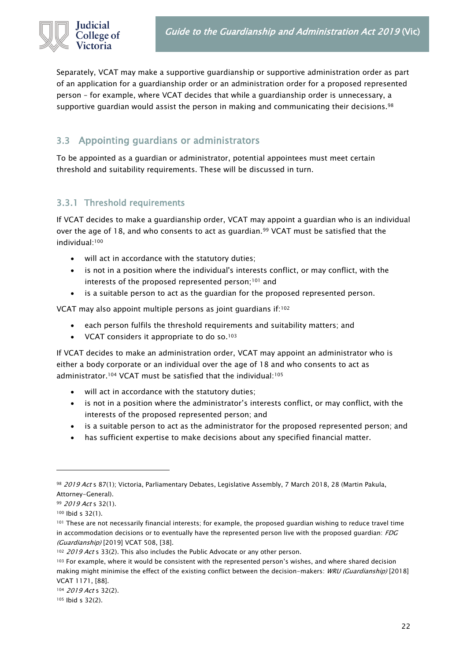Separately, VCAT may make a supportive guardianship or supportive administration order as part of an application for a guardianship order or an administration order for a proposed represented person – for example, where VCAT decides that while a guardianship order is unnecessary, a supportive guardian would assist the person in making and communicating their decisions.<sup>98</sup>

# <span id="page-21-0"></span>3.3 Appointing guardians or administrators

To be appointed as a guardian or administrator, potential appointees must meet certain threshold and suitability requirements. These will be discussed in turn.

# <span id="page-21-1"></span>3.3.1 Threshold requirements

If VCAT decides to make a guardianship order, VCAT may appoint a guardian who is an individual over the age of 18, and who consents to act as guardian.<sup>99</sup> VCAT must be satisfied that the individual:<sup>100</sup>

- will act in accordance with the statutory duties;
- is not in a position where the individual's interests conflict, or may conflict, with the interests of the proposed represented person;<sup>101</sup> and
- is a suitable person to act as the guardian for the proposed represented person.

VCAT may also appoint multiple persons as joint guardians if:<sup>102</sup>

- each person fulfils the threshold requirements and suitability matters; and
- VCAT considers it appropriate to do so.<sup>103</sup>

If VCAT decides to make an administration order, VCAT may appoint an administrator who is either a body corporate or an individual over the age of 18 and who consents to act as administrator.<sup>104</sup> VCAT must be satisfied that the individual:<sup>105</sup>

- will act in accordance with the statutory duties;
- is not in a position where the administrator's interests conflict, or may conflict, with the interests of the proposed represented person; and
- is a suitable person to act as the administrator for the proposed represented person; and
- has sufficient expertise to make decisions about any specified financial matter.

<sup>98 2019</sup> Act s 87(1); Victoria, Parliamentary Debates, Legislative Assembly, 7 March 2018, 28 (Martin Pakula, Attorney-General).

<sup>99 2019</sup> Act s 32(1).

<sup>100</sup> Ibid s 32(1).

<sup>101</sup> These are not necessarily financial interests; for example, the proposed guardian wishing to reduce travel time in accommodation decisions or to eventually have the represented person live with the proposed quardian:  $FDC$ (Guardianship) [2019] VCAT 508, [38].

<sup>102 2019</sup> Act s 33(2). This also includes the Public Advocate or any other person.

<sup>103</sup> For example, where it would be consistent with the represented person's wishes, and where shared decision making might minimise the effect of the existing conflict between the decision-makers: WRU (Guardianship) [2018] VCAT 1171, [88].

<sup>104 2019</sup> Act s 32(2).

<sup>105</sup> Ibid s 32(2).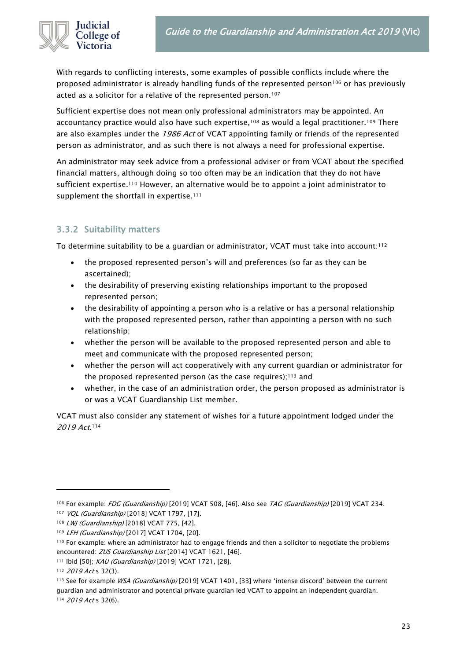

With regards to conflicting interests, some examples of possible conflicts include where the proposed administrator is already handling funds of the represented person<sup>106</sup> or has previously acted as a solicitor for a relative of the represented person.<sup>107</sup>

Sufficient expertise does not mean only professional administrators may be appointed. An accountancy practice would also have such expertise,<sup>108</sup> as would a legal practitioner.<sup>109</sup> There are also examples under the 1986 Act of VCAT appointing family or friends of the represented person as administrator, and as such there is not always a need for professional expertise.

An administrator may seek advice from a professional adviser or from VCAT about the specified financial matters, although doing so too often may be an indication that they do not have sufficient expertise.<sup>110</sup> However, an alternative would be to appoint a joint administrator to supplement the shortfall in expertise.<sup>111</sup>

#### <span id="page-22-0"></span>3.3.2 Suitability matters

To determine suitability to be a guardian or administrator, VCAT must take into account:<sup>112</sup>

- the proposed represented person's will and preferences (so far as they can be ascertained);
- the desirability of preserving existing relationships important to the proposed represented person;
- the desirability of appointing a person who is a relative or has a personal relationship with the proposed represented person, rather than appointing a person with no such relationship;
- whether the person will be available to the proposed represented person and able to meet and communicate with the proposed represented person;
- whether the person will act cooperatively with any current guardian or administrator for the proposed represented person (as the case requires); $113$  and
- whether, in the case of an administration order, the person proposed as administrator is or was a VCAT Guardianship List member.

VCAT must also consider any statement of wishes for a future appointment lodged under the 2019 Act. 114

<sup>&</sup>lt;sup>106</sup> For example: *FDG (Guardianship)* [2019] VCAT 508, [46]. Also see *TAG (Guardianship)* [2019] VCAT 234.

<sup>107</sup> VQL (Guardianship) [2018] VCAT 1797, [17].

<sup>108</sup> LWJ (Guardianship) [2018] VCAT 775, [42].

<sup>109</sup> LFH (Guardianship) [2017] VCAT 1704, [20].

<sup>110</sup> For example: where an administrator had to engage friends and then a solicitor to negotiate the problems encountered: ZUS Guardianship List [2014] VCAT 1621, [46].

<sup>111</sup> Ibid [50]; KAU (Guardianship) [2019] VCAT 1721, [28].

<sup>112 2019</sup> Act s 32(3).

<sup>113</sup> See for example WSA (Guardianship) [2019] VCAT 1401, [33] where 'intense discord' between the current guardian and administrator and potential private guardian led VCAT to appoint an independent guardian. 114 2019 Act s 32(6).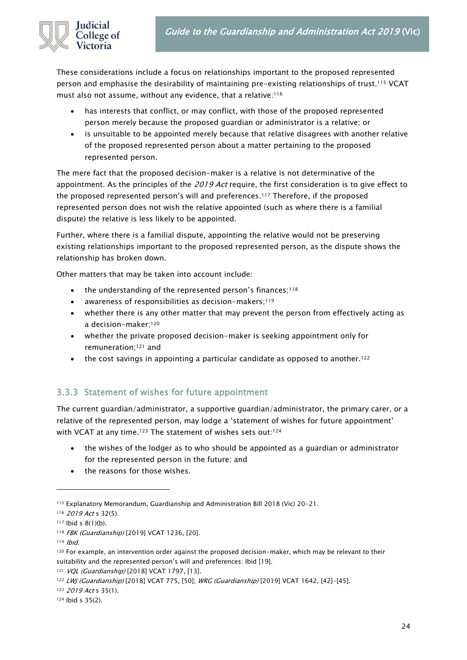

These considerations include a focus on relationships important to the proposed represented person and emphasise the desirability of maintaining pre-existing relationships of trust.<sup>115</sup> VCAT must also not assume, without any evidence, that a relative:<sup>116</sup>

- has interests that conflict, or may conflict, with those of the proposed represented person merely because the proposed guardian or administrator is a relative; or
- is unsuitable to be appointed merely because that relative disagrees with another relative of the proposed represented person about a matter pertaining to the proposed represented person.

The mere fact that the proposed decision-maker is a relative is not determinative of the appointment. As the principles of the 2019 Act require, the first consideration is to give effect to the proposed represented person's will and preferences. <sup>117</sup> Therefore, if the proposed represented person does not wish the relative appointed (such as where there is a familial dispute) the relative is less likely to be appointed.

Further, where there is a familial dispute, appointing the relative would not be preserving existing relationships important to the proposed represented person, as the dispute shows the relationship has broken down.

Other matters that may be taken into account include:

- the understanding of the represented person's finances;<sup>118</sup>
- awareness of responsibilities as decision-makers;<sup>119</sup>
- whether there is any other matter that may prevent the person from effectively acting as a decision-maker;<sup>120</sup>
- whether the private proposed decision-maker is seeking appointment only for remuneration; <sup>121</sup> and
- the cost savings in appointing a particular candidate as opposed to another.<sup>122</sup>

# <span id="page-23-0"></span>3.3.3 Statement of wishes for future appointment

The current guardian/administrator, a supportive guardian/administrator, the primary carer, or a relative of the represented person, may lodge a 'statement of wishes for future appointment' with VCAT at any time.<sup>123</sup> The statement of wishes sets out:<sup>124</sup>

- the wishes of the lodger as to who should be appointed as a guardian or administrator for the represented person in the future; and
- the reasons for those wishes.

123 2019 Act s 35(1).

<sup>115</sup> Explanatory Memorandum, Guardianship and Administration Bill 2018 (Vic) 20-21.

<sup>116</sup> *2019 Act* s 32(5).

<sup>117</sup> Ibid s 8(1)(b).

<sup>118</sup> FBK (Guardianship) [2019] VCAT 1236, [20].

<sup>119</sup> Ibid.

<sup>120</sup> For example, an intervention order against the proposed decision-maker, which may be relevant to their suitability and the represented person's will and preferences: Ibid [19].

<sup>121</sup> VQL (Guardianship) [2018] VCAT 1797, [13].

<sup>122</sup> LWJ (Guardianship) [2018] VCAT 775, [50]; WRG (Guardianship) [2019] VCAT 1642, [42]-[45].

<sup>124</sup> Ibid s 35(2).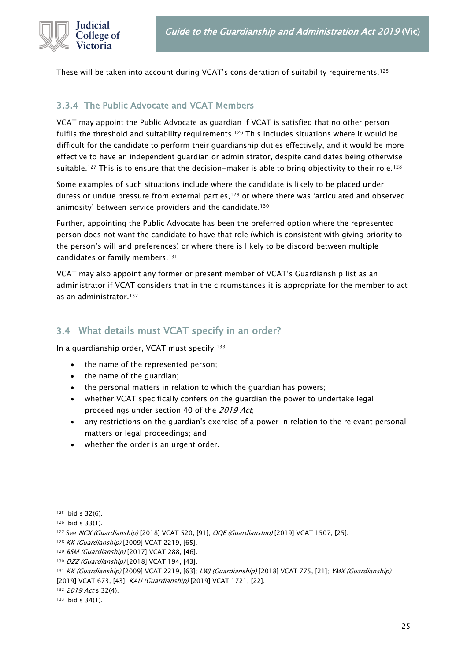

These will be taken into account during VCAT's consideration of suitability requirements.<sup>125</sup>

#### <span id="page-24-0"></span>3.3.4 The Public Advocate and VCAT Members

VCAT may appoint the Public Advocate as guardian if VCAT is satisfied that no other person fulfils the threshold and suitability requirements.<sup>126</sup> This includes situations where it would be difficult for the candidate to perform their guardianship duties effectively, and it would be more effective to have an independent guardian or administrator, despite candidates being otherwise suitable.<sup>127</sup> This is to ensure that the decision-maker is able to bring objectivity to their role.<sup>128</sup>

Some examples of such situations include where the candidate is likely to be placed under duress or undue pressure from external parties,<sup>129</sup> or where there was 'articulated and observed animosity' between service providers and the candidate.<sup>130</sup>

Further, appointing the Public Advocate has been the preferred option where the represented person does not want the candidate to have that role (which is consistent with giving priority to the person's will and preferences) or where there is likely to be discord between multiple candidates or family members.<sup>131</sup>

VCAT may also appoint any former or present member of VCAT's Guardianship list as an administrator if VCAT considers that in the circumstances it is appropriate for the member to act as an administrator.<sup>132</sup>

# <span id="page-24-1"></span>3.4 What details must VCAT specify in an order?

In a guardianship order, VCAT must specify:<sup>133</sup>

- the name of the represented person;
- the name of the guardian;
- the personal matters in relation to which the guardian has powers;
- whether VCAT specifically confers on the guardian the power to undertake legal proceedings under section 40 of the 2019 Act;
- any restrictions on the guardian's exercise of a power in relation to the relevant personal matters or legal proceedings; and
- whether the order is an urgent order.

<sup>125</sup> Ibid s 32(6).

<sup>126</sup> Ibid s 33(1).

<sup>127</sup> See NCX (Guardianship) [2018] VCAT 520, [91]; OQE (Guardianship) [2019] VCAT 1507, [25].

<sup>128</sup> KK (Guardianship) [2009] VCAT 2219, [65].

<sup>129</sup> BSM (Guardianship) [2017] VCAT 288, [46].

<sup>130</sup> DZZ (Guardianship) [2018] VCAT 194, [43].

<sup>131</sup> KK (Guardianship) [2009] VCAT 2219, [63]; LWJ (Guardianship) [2018] VCAT 775, [21]; YMX (Guardianship) [2019] VCAT 673, [43]; KAU (Guardianship) [2019] VCAT 1721, [22].

<sup>132 2019</sup> Act s 32(4).

<sup>133</sup> Ibid s 34(1).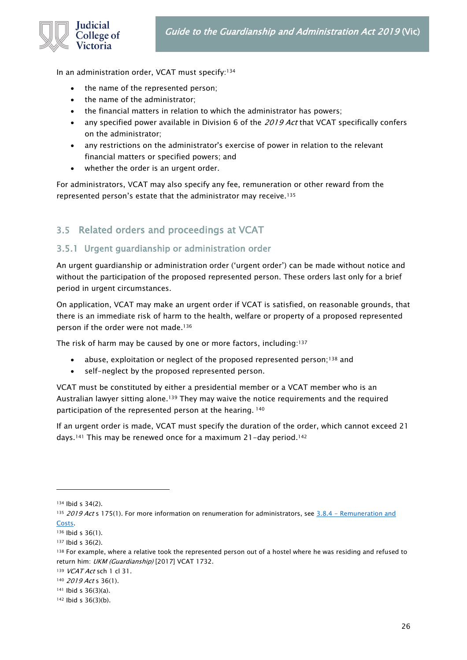

In an administration order, VCAT must specify:<sup>134</sup>

- the name of the represented person;
- the name of the administrator;
- the financial matters in relation to which the administrator has powers;
- any specified power available in Division 6 of the 2019 Act that VCAT specifically confers on the administrator;
- any restrictions on the administrator's exercise of power in relation to the relevant financial matters or specified powers; and
- whether the order is an urgent order.

For administrators, VCAT may also specify any fee, remuneration or other reward from the represented person's estate that the administrator may receive.<sup>135</sup>

# <span id="page-25-0"></span>3.5 Related orders and proceedings at VCAT

#### <span id="page-25-1"></span>3.5.1 Urgent guardianship or administration order

An urgent guardianship or administration order ('urgent order') can be made without notice and without the participation of the proposed represented person. These orders last only for a brief period in urgent circumstances.

On application, VCAT may make an urgent order if VCAT is satisfied, on reasonable grounds, that there is an immediate risk of harm to the health, welfare or property of a proposed represented person if the order were not made.<sup>136</sup>

The risk of harm may be caused by one or more factors, including:<sup>137</sup>

- abuse, exploitation or neglect of the proposed represented person;<sup>138</sup> and
- self-neglect by the proposed represented person.

VCAT must be constituted by either a presidential member or a VCAT member who is an Australian lawyer sitting alone.<sup>139</sup> They may waive the notice requirements and the required participation of the represented person at the hearing. <sup>140</sup>

If an urgent order is made, VCAT must specify the duration of the order, which cannot exceed 21 days.<sup>141</sup> This may be renewed once for a maximum 21-day period.<sup>142</sup>

<sup>134</sup> Ibid s 34(2).

<sup>135 2019</sup> Act s 175(1). For more information on renumeration for administrators, see 3.8.4 - Remuneration and [Costs.](#page-44-0)

<sup>136</sup> Ibid s 36(1).

<sup>137</sup> Ibid s 36(2).

<sup>138</sup> For example, where a relative took the represented person out of a hostel where he was residing and refused to return him: UKM (Guardianship) [2017] VCAT 1732.

<sup>139</sup> VCAT Act sch 1 cl 31.

<sup>140</sup> 2019 Act s 36(1).

<sup>141</sup> Ibid s 36(3)(a).

<sup>142</sup> Ibid s 36(3)(b).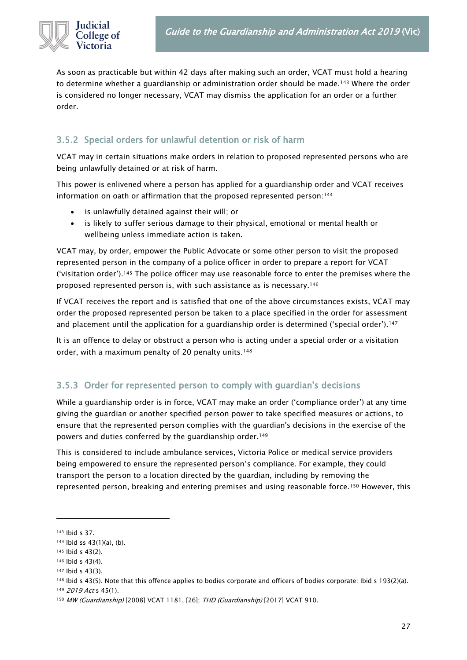

As soon as practicable but within 42 days after making such an order, VCAT must hold a hearing to determine whether a guardianship or administration order should be made.<sup>143</sup> Where the order is considered no longer necessary, VCAT may dismiss the application for an order or a further order.

# <span id="page-26-0"></span>3.5.2 Special orders for unlawful detention or risk of harm

VCAT may in certain situations make orders in relation to proposed represented persons who are being unlawfully detained or at risk of harm.

This power is enlivened where a person has applied for a guardianship order and VCAT receives information on oath or affirmation that the proposed represented person:<sup>144</sup>

- is unlawfully detained against their will; or
- is likely to suffer serious damage to their physical, emotional or mental health or wellbeing unless immediate action is taken.

VCAT may, by order, empower the Public Advocate or some other person to visit the proposed represented person in the company of a police officer in order to prepare a report for VCAT ('visitation order').<sup>145</sup> The police officer may use reasonable force to enter the premises where the proposed represented person is, with such assistance as is necessary.<sup>146</sup>

If VCAT receives the report and is satisfied that one of the above circumstances exists, VCAT may order the proposed represented person be taken to a place specified in the order for assessment and placement until the application for a guardianship order is determined ('special order').<sup>147</sup>

It is an offence to delay or obstruct a person who is acting under a special order or a visitation order, with a maximum penalty of 20 penalty units.<sup>148</sup>

# <span id="page-26-1"></span>3.5.3 Order for represented person to comply with guardian's decisions

While a guardianship order is in force, VCAT may make an order ('compliance order') at any time giving the guardian or another specified person power to take specified measures or actions, to ensure that the represented person complies with the guardian's decisions in the exercise of the powers and duties conferred by the guardianship order.<sup>149</sup>

This is considered to include ambulance services, Victoria Police or medical service providers being empowered to ensure the represented person's compliance. For example, they could transport the person to a location directed by the guardian, including by removing the represented person, breaking and entering premises and using reasonable force.<sup>150</sup> However, this

149 2019 Act s 45(1).

<sup>143</sup> Ibid s 37.

<sup>144</sup> Ibid ss 43(1)(a), (b).

<sup>145</sup> Ibid s 43(2).

<sup>146</sup> Ibid s 43(4).

<sup>147</sup> Ibid s 43(3).

<sup>148</sup> Ibid s 43(5). Note that this offence applies to bodies corporate and officers of bodies corporate: Ibid s 193(2)(a).

<sup>150</sup> MW (Guardianship) [2008] VCAT 1181, [26]; THD (Guardianship) [2017] VCAT 910.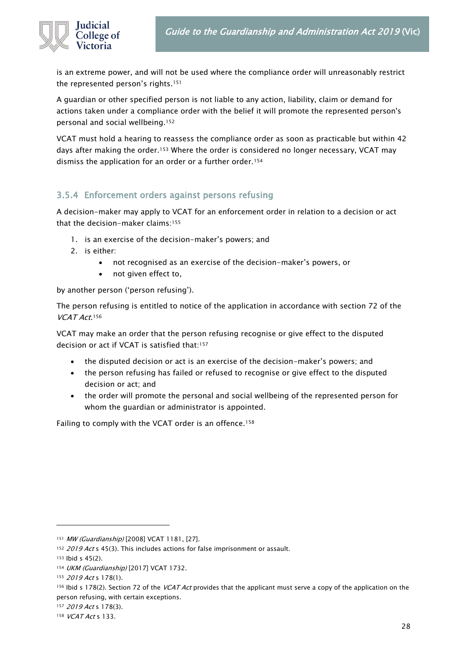

is an extreme power, and will not be used where the compliance order will unreasonably restrict the represented person's rights.<sup>151</sup>

A guardian or other specified person is not liable to any action, liability, claim or demand for actions taken under a compliance order with the belief it will promote the represented person's personal and social wellbeing.<sup>152</sup>

VCAT must hold a hearing to reassess the compliance order as soon as practicable but within 42 days after making the order.<sup>153</sup> Where the order is considered no longer necessary, VCAT may dismiss the application for an order or a further order.<sup>154</sup>

# <span id="page-27-0"></span>3.5.4 Enforcement orders against persons refusing

A decision-maker may apply to VCAT for an enforcement order in relation to a decision or act that the decision-maker claims:<sup>155</sup>

- 1. is an exercise of the decision-maker's powers; and
- 2. is either:
	- not recognised as an exercise of the decision-maker's powers, or
	- not given effect to,

by another person ('person refusing').

The person refusing is entitled to notice of the application in accordance with section 72 of the VCAT Act.<sup>156</sup>

VCAT may make an order that the person refusing recognise or give effect to the disputed decision or act if VCAT is satisfied that:<sup>157</sup>

- the disputed decision or act is an exercise of the decision-maker's powers; and
- the person refusing has failed or refused to recognise or give effect to the disputed decision or act; and
- the order will promote the personal and social wellbeing of the represented person for whom the guardian or administrator is appointed.

<span id="page-27-1"></span>Failing to comply with the VCAT order is an offence.<sup>158</sup>

<sup>151</sup> MW (Guardianship) [2008] VCAT 1181, [27].

<sup>152 2019</sup> Act s 45(3). This includes actions for false imprisonment or assault.

<sup>153</sup> Ibid s 45(2).

<sup>154</sup> UKM (Guardianship) [2017] VCAT 1732.

<sup>155 2019</sup> Act s 178(1).

<sup>156</sup> Ibid s 178(2). Section 72 of the VCAT Act provides that the applicant must serve a copy of the application on the person refusing, with certain exceptions.

<sup>&</sup>lt;sup>157</sup> 2019 Act s 178(3).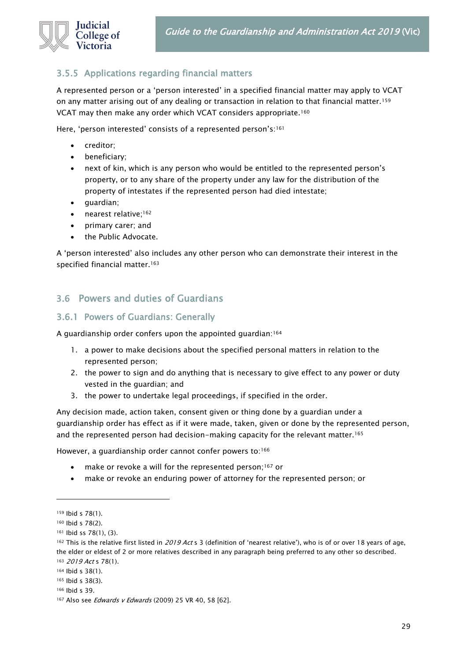

#### 3.5.5 Applications regarding financial matters

A represented person or a 'person interested' in a specified financial matter may apply to VCAT on any matter arising out of any dealing or transaction in relation to that financial matter.<sup>159</sup> VCAT may then make any order which VCAT considers appropriate.<sup>160</sup>

Here, 'person interested' consists of a represented person's:<sup>161</sup>

- creditor;
- beneficiary;
- next of kin, which is any person who would be entitled to the represented person's property, or to any share of the property under any law for the distribution of the property of intestates if the represented person had died intestate;
- guardian;
- nearest relative;<sup>162</sup>
- primary carer; and
- the Public Advocate.

A 'person interested' also includes any other person who can demonstrate their interest in the specified financial matter.<sup>163</sup>

#### <span id="page-28-0"></span>3.6 Powers and duties of Guardians

#### <span id="page-28-1"></span>3.6.1 Powers of Guardians: Generally

A guardianship order confers upon the appointed guardian:<sup>164</sup>

- 1. a power to make decisions about the specified personal matters in relation to the represented person;
- 2. the power to sign and do anything that is necessary to give effect to any power or duty vested in the guardian; and
- 3. the power to undertake legal proceedings, if specified in the order.

Any decision made, action taken, consent given or thing done by a guardian under a guardianship order has effect as if it were made, taken, given or done by the represented person, and the represented person had decision-making capacity for the relevant matter.<sup>165</sup>

However, a guardianship order cannot confer powers to:<sup>166</sup>

- make or revoke a will for the represented person;<sup>167</sup> or
- make or revoke an enduring power of attorney for the represented person; or

<sup>159</sup> Ibid s 78(1).

<sup>160</sup> Ibid s 78(2).

<sup>161</sup> Ibid ss 78(1), (3).

<sup>&</sup>lt;sup>162</sup> This is the relative first listed in 2019 Act s 3 (definition of 'nearest relative'), who is of or over 18 years of age, the elder or eldest of 2 or more relatives described in any paragraph being preferred to any other so described. 163 2019 Act s 78(1).

<sup>164</sup> Ibid s 38(1).

<sup>165</sup> Ibid s 38(3).

<sup>166</sup> Ibid s 39.

<sup>167</sup> Also see Edwards v Edwards (2009) 25 VR 40, 58 [62].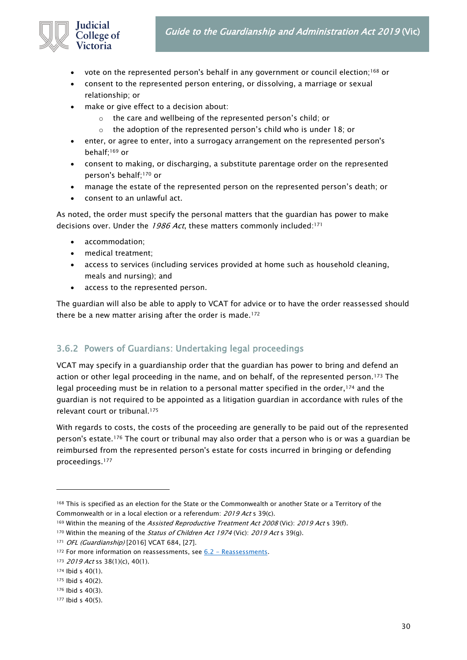- vote on the represented person's behalf in any government or council election;<sup>168</sup> or
- consent to the represented person entering, or dissolving, a marriage or sexual relationship; or
- make or give effect to a decision about:
	- o the care and wellbeing of the represented person's child; or
	- $\circ$  the adoption of the represented person's child who is under 18; or
- enter, or agree to enter, into a surrogacy arrangement on the represented person's behalf;<sup>169</sup> or
- consent to making, or discharging, a substitute parentage order on the represented person's behalf;<sup>170</sup> or
- manage the estate of the represented person on the represented person's death; or
- consent to an unlawful act.

As noted, the order must specify the personal matters that the guardian has power to make decisions over. Under the 1986 Act, these matters commonly included:<sup>171</sup>

• accommodation;

College of Victoria

- medical treatment;
- access to services (including services provided at home such as household cleaning, meals and nursing); and
- access to the represented person.

The guardian will also be able to apply to VCAT for advice or to have the order reassessed should there be a new matter arising after the order is made.<sup>172</sup>

#### <span id="page-29-0"></span>3.6.2 Powers of Guardians: Undertaking legal proceedings

VCAT may specify in a guardianship order that the guardian has power to bring and defend an action or other legal proceeding in the name, and on behalf, of the represented person.<sup>173</sup> The legal proceeding must be in relation to a personal matter specified in the order,<sup>174</sup> and the guardian is not required to be appointed as a litigation guardian in accordance with rules of the relevant court or tribunal.<sup>175</sup>

With regards to costs, the costs of the proceeding are generally to be paid out of the represented person's estate.<sup>176</sup> The court or tribunal may also order that a person who is or was a guardian be reimbursed from the represented person's estate for costs incurred in bringing or defending proceedings.<sup>177</sup>

<sup>168</sup> This is specified as an election for the State or the Commonwealth or another State or a Territory of the Commonwealth or in a local election or a referendum: 2019 Act s 39(c).

<sup>169</sup> Within the meaning of the Assisted Reproductive Treatment Act 2008 (Vic): 2019 Act s 39(f).

<sup>&</sup>lt;sup>170</sup> Within the meaning of the *Status of Children Act 1974* (Vic): 2019 Act s 39(q).

<sup>171</sup> OFL (Guardianship) [2016] VCAT 684, [27].

<sup>172</sup> For more information on reassessments, see 6.2 - [Reassessments.](#page-73-0)

<sup>173 2019</sup> Act ss 38(1)(c), 40(1).

<sup>174</sup> Ibid s 40(1).

<sup>175</sup> Ibid s 40(2).

<sup>176</sup> Ibid s 40(3).

<sup>177</sup> Ibid s 40(5).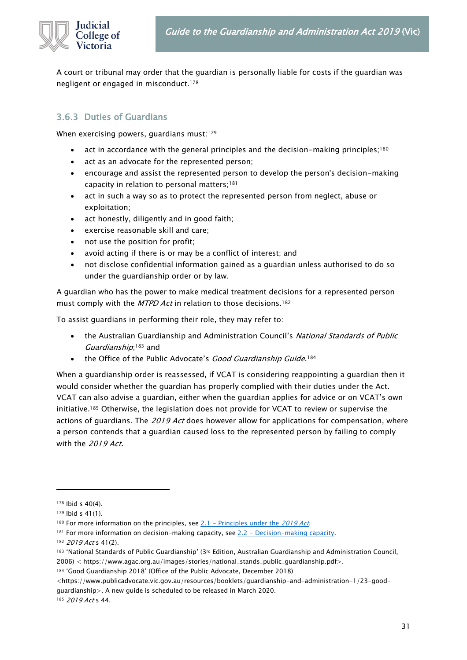

A court or tribunal may order that the guardian is personally liable for costs if the guardian was negligent or engaged in misconduct.<sup>178</sup>

#### <span id="page-30-0"></span>3.6.3 Duties of Guardians

When exercising powers, quardians must:<sup>179</sup>

- act in accordance with the general principles and the decision-making principles;<sup>180</sup>
- act as an advocate for the represented person;
- encourage and assist the represented person to develop the person's decision-making capacity in relation to personal matters;<sup>181</sup>
- act in such a way so as to protect the represented person from neglect, abuse or exploitation;
- act honestly, diligently and in good faith;
- exercise reasonable skill and care;
- not use the position for profit;
- avoid acting if there is or may be a conflict of interest; and
- not disclose confidential information gained as a guardian unless authorised to do so under the guardianship order or by law.

A guardian who has the power to make medical treatment decisions for a represented person must comply with the MTPD Act in relation to those decisions.<sup>182</sup>

To assist guardians in performing their role, they may refer to:

- the Australian Guardianship and Administration Council's National Standards of Public Guardianship;<sup>183</sup> and
- the Office of the Public Advocate's *Good Guardianship Guide*.<sup>184</sup>

When a guardianship order is reassessed, if VCAT is considering reappointing a guardian then it would consider whether the guardian has properly complied with their duties under the Act. VCAT can also advise a guardian, either when the guardian applies for advice or on VCAT's own initiative.<sup>185</sup> Otherwise, the legislation does not provide for VCAT to review or supervise the actions of guardians. The 2019 Act does however allow for applications for compensation, where a person contends that a guardian caused loss to the represented person by failing to comply with the 2019 Act.

<sup>184</sup> 'Good Guardianship 2018' (Office of the Public Advocate, December 2018)

<https://www.publicadvocate.vic.gov.au/resources/booklets/guardianship-and-administration-1/23-goodguardianship>. A new guide is scheduled to be released in March 2020.

185 2019 Act s 44.

<sup>178</sup> Ibid s 40(4).

<sup>179</sup> Ibid s 41(1).

<sup>180</sup> For more information on the principles, see 2.1 - [Principles under the](#page-8-1) 2019 Act.

<sup>181</sup> For more information on decision-making capacity, see 2.2 - [Decision-making capacity.](#page-11-0)

 $182$  2019 Act s 41(2).

<sup>183 &#</sup>x27;National Standards of Public Guardianship' (3rd Edition, Australian Guardianship and Administration Council, 2006) < https://www.agac.org.au/images/stories/national\_stands\_public\_guardianship.pdf>.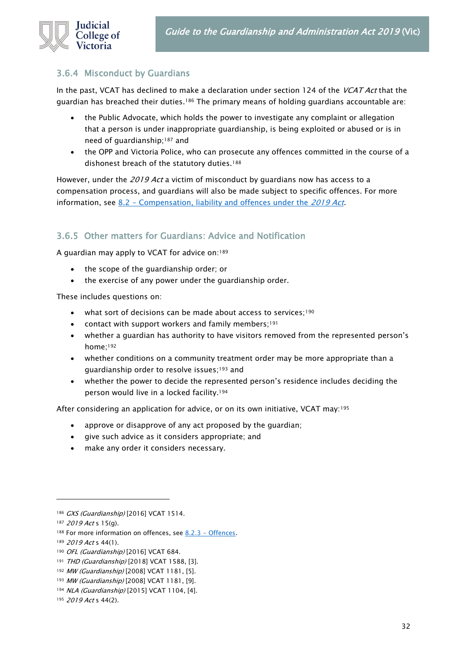

#### <span id="page-31-0"></span>3.6.4 Misconduct by Guardians

In the past, VCAT has declined to make a declaration under section 124 of the VCAT Act that the guardian has breached their duties.<sup>186</sup> The primary means of holding guardians accountable are:

- the Public Advocate, which holds the power to investigate any complaint or allegation that a person is under inappropriate guardianship, is being exploited or abused or is in need of guardianship;<sup>187</sup> and
- the OPP and Victoria Police, who can prosecute any offences committed in the course of a dishonest breach of the statutory duties.<sup>188</sup>

However, under the 2019 Act a victim of misconduct by guardians now has access to a compensation process, and guardians will also be made subject to specific offences. For more information, see 8.2 - [Compensation, liability and offences under the](#page-82-2) 2019 Act.

# <span id="page-31-1"></span>3.6.5 Other matters for Guardians: Advice and Notification

A guardian may apply to VCAT for advice on:<sup>189</sup>

- the scope of the guardianship order; or
- the exercise of any power under the guardianship order.

These includes questions on:

- what sort of decisions can be made about access to services;<sup>190</sup>
- contact with support workers and family members;<sup>191</sup>
- whether a guardian has authority to have visitors removed from the represented person's home;<sup>192</sup>
- whether conditions on a community treatment order may be more appropriate than a guardianship order to resolve issues;<sup>193</sup> and
- whether the power to decide the represented person's residence includes deciding the person would live in a locked facility.<sup>194</sup>

After considering an application for advice, or on its own initiative, VCAT may:<sup>195</sup>

- approve or disapprove of any act proposed by the quardian;
- give such advice as it considers appropriate; and
- make any order it considers necessary.

<sup>186</sup> GXS (Guardianship) [2016] VCAT 1514.

<sup>187 2019</sup> Act s 15(q).

<sup>188</sup> For more information on offences, see 8.2.3 - [Offences.](#page-80-1)

<sup>189 2019</sup> Act s 44(1).

<sup>190</sup> OFL (Guardianship) [2016] VCAT 684.

<sup>191</sup> THD (Guardianship) [2018] VCAT 1588, [3].

<sup>192</sup> MW (Guardianship) [2008] VCAT 1181, [5].

<sup>193</sup> MW (Guardianship) [2008] VCAT 1181, [9].

<sup>194</sup> NLA (Guardianship) [2015] VCAT 1104, [4].

<sup>195 2019</sup> Act s 44(2).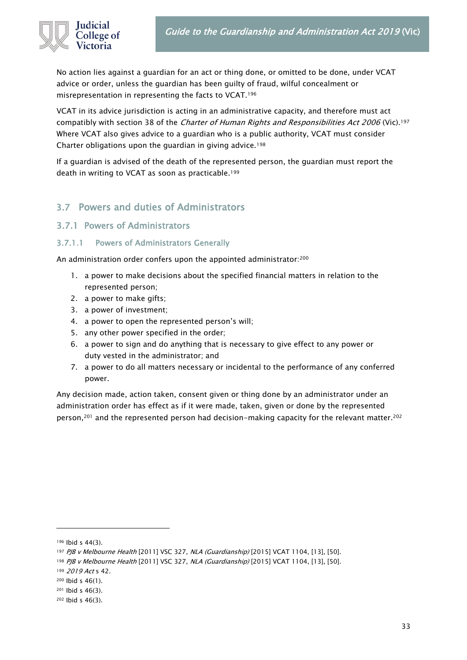

No action lies against a guardian for an act or thing done, or omitted to be done, under VCAT advice or order, unless the guardian has been guilty of fraud, wilful concealment or misrepresentation in representing the facts to VCAT.<sup>196</sup>

VCAT in its advice jurisdiction is acting in an administrative capacity, and therefore must act compatibly with section 38 of the Charter of Human Rights and Responsibilities Act 2006 (Vic).<sup>197</sup> Where VCAT also gives advice to a guardian who is a public authority, VCAT must consider Charter obligations upon the guardian in giving advice.<sup>198</sup>

If a guardian is advised of the death of the represented person, the guardian must report the death in writing to VCAT as soon as practicable.<sup>199</sup>

# <span id="page-32-0"></span>3.7 Powers and duties of Administrators

#### <span id="page-32-1"></span>3.7.1 Powers of Administrators

#### <span id="page-32-2"></span>3.7.1.1 Powers of Administrators Generally

An administration order confers upon the appointed administrator:200

- 1. a power to make decisions about the specified financial matters in relation to the represented person;
- 2. a power to make gifts;
- 3. a power of investment;
- 4. a power to open the represented person's will;
- 5. any other power specified in the order;
- 6. a power to sign and do anything that is necessary to give effect to any power or duty vested in the administrator; and
- 7. a power to do all matters necessary or incidental to the performance of any conferred power.

Any decision made, action taken, consent given or thing done by an administrator under an administration order has effect as if it were made, taken, given or done by the represented person,<sup>201</sup> and the represented person had decision-making capacity for the relevant matter.<sup>202</sup>

<sup>196</sup> Ibid s 44(3).

<sup>197</sup> PJB v Melbourne Health [2011] VSC 327, NLA (Guardianship) [2015] VCAT 1104, [13], [50].

<sup>198</sup> PJB v Melbourne Health [2011] VSC 327, NLA (Guardianship) [2015] VCAT 1104, [13], [50].

<sup>199 2019</sup> Act s 42.

<sup>200</sup> Ibid s 46(1).

<sup>201</sup> Ibid s 46(3).

<sup>202</sup> Ibid s 46(3).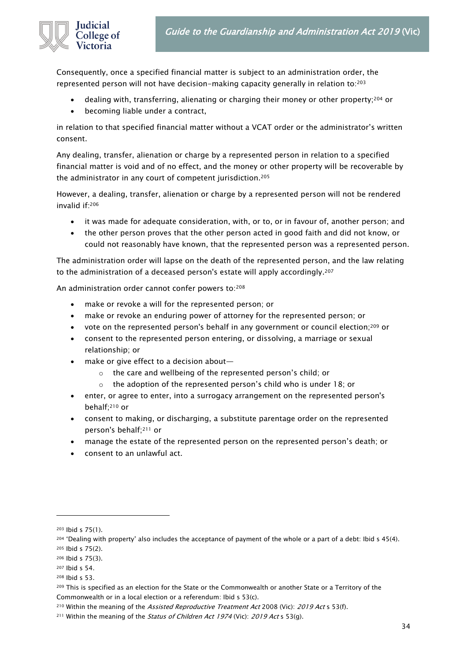

Consequently, once a specified financial matter is subject to an administration order, the represented person will not have decision-making capacity generally in relation to:<sup>203</sup>

- dealing with, transferring, alienating or charging their money or other property;<sup>204</sup> or
- becoming liable under a contract,

in relation to that specified financial matter without a VCAT order or the administrator's written consent.

Any dealing, transfer, alienation or charge by a represented person in relation to a specified financial matter is void and of no effect, and the money or other property will be recoverable by the administrator in any court of competent jurisdiction.<sup>205</sup>

However, a dealing, transfer, alienation or charge by a represented person will not be rendered invalid if:<sup>206</sup>

- it was made for adequate consideration, with, or to, or in favour of, another person; and
- the other person proves that the other person acted in good faith and did not know, or could not reasonably have known, that the represented person was a represented person.

The administration order will lapse on the death of the represented person, and the law relating to the administration of a deceased person's estate will apply accordingly. 207

An administration order cannot confer powers to:208

- make or revoke a will for the represented person; or
- make or revoke an enduring power of attorney for the represented person; or
- vote on the represented person's behalf in any government or council election; $209$  or
- consent to the represented person entering, or dissolving, a marriage or sexual relationship; or
- make or give effect to a decision about
	- o the care and wellbeing of the represented person's child; or
	- the adoption of the represented person's child who is under 18; or
- enter, or agree to enter, into a surrogacy arrangement on the represented person's behalf;<sup>210</sup> or
- consent to making, or discharging, a substitute parentage order on the represented person's behalf;<sup>211</sup> or
- manage the estate of the represented person on the represented person's death; or
- <span id="page-33-0"></span>• consent to an unlawful act.

<sup>203</sup> Ibid s 75(1).

<sup>204</sup> 'Dealing with property' also includes the acceptance of payment of the whole or a part of a debt: Ibid s 45(4). <sup>205</sup> Ibid s 75(2).

<sup>206</sup> Ibid s 75(3).

<sup>207</sup> Ibid s 54.

<sup>208</sup> Ibid s 53.

<sup>209</sup> This is specified as an election for the State or the Commonwealth or another State or a Territory of the Commonwealth or in a local election or a referendum: Ibid s 53(c).

<sup>&</sup>lt;sup>210</sup> Within the meaning of the *Assisted Reproductive Treatment Act* 2008 (Vic): 2019 Act s 53(f).

 $211$  Within the meaning of the *Status of Children Act 1974* (Vic): 2019 Act s 53(g).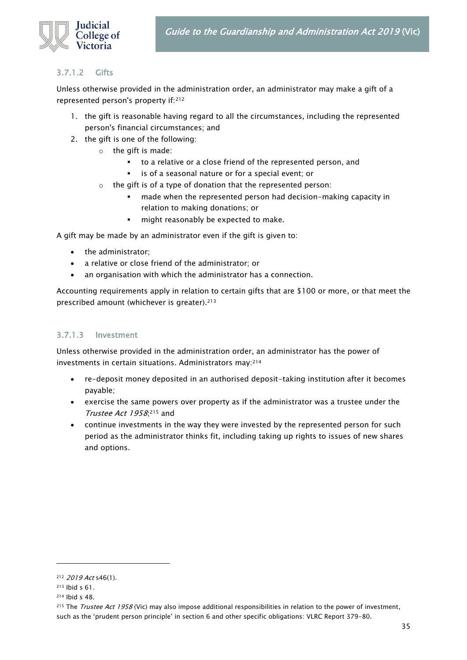

#### 3.7.1.2 Gifts

Unless otherwise provided in the administration order, an administrator may make a gift of a represented person's property if:<sup>212</sup>

- 1. the gift is reasonable having regard to all the circumstances, including the represented person's financial circumstances; and
- 2. the gift is one of the following:
	- o the gift is made:
		- to a relative or a close friend of the represented person, and
		- is of a seasonal nature or for a special event; or
	- o the gift is of a type of donation that the represented person:
		- made when the represented person had decision-making capacity in relation to making donations; or
		- **·** might reasonably be expected to make.

A gift may be made by an administrator even if the gift is given to:

- the administrator;
- a relative or close friend of the administrator; or
- an organisation with which the administrator has a connection.

Accounting requirements apply in relation to certain gifts that are \$100 or more, or that meet the prescribed amount (whichever is greater).<sup>213</sup>

#### <span id="page-34-0"></span>3.7.1.3 Investment

Unless otherwise provided in the administration order, an administrator has the power of investments in certain situations. Administrators may:<sup>214</sup>

- re-deposit money deposited in an authorised deposit-taking institution after it becomes payable;
- exercise the same powers over property as if the administrator was a trustee under the Trustee Act 1958; <sup>215</sup> and
- <span id="page-34-1"></span>• continue investments in the way they were invested by the represented person for such period as the administrator thinks fit, including taking up rights to issues of new shares and options.

<sup>212</sup> 2019 Act s46(1).

<sup>213</sup> Ibid s 61.

<sup>214</sup> Ibid s 48.

<sup>&</sup>lt;sup>215</sup> The *Trustee Act 1958* (Vic) may also impose additional responsibilities in relation to the power of investment, such as the 'prudent person principle' in section 6 and other specific obligations: VLRC Report 379-80.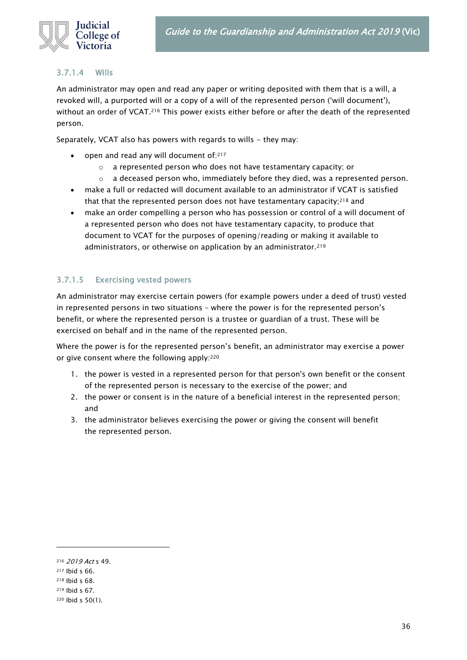

#### 3.7.1.4 Wills

An administrator may open and read any paper or writing deposited with them that is a will, a revoked will, a purported will or a copy of a will of the represented person ('will document'), without an order of VCAT.<sup>216</sup> This power exists either before or after the death of the represented person.

Separately, VCAT also has powers with regards to wills - they may:

- open and read any will document of:217
	- o a represented person who does not have testamentary capacity; or
	- $\circ$  a deceased person who, immediately before they died, was a represented person.
- make a full or redacted will document available to an administrator if VCAT is satisfied that that the represented person does not have testamentary capacity;<sup>218</sup> and
- make an order compelling a person who has possession or control of a will document of a represented person who does not have testamentary capacity, to produce that document to VCAT for the purposes of opening/reading or making it available to administrators, or otherwise on application by an administrator.<sup>219</sup>

#### <span id="page-35-0"></span>3.7.1.5 Exercising vested powers

An administrator may exercise certain powers (for example powers under a deed of trust) vested in represented persons in two situations – where the power is for the represented person's benefit, or where the represented person is a trustee or guardian of a trust. These will be exercised on behalf and in the name of the represented person.

Where the power is for the represented person's benefit, an administrator may exercise a power or give consent where the following apply:<sup>220</sup>

- 1. the power is vested in a represented person for that person's own benefit or the consent of the represented person is necessary to the exercise of the power; and
- 2. the power or consent is in the nature of a beneficial interest in the represented person; and
- 3. the administrator believes exercising the power or giving the consent will benefit the represented person.

<sup>216</sup> 2019 Act s 49.

<sup>217</sup> Ibid s 66.

<sup>218</sup> Ibid s 68.

<sup>219</sup> Ibid s 67.

<sup>220</sup> Ibid s 50(1).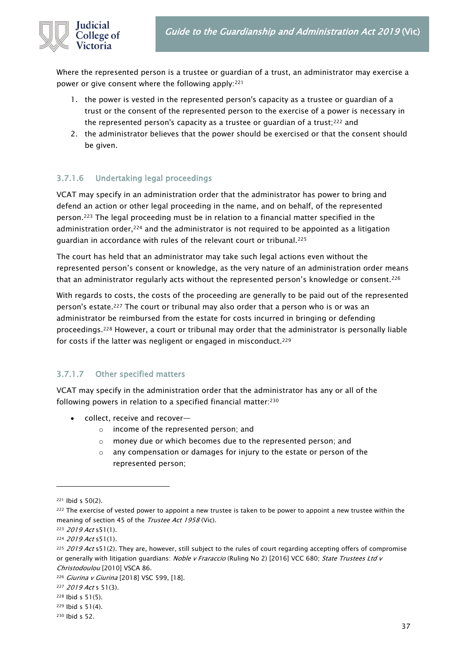

Where the represented person is a trustee or guardian of a trust, an administrator may exercise a power or give consent where the following apply:<sup>221</sup>

- 1. the power is vested in the represented person's capacity as a trustee or guardian of a trust or the consent of the represented person to the exercise of a power is necessary in the represented person's capacity as a trustee or guardian of a trust;<sup>222</sup> and
- 2. the administrator believes that the power should be exercised or that the consent should be given.

#### 3.7.1.6 Undertaking legal proceedings

VCAT may specify in an administration order that the administrator has power to bring and defend an action or other legal proceeding in the name, and on behalf, of the represented person.<sup>223</sup> The legal proceeding must be in relation to a financial matter specified in the administration order, $224$  and the administrator is not required to be appointed as a litigation guardian in accordance with rules of the relevant court or tribunal.<sup>225</sup>

The court has held that an administrator may take such legal actions even without the represented person's consent or knowledge, as the very nature of an administration order means that an administrator regularly acts without the represented person's knowledge or consent.<sup>226</sup>

With regards to costs, the costs of the proceeding are generally to be paid out of the represented person's estate.<sup>227</sup> The court or tribunal may also order that a person who is or was an administrator be reimbursed from the estate for costs incurred in bringing or defending proceedings.<sup>228</sup> However, a court or tribunal may order that the administrator is personally liable for costs if the latter was negligent or engaged in misconduct.<sup>229</sup>

#### 3.7.1.7 Other specified matters

VCAT may specify in the administration order that the administrator has any or all of the following powers in relation to a specified financial matter:<sup>230</sup>

- collect, receive and recover
	- o income of the represented person; and
	- o money due or which becomes due to the represented person; and
	- o any compensation or damages for injury to the estate or person of the represented person;

<sup>221</sup> Ibid s 50(2).

<sup>&</sup>lt;sup>222</sup> The exercise of vested power to appoint a new trustee is taken to be power to appoint a new trustee within the meaning of section 45 of the Trustee Act 1958 (Vic).

<sup>223 2019</sup> Act s51(1).

<sup>224</sup> 2019 Act s51(1).

 $225$  2019 Act s51(2). They are, however, still subject to the rules of court regarding accepting offers of compromise or generally with litigation guardians: Noble v Fraraccio (Ruling No 2) [2016] VCC 680; State Trustees Ltd v Christodoulou [2010] VSCA 86.

<sup>226</sup> Giurina v Giurina [2018] VSC 599, [18].

<sup>227 2019</sup> Act s 51(3).

<sup>228</sup> Ibid s 51(5).

<sup>229</sup> Ibid s 51(4).

<sup>230</sup> Ibid s 52.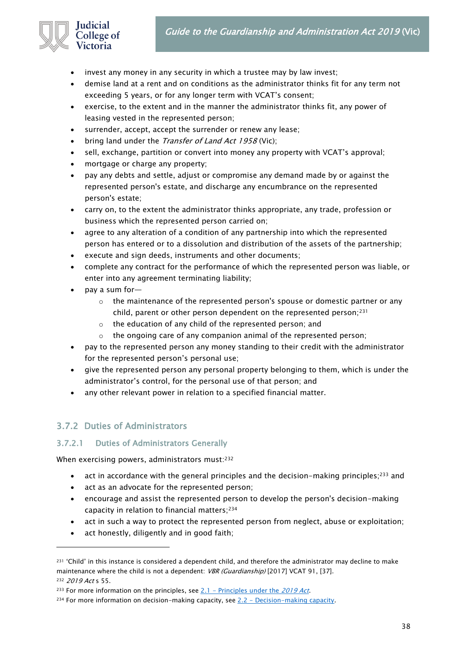### Guide to the Guardianship and Administration Act 2019 (Vic)



- invest any money in any security in which a trustee may by law invest;
- demise land at a rent and on conditions as the administrator thinks fit for any term not exceeding 5 years, or for any longer term with VCAT's consent;
- exercise, to the extent and in the manner the administrator thinks fit, any power of leasing vested in the represented person;
- surrender, accept, accept the surrender or renew any lease;
- bring land under the *Transfer of Land Act 1958* (Vic);
- sell, exchange, partition or convert into money any property with VCAT's approval;
- mortgage or charge any property;
- pay any debts and settle, adjust or compromise any demand made by or against the represented person's estate, and discharge any encumbrance on the represented person's estate;
- carry on, to the extent the administrator thinks appropriate, any trade, profession or business which the represented person carried on;
- agree to any alteration of a condition of any partnership into which the represented person has entered or to a dissolution and distribution of the assets of the partnership;
- execute and sign deeds, instruments and other documents;
- complete any contract for the performance of which the represented person was liable, or enter into any agreement terminating liability;
- pay a sum for—
	- $\circ$  the maintenance of the represented person's spouse or domestic partner or any child, parent or other person dependent on the represented person;<sup>231</sup>
	- o the education of any child of the represented person; and
	- o the ongoing care of any companion animal of the represented person;
- pay to the represented person any money standing to their credit with the administrator for the represented person's personal use;
- give the represented person any personal property belonging to them, which is under the administrator's control, for the personal use of that person; and
- any other relevant power in relation to a specified financial matter.

### 3.7.2 Duties of Administrators

### 3.7.2.1 Duties of Administrators Generally

When exercising powers, administrators must:232

- act in accordance with the general principles and the decision-making principles;<sup>233</sup> and
- act as an advocate for the represented person;
- encourage and assist the represented person to develop the person's decision-making capacity in relation to financial matters;<sup>234</sup>
- act in such a way to protect the represented person from neglect, abuse or exploitation;
- act honestly, diligently and in good faith;

<sup>231 &#</sup>x27;Child' in this instance is considered a dependent child, and therefore the administrator may decline to make maintenance where the child is not a dependent: VBR (Guardianship) [2017] VCAT 91, [37]. 232 2019 Act s 55.

<sup>&</sup>lt;sup>233</sup> For more information on the principles, see  $2.1$  – [Principles under the](#page-8-0) 2019 Act.

<sup>&</sup>lt;sup>234</sup> For more information on decision-making capacity, see 2.2 - [Decision-making capacity.](#page-11-0)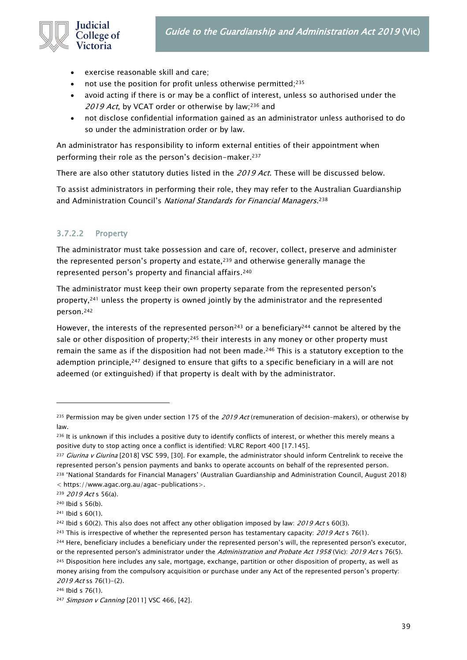

- exercise reasonable skill and care;
- not use the position for profit unless otherwise permitted;<sup>235</sup>
- avoid acting if there is or may be a conflict of interest, unless so authorised under the 2019 Act, by VCAT order or otherwise by law;<sup>236</sup> and
- not disclose confidential information gained as an administrator unless authorised to do so under the administration order or by law.

An administrator has responsibility to inform external entities of their appointment when performing their role as the person's decision-maker.<sup>237</sup>

There are also other statutory duties listed in the 2019 Act. These will be discussed below.

To assist administrators in performing their role, they may refer to the Australian Guardianship and Administration Council's *National Standards for Financial Managers*.<sup>238</sup>

### 3.7.2.2 Property

The administrator must take possession and care of, recover, collect, preserve and administer the represented person's property and estate, $239$  and otherwise generally manage the represented person's property and financial affairs.<sup>240</sup>

The administrator must keep their own property separate from the represented person's property,<sup>241</sup> unless the property is owned jointly by the administrator and the represented person.<sup>242</sup>

However, the interests of the represented person<sup>243</sup> or a beneficiary<sup>244</sup> cannot be altered by the sale or other disposition of property;<sup>245</sup> their interests in any money or other property must remain the same as if the disposition had not been made.<sup>246</sup> This is a statutory exception to the ademption principle,<sup>247</sup> designed to ensure that gifts to a specific beneficiary in a will are not adeemed (or extinguished) if that property is dealt with by the administrator.

<sup>&</sup>lt;sup>235</sup> Permission may be given under section 175 of the 2019 Act (remuneration of decision-makers), or otherwise by law.

<sup>&</sup>lt;sup>236</sup> It is unknown if this includes a positive duty to identify conflicts of interest, or whether this merely means a positive duty to stop acting once a conflict is identified: VLRC Report 400 [17.145].

<sup>&</sup>lt;sup>237</sup> Giurina v Giurina [2018] VSC 599, [30]. For example, the administrator should inform Centrelink to receive the represented person's pension payments and banks to operate accounts on behalf of the represented person. <sup>238</sup> 'National Standards for Financial Managers' (Australian Guardianship and Administration Council, August 2018) < https://www.agac.org.au/agac-publications>.

<sup>239 2019</sup> Act s 56(a).

 $240$  Ibid s 56(b).

<sup>241</sup> Ibid s 60(1).

<sup>&</sup>lt;sup>242</sup> Ibid s  $60(2)$ . This also does not affect any other obligation imposed by law:  $2019$  Act s  $60(3)$ .

<sup>&</sup>lt;sup>243</sup> This is irrespective of whether the represented person has testamentary capacity: 2019 Act s 76(1).

<sup>&</sup>lt;sup>244</sup> Here, beneficiary includes a beneficiary under the represented person's will, the represented person's executor, or the represented person's administrator under the Administration and Probate Act 1958 (Vic): 2019 Act s 76(5). 245 Disposition here includes any sale, mortgage, exchange, partition or other disposition of property, as well as money arising from the compulsory acquisition or purchase under any Act of the represented person's property: 2019 Act ss 76(1)-(2).

<sup>246</sup> Ibid s 76(1).

<sup>247</sup> Simpson v Canning [2011] VSC 466, [42].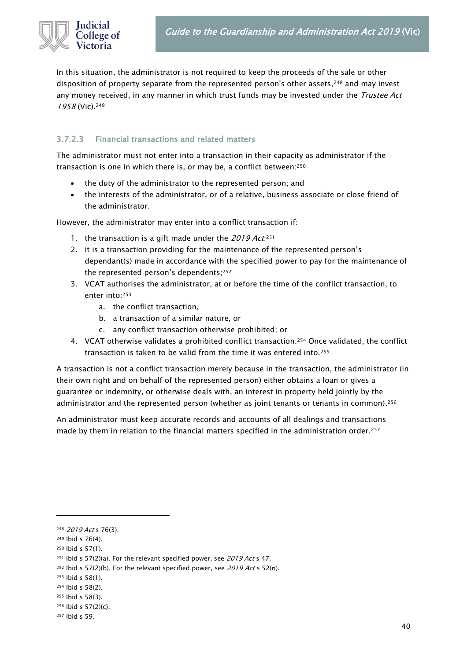In this situation, the administrator is not required to keep the proceeds of the sale or other disposition of property separate from the represented person's other assets,<sup>248</sup> and may invest any money received, in any manner in which trust funds may be invested under the *Trustee Act* 1958 (Vic). 249

### 3.7.2.3 Financial transactions and related matters

The administrator must not enter into a transaction in their capacity as administrator if the transaction is one in which there is, or may be, a conflict between:<sup>250</sup>

- the duty of the administrator to the represented person; and
- the interests of the administrator, or of a relative, business associate or close friend of the administrator.

However, the administrator may enter into a conflict transaction if:

- 1. the transaction is a gift made under the 2019  $Act;^{251}$
- 2. it is a transaction providing for the maintenance of the represented person's dependant(s) made in accordance with the specified power to pay for the maintenance of the represented person's dependents;<sup>252</sup>
- 3. VCAT authorises the administrator, at or before the time of the conflict transaction, to enter into:<sup>253</sup>
	- a. the conflict transaction,
	- b. a transaction of a similar nature, or
	- c. any conflict transaction otherwise prohibited; or
- 4. VCAT otherwise validates a prohibited conflict transaction.<sup>254</sup> Once validated, the conflict transaction is taken to be valid from the time it was entered into.<sup>255</sup>

A transaction is not a conflict transaction merely because in the transaction, the administrator (in their own right and on behalf of the represented person) either obtains a loan or gives a guarantee or indemnity, or otherwise deals with, an interest in property held jointly by the administrator and the represented person (whether as joint tenants or tenants in common). 256

<span id="page-39-0"></span>An administrator must keep accurate records and accounts of all dealings and transactions made by them in relation to the financial matters specified in the administration order.<sup>257</sup>

<sup>248 2019</sup> Act s 76(3).

<sup>249</sup> Ibid s 76(4).

<sup>250</sup> Ibid s 57(1).

<sup>&</sup>lt;sup>251</sup> Ibid s 57(2)(a). For the relevant specified power, see 2019 Act s 47.

<sup>&</sup>lt;sup>252</sup> Ibid s 57(2)(b). For the relevant specified power, see  $2019$  Act s 52(n).

<sup>253</sup> Ibid s 58(1).

<sup>254</sup> Ibid s 58(2).

<sup>255</sup> Ibid s 58(3).

 $256$  Ibid s  $57(2)(c)$ .

<sup>257</sup> Ibid s 59.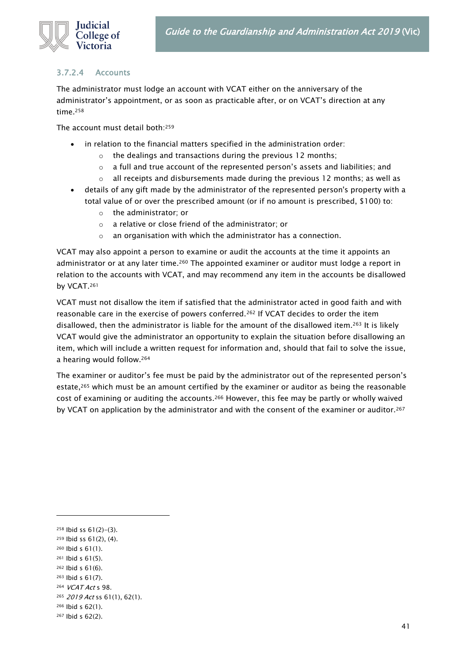### udicial College of Victoria

### 3.7.2.4 Accounts

The administrator must lodge an account with VCAT either on the anniversary of the administrator's appointment, or as soon as practicable after, or on VCAT's direction at any time.<sup>258</sup>

The account must detail both:<sup>259</sup>

- in relation to the financial matters specified in the administration order:
	- the dealings and transactions during the previous 12 months;
	- o a full and true account of the represented person's assets and liabilities; and
	- $\circ$  all receipts and disbursements made during the previous 12 months; as well as
- details of any gift made by the administrator of the represented person's property with a total value of or over the prescribed amount (or if no amount is prescribed, \$100) to:
	- o the administrator; or
	- o a relative or close friend of the administrator; or
	- o an organisation with which the administrator has a connection.

VCAT may also appoint a person to examine or audit the accounts at the time it appoints an administrator or at any later time.<sup>260</sup> The appointed examiner or auditor must lodge a report in relation to the accounts with VCAT, and may recommend any item in the accounts be disallowed by VCAT.<sup>261</sup>

VCAT must not disallow the item if satisfied that the administrator acted in good faith and with reasonable care in the exercise of powers conferred.<sup>262</sup> If VCAT decides to order the item disallowed, then the administrator is liable for the amount of the disallowed item.<sup>263</sup> It is likely VCAT would give the administrator an opportunity to explain the situation before disallowing an item, which will include a written request for information and, should that fail to solve the issue, a hearing would follow.<sup>264</sup>

The examiner or auditor's fee must be paid by the administrator out of the represented person's estate,<sup>265</sup> which must be an amount certified by the examiner or auditor as being the reasonable cost of examining or auditing the accounts.<sup>266</sup> However, this fee may be partly or wholly waived by VCAT on application by the administrator and with the consent of the examiner or auditor.<sup>267</sup>

- <sup>260</sup> Ibid s 61(1).
- <sup>261</sup> Ibid s 61(5).
- <sup>262</sup> Ibid s 61(6).
- <sup>263</sup> Ibid s 61(7).
- <sup>264</sup> VCAT Act s 98.
- <sup>265</sup> 2019 Act ss 61(1), 62(1).
- <sup>266</sup> Ibid s 62(1). <sup>267</sup> Ibid s 62(2).

 $258$  lbid ss  $61(2)-(3)$ .

<sup>259</sup> Ibid ss 61(2), (4).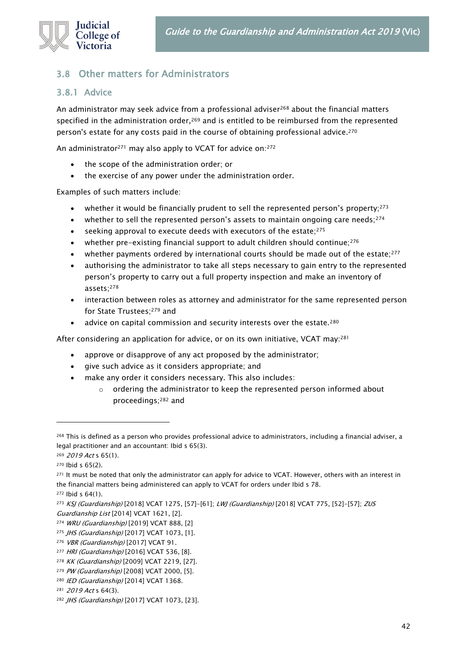

### 3.8 Other matters for Administrators

### 3.8.1 Advice

An administrator may seek advice from a professional adviser<sup>268</sup> about the financial matters specified in the administration order, $269$  and is entitled to be reimbursed from the represented person's estate for any costs paid in the course of obtaining professional advice.<sup>270</sup>

An administrator<sup>271</sup> may also apply to VCAT for advice on:<sup>272</sup>

- the scope of the administration order; or
- the exercise of any power under the administration order.

Examples of such matters include:

- whether it would be financially prudent to sell the represented person's property;<sup>273</sup>
- whether to sell the represented person's assets to maintain ongoing care needs;  $274$
- seeking approval to execute deeds with executors of the estate: $275$
- whether pre-existing financial support to adult children should continue;<sup>276</sup>
- whether payments ordered by international courts should be made out of the estate;<sup>277</sup>
- authorising the administrator to take all steps necessary to gain entry to the represented person's property to carry out a full property inspection and make an inventory of assets;<sup>278</sup>
- interaction between roles as attorney and administrator for the same represented person for State Trustees;<sup>279</sup> and
- advice on capital commission and security interests over the estate.<sup>280</sup>

After considering an application for advice, or on its own initiative, VCAT may:<sup>281</sup>

- approve or disapprove of any act proposed by the administrator;
- give such advice as it considers appropriate; and
- make any order it considers necessary. This also includes:
	- o ordering the administrator to keep the represented person informed about proceedings;<sup>282</sup> and

<sup>&</sup>lt;sup>268</sup> This is defined as a person who provides professional advice to administrators, including a financial adviser, a legal practitioner and an accountant: Ibid s 65(3).

<sup>269 2019</sup> Act s 65(1).

<sup>270</sup> Ibid s 65(2).

<sup>271</sup> It must be noted that only the administrator can apply for advice to VCAT. However, others with an interest in the financial matters being administered can apply to VCAT for orders under Ibid s 78.

<sup>272</sup> Ibid s 64(1).

<sup>273</sup> KSJ (Guardianship) [2018] VCAT 1275, [57]-[61]; LWJ (Guardianship) [2018] VCAT 775, [52]-[57]; ZUS Guardianship List [2014] VCAT 1621, [2].

<sup>274</sup> WRU (Guardianship) [2019] VCAT 888, [2]

<sup>275</sup> JHS (Guardianship) [2017] VCAT 1073, [1].

<sup>&</sup>lt;sup>276</sup> VBR (Guardianship) [2017] VCAT 91.

<sup>277</sup> HRI (Guardianship) [2016] VCAT 536, [8].

<sup>278</sup> KK (Guardianship) [2009] VCAT 2219, [27].

<sup>279</sup> PW (Guardianship) [2008] VCAT 2000, [5].

<sup>280</sup> IED (Guardianship) [2014] VCAT 1368.

<sup>281 2019</sup> Act s 64(3).

<sup>282</sup> JHS (Guardianship) [2017] VCAT 1073, [23].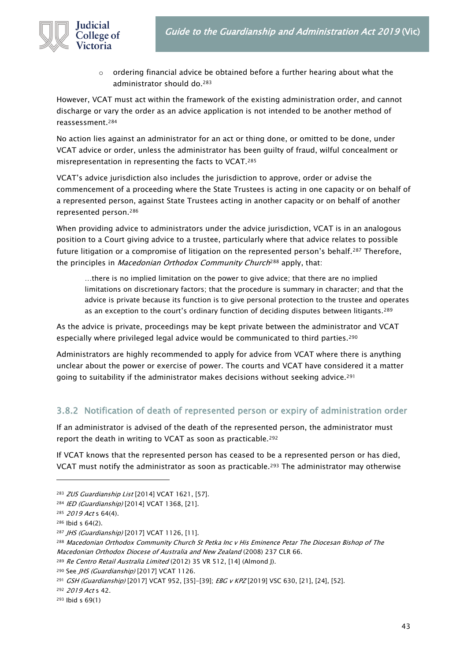

 $\circ$  ordering financial advice be obtained before a further hearing about what the administrator should do.<sup>283</sup>

However, VCAT must act within the framework of the existing administration order, and cannot discharge or vary the order as an advice application is not intended to be another method of reassessment.<sup>284</sup>

No action lies against an administrator for an act or thing done, or omitted to be done, under VCAT advice or order, unless the administrator has been guilty of fraud, wilful concealment or misrepresentation in representing the facts to VCAT.<sup>285</sup>

VCAT's advice jurisdiction also includes the jurisdiction to approve, order or advise the commencement of a proceeding where the State Trustees is acting in one capacity or on behalf of a represented person, against State Trustees acting in another capacity or on behalf of another represented person.<sup>286</sup>

When providing advice to administrators under the advice jurisdiction, VCAT is in an analogous position to a Court giving advice to a trustee, particularly where that advice relates to possible future litigation or a compromise of litigation on the represented person's behalf.<sup>287</sup> Therefore, the principles in Macedonian Orthodox Community Church<sup>288</sup> apply, that:

…there is no implied limitation on the power to give advice; that there are no implied limitations on discretionary factors; that the procedure is summary in character; and that the advice is private because its function is to give personal protection to the trustee and operates as an exception to the court's ordinary function of deciding disputes between litigants.<sup>289</sup>

As the advice is private, proceedings may be kept private between the administrator and VCAT especially where privileged legal advice would be communicated to third parties.<sup>290</sup>

Administrators are highly recommended to apply for advice from VCAT where there is anything unclear about the power or exercise of power. The courts and VCAT have considered it a matter going to suitability if the administrator makes decisions without seeking advice.<sup>291</sup>

### 3.8.2 Notification of death of represented person or expiry of administration order

If an administrator is advised of the death of the represented person, the administrator must report the death in writing to VCAT as soon as practicable.<sup>292</sup>

If VCAT knows that the represented person has ceased to be a represented person or has died, VCAT must notify the administrator as soon as practicable.<sup>293</sup> The administrator may otherwise

<sup>292</sup> 2019 Act s 42.

<sup>293</sup> Ibid s 69(1)

<sup>283</sup> ZUS Guardianship List [2014] VCAT 1621, [57].

<sup>284</sup> IED (Guardianship) [2014] VCAT 1368, [21].

<sup>285</sup> 2019 Act s 64(4).

<sup>286</sup> Ibid s 64(2).

<sup>287</sup> JHS (Guardianship) [2017] VCAT 1126, [11].

<sup>&</sup>lt;sup>288</sup> Macedonian Orthodox Community Church St Petka Inc v His Eminence Petar The Diocesan Bishop of The Macedonian Orthodox Diocese of Australia and New Zealand (2008) 237 CLR 66.

<sup>289</sup> Re Centro Retail Australia Limited (2012) 35 VR 512, [14] (Almond J).

<sup>&</sup>lt;sup>290</sup> See JHS (Guardianship) [2017] VCAT 1126.

<sup>&</sup>lt;sup>291</sup> GSH (Guardianship) [2017] VCAT 952, [35]-[39]; EBG v KPZ [2019] VSC 630, [21], [24], [52].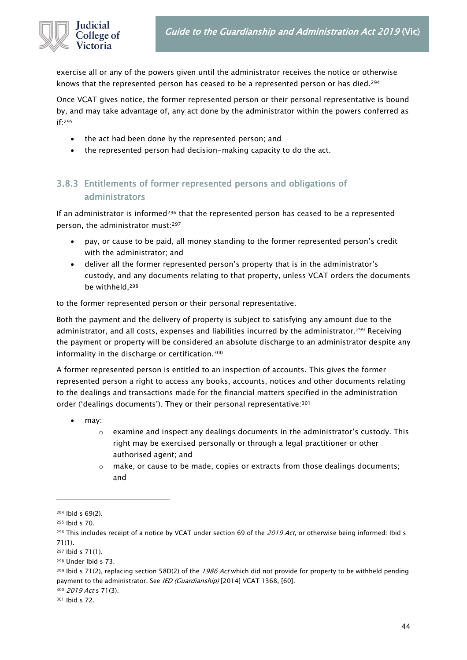

exercise all or any of the powers given until the administrator receives the notice or otherwise knows that the represented person has ceased to be a represented person or has died.<sup>294</sup>

Once VCAT gives notice, the former represented person or their personal representative is bound by, and may take advantage of, any act done by the administrator within the powers conferred as if:<sup>295</sup>

- the act had been done by the represented person; and
- the represented person had decision-making capacity to do the act.

### 3.8.3 Entitlements of former represented persons and obligations of administrators

If an administrator is informed<sup>296</sup> that the represented person has ceased to be a represented person, the administrator must:<sup>297</sup>

- pay, or cause to be paid, all money standing to the former represented person's credit with the administrator; and
- deliver all the former represented person's property that is in the administrator's custody, and any documents relating to that property, unless VCAT orders the documents be withheld,<sup>298</sup>

to the former represented person or their personal representative.

Both the payment and the delivery of property is subject to satisfying any amount due to the administrator, and all costs, expenses and liabilities incurred by the administrator.<sup>299</sup> Receiving the payment or property will be considered an absolute discharge to an administrator despite any informality in the discharge or certification.<sup>300</sup>

A former represented person is entitled to an inspection of accounts. This gives the former represented person a right to access any books, accounts, notices and other documents relating to the dealings and transactions made for the financial matters specified in the administration order ('dealings documents'). They or their personal representative:<sup>301</sup>

- may:
	- $\circ$  examine and inspect any dealings documents in the administrator's custody. This right may be exercised personally or through a legal practitioner or other authorised agent; and
	- o make, or cause to be made, copies or extracts from those dealings documents; and

<sup>300</sup> 2019 Act s 71(3).

<sup>301</sup> Ibid s 72.

<sup>294</sup> Ibid s 69(2).

<sup>295</sup> Ibid s 70.

<sup>&</sup>lt;sup>296</sup> This includes receipt of a notice by VCAT under section 69 of the 2019 Act, or otherwise being informed: Ibid s 71(1).

<sup>297</sup> Ibid s 71(1).

<sup>298</sup> Under Ibid s 73.

<sup>&</sup>lt;sup>299</sup> Ibid s 71(2), replacing section 58D(2) of the 1986 Act which did not provide for property to be withheld pending payment to the administrator. See IED (Guardianship) [2014] VCAT 1368, [60].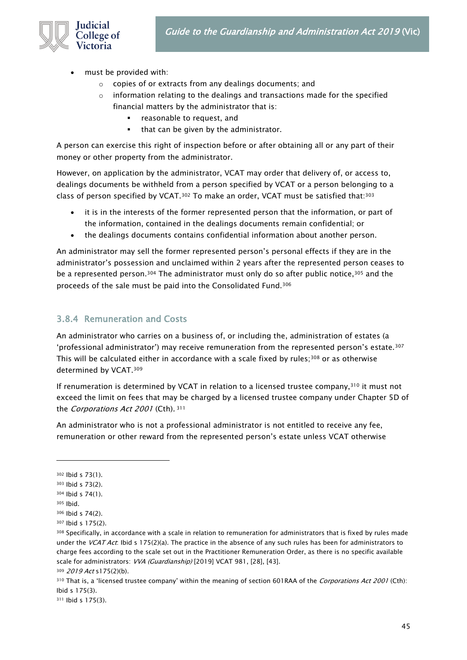

- must be provided with:
	- o copies of or extracts from any dealings documents; and
	- $\circ$  information relating to the dealings and transactions made for the specified financial matters by the administrator that is:
		- reasonable to request, and
		- that can be given by the administrator.

A person can exercise this right of inspection before or after obtaining all or any part of their money or other property from the administrator.

However, on application by the administrator, VCAT may order that delivery of, or access to, dealings documents be withheld from a person specified by VCAT or a person belonging to a class of person specified by VCAT.<sup>302</sup> To make an order, VCAT must be satisfied that:<sup>303</sup>

- it is in the interests of the former represented person that the information, or part of the information, contained in the dealings documents remain confidential; or
- the dealings documents contains confidential information about another person.

An administrator may sell the former represented person's personal effects if they are in the administrator's possession and unclaimed within 2 years after the represented person ceases to be a represented person.<sup>304</sup> The administrator must only do so after public notice,<sup>305</sup> and the proceeds of the sale must be paid into the Consolidated Fund.<sup>306</sup>

### 3.8.4 Remuneration and Costs

An administrator who carries on a business of, or including the, administration of estates (a 'professional administrator') may receive remuneration from the represented person's estate.<sup>307</sup> This will be calculated either in accordance with a scale fixed by rules; $308$  or as otherwise determined by VCAT.<sup>309</sup>

If renumeration is determined by VCAT in relation to a licensed trustee company, $310$  it must not exceed the limit on fees that may be charged by a licensed trustee company under Chapter 5D of the *Corporations Act 2001* (Cth). 311

An administrator who is not a professional administrator is not entitled to receive any fee, remuneration or other reward from the represented person's estate unless VCAT otherwise

<sup>302</sup> Ibid s 73(1).

<sup>303</sup> Ibid s 73(2).

<sup>304</sup> Ibid s 74(1).

<sup>305</sup> Ibid.

<sup>306</sup> Ibid s 74(2).

<sup>307</sup> Ibid s 175(2).

<sup>308</sup> Specifically, in accordance with a scale in relation to remuneration for administrators that is fixed by rules made under the VCAT Act: Ibid s 175(2)(a). The practice in the absence of any such rules has been for administrators to charge fees according to the scale set out in the Practitioner Remuneration Order, as there is no specific available scale for administrators: VVA (Guardianship) [2019] VCAT 981, [28], [43]. 309 2019 Act s175(2)(b).

<sup>310</sup> That is, a 'licensed trustee company' within the meaning of section 601RAA of the *Corporations Act 2001* (Cth): Ibid s 175(3).

<sup>311</sup> Ibid s 175(3).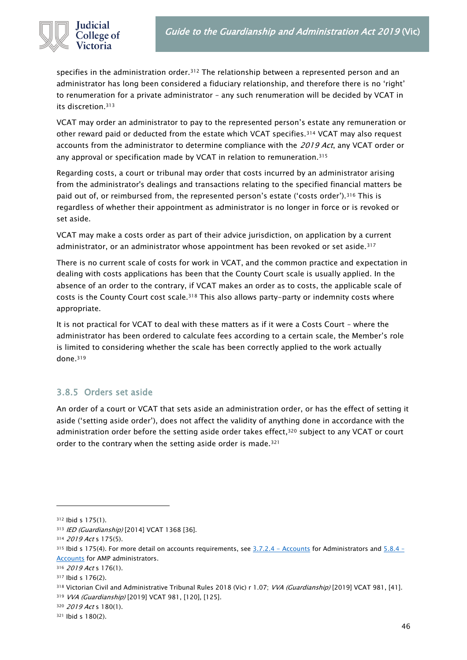

specifies in the administration order.<sup>312</sup> The relationship between a represented person and an administrator has long been considered a fiduciary relationship, and therefore there is no 'right' to renumeration for a private administrator – any such renumeration will be decided by VCAT in its discretion.<sup>313</sup>

VCAT may order an administrator to pay to the represented person's estate any remuneration or other reward paid or deducted from the estate which VCAT specifies.<sup>314</sup> VCAT may also request accounts from the administrator to determine compliance with the 2019 Act, any VCAT order or any approval or specification made by VCAT in relation to remuneration.<sup>315</sup>

Regarding costs, a court or tribunal may order that costs incurred by an administrator arising from the administrator's dealings and transactions relating to the specified financial matters be paid out of, or reimbursed from, the represented person's estate ('costs order').<sup>316</sup> This is regardless of whether their appointment as administrator is no longer in force or is revoked or set aside.

VCAT may make a costs order as part of their advice jurisdiction, on application by a current administrator, or an administrator whose appointment has been revoked or set aside.<sup>317</sup>

There is no current scale of costs for work in VCAT, and the common practice and expectation in dealing with costs applications has been that the County Court scale is usually applied. In the absence of an order to the contrary, if VCAT makes an order as to costs, the applicable scale of costs is the County Court cost scale.<sup>318</sup> This also allows party-party or indemnity costs where appropriate.

It is not practical for VCAT to deal with these matters as if it were a Costs Court – where the administrator has been ordered to calculate fees according to a certain scale, the Member's role is limited to considering whether the scale has been correctly applied to the work actually done.<sup>319</sup>

### 3.8.5 Orders set aside

An order of a court or VCAT that sets aside an administration order, or has the effect of setting it aside ('setting aside order'), does not affect the validity of anything done in accordance with the administration order before the setting aside order takes effect,<sup>320</sup> subject to any VCAT or court order to the contrary when the setting aside order is made.<sup>321</sup>

<sup>312</sup> Ibid s 175(1).

<sup>313</sup> IED (Guardianship) [2014] VCAT 1368 [36].

<sup>314 2019</sup> Act s 175(5).

<sup>&</sup>lt;sup>315</sup> Ibid s 175(4). For more detail on accounts requirements, see  $3.7.2.4$  - Accounts for Administrators and  $5.8.4$  -[Accounts](#page-66-0) for AMP administrators.

<sup>316 2019</sup> Act s 176(1).

<sup>317</sup> Ibid s 176(2).

<sup>318</sup> Victorian Civil and Administrative Tribunal Rules 2018 (Vic) r 1.07; VVA (Guardianship) [2019] VCAT 981, [41].

<sup>319</sup> VVA (Guardianship) [2019] VCAT 981, [120], [125].

<sup>320 2019</sup> Act s 180(1).

<sup>321</sup> Ibid s 180(2).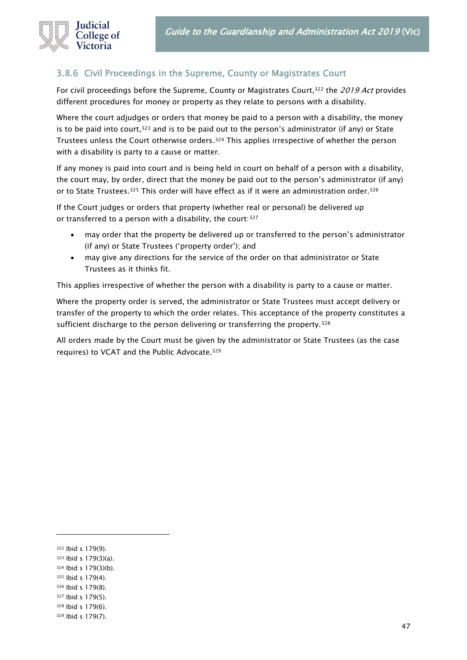

### 3.8.6 Civil Proceedings in the Supreme, County or Magistrates Court

For civil proceedings before the Supreme, County or Magistrates Court,<sup>322</sup> the 2019 Act provides different procedures for money or property as they relate to persons with a disability.

Where the court adjudges or orders that money be paid to a person with a disability, the money is to be paid into court,  $323$  and is to be paid out to the person's administrator (if any) or State Trustees unless the Court otherwise orders.<sup>324</sup> This applies irrespective of whether the person with a disability is party to a cause or matter.

If any money is paid into court and is being held in court on behalf of a person with a disability, the court may, by order, direct that the money be paid out to the person's administrator (if any) or to State Trustees.<sup>325</sup> This order will have effect as if it were an administration order.<sup>326</sup>

If the Court judges or orders that property (whether real or personal) be delivered up or transferred to a person with a disability, the court: 327

- may order that the property be delivered up or transferred to the person's administrator (if any) or State Trustees ('property order'); and
- may give any directions for the service of the order on that administrator or State Trustees as it thinks fit.

This applies irrespective of whether the person with a disability is party to a cause or matter.

Where the property order is served, the administrator or State Trustees must accept delivery or transfer of the property to which the order relates. This acceptance of the property constitutes a sufficient discharge to the person delivering or transferring the property.<sup>328</sup>

All orders made by the Court must be given by the administrator or State Trustees (as the case requires) to VCAT and the Public Advocate.<sup>329</sup>

- <sup>323</sup> Ibid s 179(3)(a).
- <sup>324</sup> Ibid s 179(3)(b).
- <sup>325</sup> Ibid s 179(4).
- <sup>326</sup> Ibid s 179(8). <sup>327</sup> Ibid s 179(5).
- <sup>328</sup> Ibid s 179(6).
- <sup>329</sup> Ibid s 179(7).

47

<sup>322</sup> Ibid s 179(9).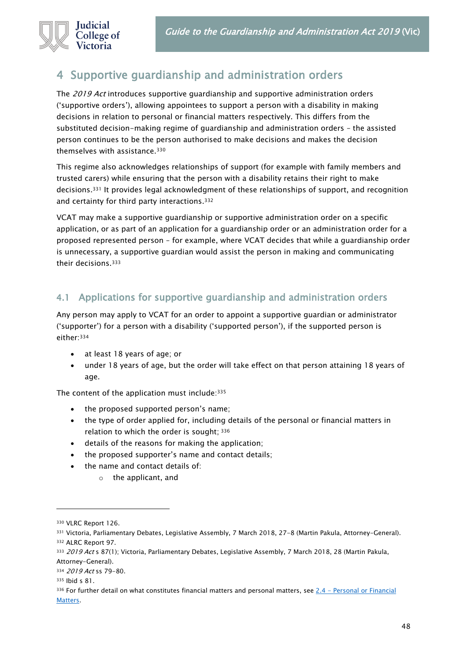

# 4 Supportive guardianship and administration orders

The 2019 Act introduces supportive guardianship and supportive administration orders ('supportive orders'), allowing appointees to support a person with a disability in making decisions in relation to personal or financial matters respectively. This differs from the substituted decision-making regime of guardianship and administration orders – the assisted person continues to be the person authorised to make decisions and makes the decision themselves with assistance.<sup>330</sup>

This regime also acknowledges relationships of support (for example with family members and trusted carers) while ensuring that the person with a disability retains their right to make decisions.<sup>331</sup> It provides legal acknowledgment of these relationships of support, and recognition and certainty for third party interactions.<sup>332</sup>

VCAT may make a supportive guardianship or supportive administration order on a specific application, or as part of an application for a guardianship order or an administration order for a proposed represented person – for example, where VCAT decides that while a guardianship order is unnecessary, a supportive guardian would assist the person in making and communicating their decisions.<sup>333</sup>

### 4.1 Applications for supportive guardianship and administration orders

Any person may apply to VCAT for an order to appoint a supportive guardian or administrator ('supporter') for a person with a disability ('supported person'), if the supported person is either:<sup>334</sup>

- at least 18 years of age; or
- under 18 years of age, but the order will take effect on that person attaining 18 years of age.

The content of the application must include:<sup>335</sup>

- the proposed supported person's name;
- the type of order applied for, including details of the personal or financial matters in relation to which the order is sought; 336
- details of the reasons for making the application;
- the proposed supporter's name and contact details;
- the name and contact details of:
	- o the applicant, and

<sup>330</sup> VLRC Report 126.

<sup>331</sup> Victoria, Parliamentary Debates, Legislative Assembly, 7 March 2018, 27-8 (Martin Pakula, Attorney-General). <sup>332</sup> ALRC Report 97.

<sup>333 2019</sup> Act s 87(1); Victoria, Parliamentary Debates, Legislative Assembly, 7 March 2018, 28 (Martin Pakula,

Attorney-General).

<sup>334 2019</sup> Act ss 79-80.

<sup>335</sup> Ibid s 81.

 $336$  For further detail on what constitutes financial matters and personal matters, see  $2.4$  – Personal or Financial [Matters.](#page-13-0)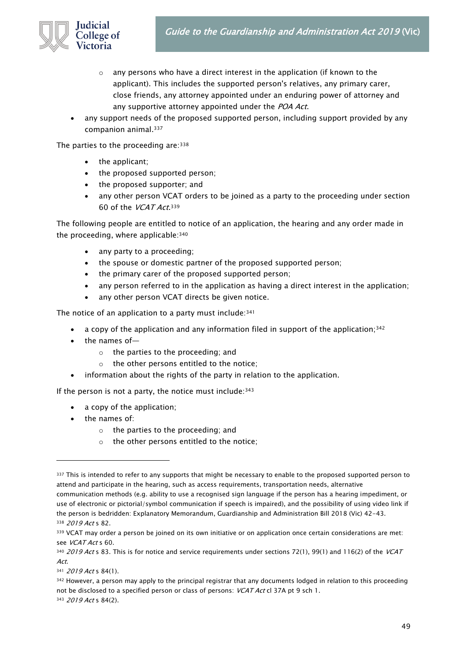

- o any persons who have a direct interest in the application (if known to the applicant). This includes the supported person's relatives, any primary carer, close friends, any attorney appointed under an enduring power of attorney and any supportive attorney appointed under the POA Act.
- any support needs of the proposed supported person, including support provided by any companion animal.<sup>337</sup>

The parties to the proceeding are: 338

- the applicant;
- the proposed supported person;
- the proposed supporter; and
- any other person VCAT orders to be joined as a party to the proceeding under section 60 of the *VCAT Act*.<sup>339</sup>

The following people are entitled to notice of an application, the hearing and any order made in the proceeding, where applicable:<sup>340</sup>

- any party to a proceeding;
- the spouse or domestic partner of the proposed supported person;
- the primary carer of the proposed supported person;
- any person referred to in the application as having a direct interest in the application;
- any other person VCAT directs be given notice.

The notice of an application to a party must include: 341

- a copy of the application and any information filed in support of the application;<sup>342</sup>
- the names of $$ 
	- o the parties to the proceeding; and
	- o the other persons entitled to the notice;
- information about the rights of the party in relation to the application.

If the person is not a party, the notice must include: $343$ 

- a copy of the application;
- the names of:
	- o the parties to the proceeding; and
	- o the other persons entitled to the notice;

342 However, a person may apply to the principal registrar that any documents lodged in relation to this proceeding not be disclosed to a specified person or class of persons: VCAT Act cl 37A pt 9 sch 1. 343 2019 Act s 84(2).

<sup>337</sup> This is intended to refer to any supports that might be necessary to enable to the proposed supported person to attend and participate in the hearing, such as access requirements, transportation needs, alternative

communication methods (e.g. ability to use a recognised sign language if the person has a hearing impediment, or use of electronic or pictorial/symbol communication if speech is impaired), and the possibility of using video link if the person is bedridden: Explanatory Memorandum, Guardianship and Administration Bill 2018 (Vic) 42-43. <sup>338</sup> 2019 Act s 82.

<sup>339</sup> VCAT may order a person be joined on its own initiative or on application once certain considerations are met: see VCAT Act s 60.

<sup>340 2019</sup> Act s 83. This is for notice and service requirements under sections 72(1), 99(1) and 116(2) of the VCAT Act.

<sup>341</sup> 2019 Act s 84(1).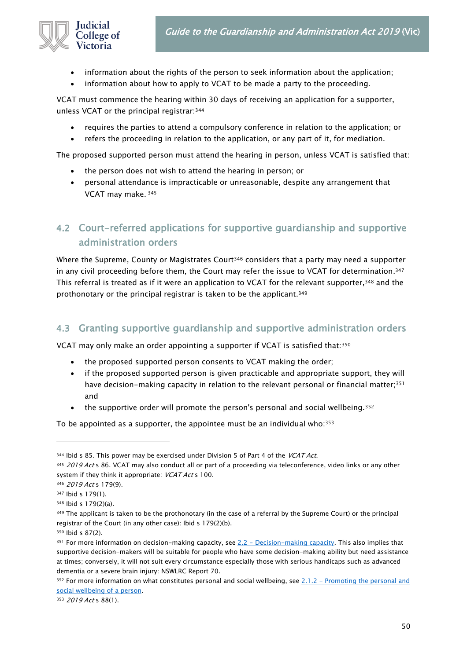

- information about the rights of the person to seek information about the application;
- information about how to apply to VCAT to be made a party to the proceeding.

VCAT must commence the hearing within 30 days of receiving an application for a supporter, unless VCAT or the principal registrar:<sup>344</sup>

- requires the parties to attend a compulsory conference in relation to the application; or
- refers the proceeding in relation to the application, or any part of it, for mediation.

The proposed supported person must attend the hearing in person, unless VCAT is satisfied that:

- the person does not wish to attend the hearing in person; or
- personal attendance is impracticable or unreasonable, despite any arrangement that VCAT may make. <sup>345</sup>

## 4.2 Court-referred applications for supportive guardianship and supportive administration orders

Where the Supreme, County or Magistrates Court<sup>346</sup> considers that a party may need a supporter in any civil proceeding before them, the Court may refer the issue to VCAT for determination. $^{347}$ This referral is treated as if it were an application to VCAT for the relevant supporter,<sup>348</sup> and the prothonotary or the principal registrar is taken to be the applicant.<sup>349</sup>

### 4.3 Granting supportive guardianship and supportive administration orders

VCAT may only make an order appointing a supporter if VCAT is satisfied that:<sup>350</sup>

- the proposed supported person consents to VCAT making the order;
- if the proposed supported person is given practicable and appropriate support, they will have decision-making capacity in relation to the relevant personal or financial matter;<sup>351</sup> and
- the supportive order will promote the person's personal and social wellbeing.<sup>352</sup>

To be appointed as a supporter, the appointee must be an individual who: 353

353 2019 Act s 88(1).

 $344$  Ibid s 85. This power may be exercised under Division 5 of Part 4 of the VCAT Act.

<sup>345 2019</sup> Act s 86. VCAT may also conduct all or part of a proceeding via teleconference, video links or any other system if they think it appropriate: VCAT Act s 100.

<sup>346 2019</sup> Act s 179(9).

<sup>347</sup> Ibid s 179(1).

<sup>348</sup> Ibid s 179(2)(a).

<sup>349</sup> The applicant is taken to be the prothonotary (in the case of a referral by the Supreme Court) or the principal registrar of the Court (in any other case): Ibid s 179(2)(b).

<sup>350</sup> Ibid s 87(2).

 $351$  For more information on decision-making capacity, see  $2.2$  - [Decision-making capacity.](#page-11-0) This also implies that supportive decision-makers will be suitable for people who have some decision-making ability but need assistance at times; conversely, it will not suit every circumstance especially those with serious handicaps such as advanced dementia or a severe brain injury: NSWLRC Report 70.

<sup>352</sup> For more information on what constitutes personal and social wellbeing, see 2.1.2 - Promoting the personal and [social wellbeing of a person.](#page-9-0)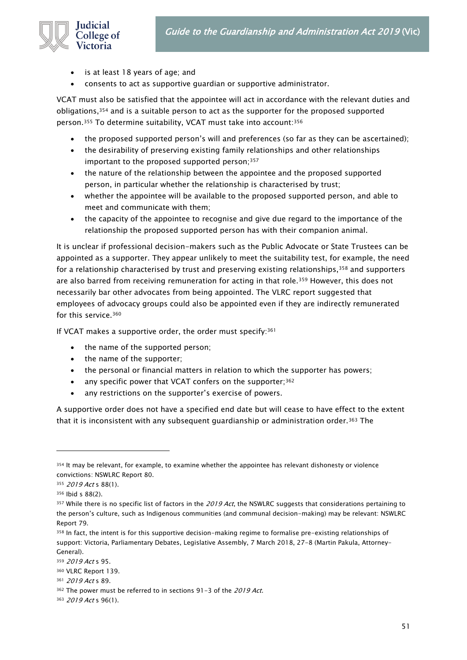

- is at least 18 years of age; and
- consents to act as supportive guardian or supportive administrator.

VCAT must also be satisfied that the appointee will act in accordance with the relevant duties and obligations,<sup>354</sup> and is a suitable person to act as the supporter for the proposed supported person.<sup>355</sup> To determine suitability, VCAT must take into account:<sup>356</sup>

- the proposed supported person's will and preferences (so far as they can be ascertained);
- the desirability of preserving existing family relationships and other relationships important to the proposed supported person;<sup>357</sup>
- the nature of the relationship between the appointee and the proposed supported person, in particular whether the relationship is characterised by trust;
- whether the appointee will be available to the proposed supported person, and able to meet and communicate with them;
- the capacity of the appointee to recognise and give due regard to the importance of the relationship the proposed supported person has with their companion animal.

It is unclear if professional decision-makers such as the Public Advocate or State Trustees can be appointed as a supporter. They appear unlikely to meet the suitability test, for example, the need for a relationship characterised by trust and preserving existing relationships,<sup>358</sup> and supporters are also barred from receiving remuneration for acting in that role.<sup>359</sup> However, this does not necessarily bar other advocates from being appointed. The VLRC report suggested that employees of advocacy groups could also be appointed even if they are indirectly remunerated for this service.<sup>360</sup>

If VCAT makes a supportive order, the order must specify: 361

- the name of the supported person;
- the name of the supporter;
- the personal or financial matters in relation to which the supporter has powers;
- any specific power that VCAT confers on the supporter;<sup>362</sup>
- any restrictions on the supporter's exercise of powers.

A supportive order does not have a specified end date but will cease to have effect to the extent that it is inconsistent with any subsequent guardianship or administration order.<sup>363</sup> The

<sup>354</sup> It may be relevant, for example, to examine whether the appointee has relevant dishonesty or violence convictions: NSWLRC Report 80.

<sup>355 2019</sup> Act s 88(1).

<sup>356</sup> Ibid s 88(2).

 $357$  While there is no specific list of factors in the 2019 Act, the NSWLRC suggests that considerations pertaining to the person's culture, such as Indigenous communities (and communal decision-making) may be relevant: NSWLRC Report 79.

<sup>358</sup> In fact, the intent is for this supportive decision-making regime to formalise pre-existing relationships of support: Victoria, Parliamentary Debates, Legislative Assembly, 7 March 2018, 27-8 (Martin Pakula, Attorney-General).

<sup>359</sup> 2019 Act s 95.

<sup>360</sup> VLRC Report 139.

<sup>361</sup> 2019 Act s 89.

<sup>362</sup> The power must be referred to in sections 91-3 of the 2019 Act.

<sup>363 2019</sup> Act s 96(1).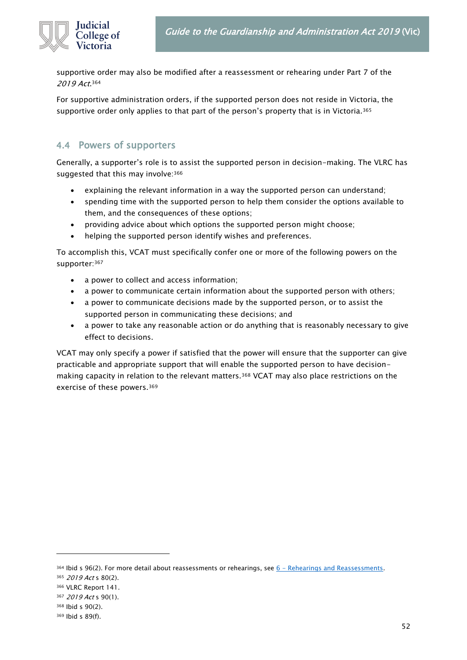

supportive order may also be modified after a reassessment or rehearing under Part 7 of the 2019 Act.<sup>364</sup>

For supportive administration orders, if the supported person does not reside in Victoria, the supportive order only applies to that part of the person's property that is in Victoria.<sup>365</sup>

### 4.4 Powers of supporters

Generally, a supporter's role is to assist the supported person in decision-making. The VLRC has suggested that this may involve: 366

- explaining the relevant information in a way the supported person can understand;
- spending time with the supported person to help them consider the options available to them, and the consequences of these options;
- providing advice about which options the supported person might choose;
- helping the supported person identify wishes and preferences.

To accomplish this, VCAT must specifically confer one or more of the following powers on the supporter:<sup>367</sup>

- a power to collect and access information;
- a power to communicate certain information about the supported person with others;
- a power to communicate decisions made by the supported person, or to assist the supported person in communicating these decisions; and
- a power to take any reasonable action or do anything that is reasonably necessary to give effect to decisions.

VCAT may only specify a power if satisfied that the power will ensure that the supporter can give practicable and appropriate support that will enable the supported person to have decisionmaking capacity in relation to the relevant matters.<sup>368</sup> VCAT may also place restrictions on the exercise of these powers.<sup>369</sup>

 $364$  Ibid s 96(2). For more detail about reassessments or rehearings, see  $6$  - [Rehearings and Reassessments.](#page-71-0)

<sup>365 2019</sup> Act s 80(2).

<sup>366</sup> VLRC Report 141.

<sup>367 2019</sup> Act s 90(1).

<sup>368</sup> Ibid s 90(2).

<sup>369</sup> Ibid s 89(f).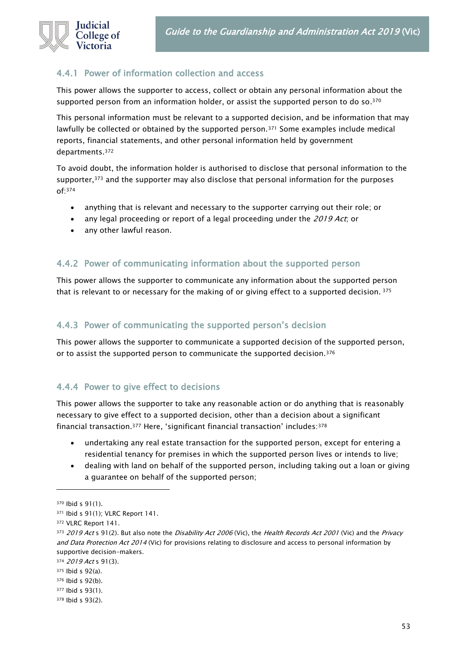

### 4.4.1 Power of information collection and access

This power allows the supporter to access, collect or obtain any personal information about the supported person from an information holder, or assist the supported person to do so. $^{\mathsf{370}}$ 

This personal information must be relevant to a supported decision, and be information that may lawfully be collected or obtained by the supported person.<sup>371</sup> Some examples include medical reports, financial statements, and other personal information held by government departments.<sup>372</sup>

To avoid doubt, the information holder is authorised to disclose that personal information to the supporter,<sup>373</sup> and the supporter may also disclose that personal information for the purposes of:<sup>374</sup>

- anything that is relevant and necessary to the supporter carrying out their role; or
- any legal proceeding or report of a legal proceeding under the 2019 Act, or
- any other lawful reason.

### 4.4.2 Power of communicating information about the supported person

This power allows the supporter to communicate any information about the supported person that is relevant to or necessary for the making of or giving effect to a supported decision. <sup>375</sup>

#### 4.4.3 Power of communicating the supported person's decision

This power allows the supporter to communicate a supported decision of the supported person, or to assist the supported person to communicate the supported decision.<sup>376</sup>

### 4.4.4 Power to give effect to decisions

This power allows the supporter to take any reasonable action or do anything that is reasonably necessary to give effect to a supported decision, other than a decision about a significant financial transaction.<sup>377</sup> Here, 'significant financial transaction' includes:<sup>378</sup>

- undertaking any real estate transaction for the supported person, except for entering a residential tenancy for premises in which the supported person lives or intends to live;
- dealing with land on behalf of the supported person, including taking out a loan or giving a guarantee on behalf of the supported person;

<sup>370</sup> Ibid s 91(1).

<sup>371</sup> Ibid s 91(1); VLRC Report 141.

<sup>372</sup> VLRC Report 141.

<sup>373 2019</sup> Act s 91(2). But also note the *Disability Act 2006* (Vic), the *Health Records Act 2001* (Vic) and the *Privacy* and Data Protection Act 2014 (Vic) for provisions relating to disclosure and access to personal information by supportive decision-makers.

<sup>374 2019</sup> Act s 91(3).

<sup>375</sup> Ibid s 92(a).

<sup>376</sup> Ibid s 92(b).

<sup>377</sup> Ibid s 93(1).

<sup>378</sup> Ibid s 93(2).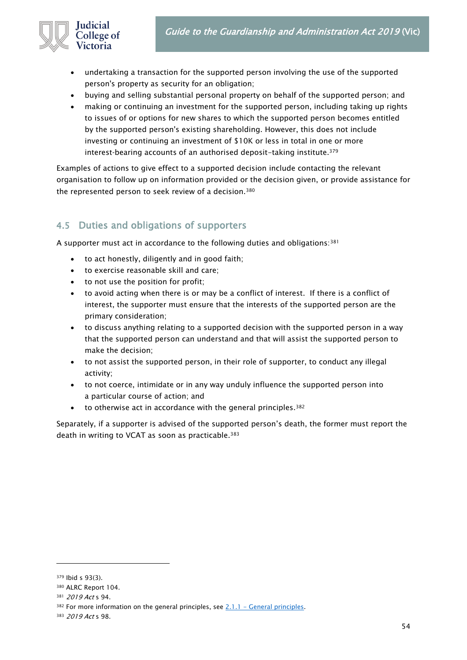

- undertaking a transaction for the supported person involving the use of the supported person's property as security for an obligation;
- buying and selling substantial personal property on behalf of the supported person; and
- making or continuing an investment for the supported person, including taking up rights to issues of or options for new shares to which the supported person becomes entitled by the supported person's existing shareholding. However, this does not include investing or continuing an investment of \$10K or less in total in one or more interest-bearing accounts of an authorised deposit-taking institute.<sup>379</sup>

Examples of actions to give effect to a supported decision include contacting the relevant organisation to follow up on information provided or the decision given, or provide assistance for the represented person to seek review of a decision.<sup>380</sup>

### 4.5 Duties and obligations of supporters

A supporter must act in accordance to the following duties and obligations:<sup>381</sup>

- to act honestly, diligently and in good faith;
- to exercise reasonable skill and care;
- to not use the position for profit;
- to avoid acting when there is or may be a conflict of interest. If there is a conflict of interest, the supporter must ensure that the interests of the supported person are the primary consideration;
- to discuss anything relating to a supported decision with the supported person in a way that the supported person can understand and that will assist the supported person to make the decision;
- to not assist the supported person, in their role of supporter, to conduct any illegal activity;
- to not coerce, intimidate or in any way unduly influence the supported person into a particular course of action; and
- to otherwise act in accordance with the general principles.<sup>382</sup>

Separately, if a supporter is advised of the supported person's death, the former must report the death in writing to VCAT as soon as practicable.<sup>383</sup>

<sup>379</sup> Ibid s 93(3).

<sup>380</sup> ALRC Report 104.

<sup>381 2019</sup> Act s 94.

 $382$  For more information on the general principles, see  $2.1.1$  – [General principles.](#page-8-1)

<sup>383</sup> 2019 Act s 98.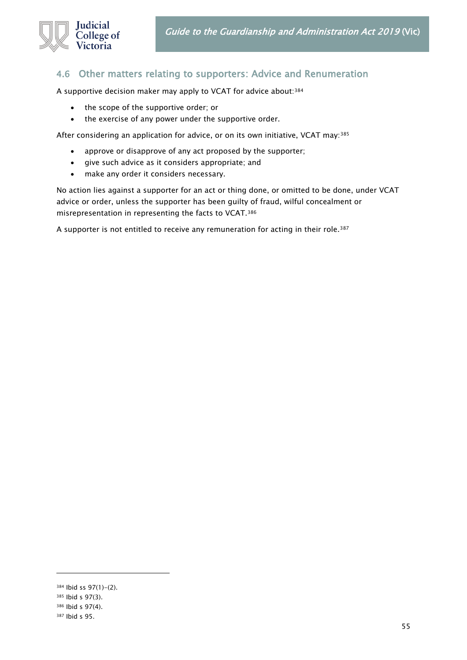

### 4.6 Other matters relating to supporters: Advice and Renumeration

A supportive decision maker may apply to VCAT for advice about:<sup>384</sup>

- the scope of the supportive order; or
- the exercise of any power under the supportive order.

After considering an application for advice, or on its own initiative, VCAT may:<sup>385</sup>

- approve or disapprove of any act proposed by the supporter;
- give such advice as it considers appropriate; and
- make any order it considers necessary.

No action lies against a supporter for an act or thing done, or omitted to be done, under VCAT advice or order, unless the supporter has been guilty of fraud, wilful concealment or misrepresentation in representing the facts to VCAT.<sup>386</sup>

A supporter is not entitled to receive any remuneration for acting in their role.<sup>387</sup>

<sup>384</sup> Ibid ss 97(1)-(2).

<sup>385</sup> Ibid s 97(3).

<sup>386</sup> Ibid s 97(4).

<sup>387</sup> Ibid s 95.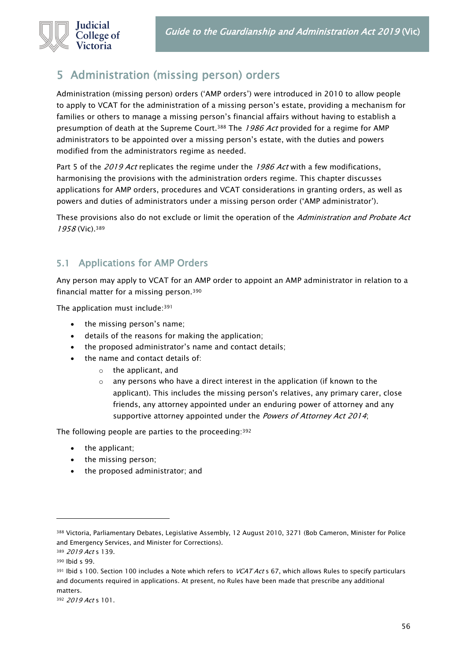

# 5 Administration (missing person) orders

Administration (missing person) orders ('AMP orders') were introduced in 2010 to allow people to apply to VCAT for the administration of a missing person's estate, providing a mechanism for families or others to manage a missing person's financial affairs without having to establish a presumption of death at the Supreme Court.<sup>388</sup> The 1986 Act provided for a regime for AMP administrators to be appointed over a missing person's estate, with the duties and powers modified from the administrators regime as needed.

Part 5 of the 2019 Act replicates the regime under the 1986 Act with a few modifications, harmonising the provisions with the administration orders regime. This chapter discusses applications for AMP orders, procedures and VCAT considerations in granting orders, as well as powers and duties of administrators under a missing person order ('AMP administrator').

These provisions also do not exclude or limit the operation of the Administration and Probate Act 1958 (Vic).<sup>389</sup>

### 5.1 Applications for AMP Orders

Any person may apply to VCAT for an AMP order to appoint an AMP administrator in relation to a financial matter for a missing person.<sup>390</sup>

The application must include:<sup>391</sup>

- the missing person's name;
- details of the reasons for making the application;
- the proposed administrator's name and contact details;
- the name and contact details of:
	- o the applicant, and
	- o any persons who have a direct interest in the application (if known to the applicant). This includes the missing person's relatives, any primary carer, close friends, any attorney appointed under an enduring power of attorney and any supportive attorney appointed under the Powers of Attorney Act 2014;

The following people are parties to the proceeding:<sup>392</sup>

- the applicant;
- the missing person;
- the proposed administrator; and

<sup>388</sup> Victoria, Parliamentary Debates, Legislative Assembly, 12 August 2010, 3271 (Bob Cameron, Minister for Police and Emergency Services, and Minister for Corrections).

<sup>389 2019</sup> Act s 139.

<sup>390</sup> Ibid s 99.

 $391$  Ibid s 100. Section 100 includes a Note which refers to VCAT Act s 67, which allows Rules to specify particulars and documents required in applications. At present, no Rules have been made that prescribe any additional matters.

<sup>392</sup> 2019 Act s 101.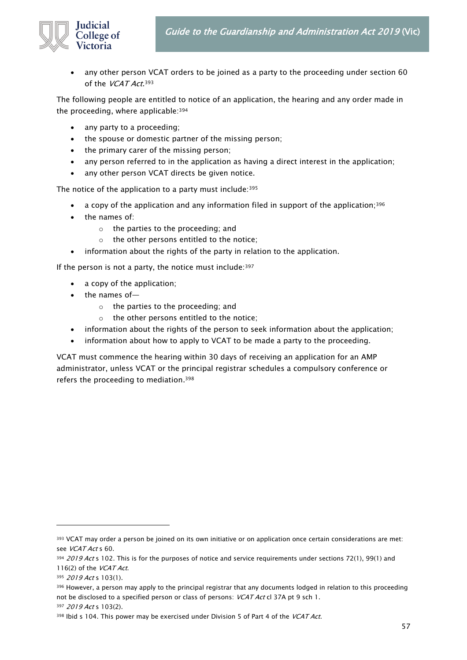

• any other person VCAT orders to be joined as a party to the proceeding under section 60 of the *VCAT Act*.<sup>393</sup>

The following people are entitled to notice of an application, the hearing and any order made in the proceeding, where applicable:<sup>394</sup>

- any party to a proceeding;
- the spouse or domestic partner of the missing person;
- the primary carer of the missing person;
- any person referred to in the application as having a direct interest in the application;
- any other person VCAT directs be given notice.

The notice of the application to a party must include: 395

- a copy of the application and any information filed in support of the application;<sup>396</sup>
- the names of:
	- o the parties to the proceeding; and
	- o the other persons entitled to the notice;
- information about the rights of the party in relation to the application.

If the person is not a party, the notice must include:  $397$ 

- a copy of the application;
- the names of
	- o the parties to the proceeding; and
	- o the other persons entitled to the notice;
- information about the rights of the person to seek information about the application;
- information about how to apply to VCAT to be made a party to the proceeding.

VCAT must commence the hearing within 30 days of receiving an application for an AMP administrator, unless VCAT or the principal registrar schedules a compulsory conference or refers the proceeding to mediation. 398

<sup>&</sup>lt;sup>393</sup> VCAT may order a person be joined on its own initiative or on application once certain considerations are met: see VCAT Act s 60.

<sup>394 2019</sup> Act s 102. This is for the purposes of notice and service requirements under sections 72(1), 99(1) and 116(2) of the  $VCAT Act$ .

<sup>395 2019</sup> Act s 103(1).

<sup>396</sup> However, a person may apply to the principal registrar that any documents lodged in relation to this proceeding not be disclosed to a specified person or class of persons: VCAT Act cl 37A pt 9 sch 1.

<sup>397 2019</sup> Act s 103(2).

<sup>398</sup> Ibid s 104. This power may be exercised under Division 5 of Part 4 of the VCAT Act.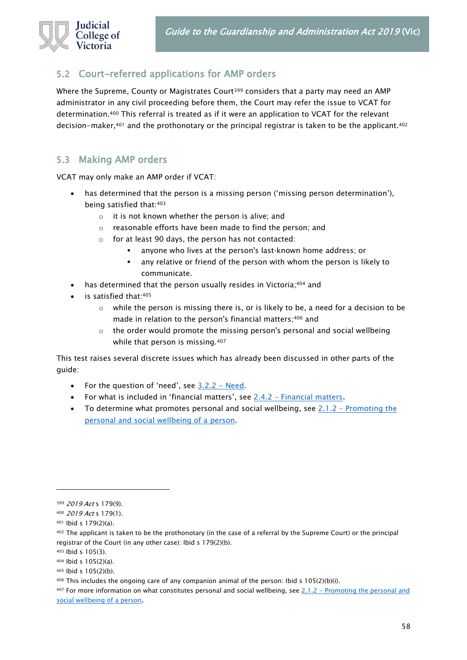

### 5.2 Court-referred applications for AMP orders

Where the Supreme, County or Magistrates Court<sup>399</sup> considers that a party may need an AMP administrator in any civil proceeding before them, the Court may refer the issue to VCAT for determination.<sup>400</sup> This referral is treated as if it were an application to VCAT for the relevant decision-maker, $401$  and the prothonotary or the principal registrar is taken to be the applicant.  $402$ 

### <span id="page-57-0"></span>5.3 Making AMP orders

VCAT may only make an AMP order if VCAT:

- has determined that the person is a missing person ('missing person determination'), being satisfied that:<sup>403</sup>
	- o it is not known whether the person is alive; and
	- o reasonable efforts have been made to find the person; and
	- o for at least 90 days, the person has not contacted:
		- anyone who lives at the person's last-known home address; or
		- any relative or friend of the person with whom the person is likely to communicate.
- has determined that the person usually resides in Victoria;<sup>404</sup> and
- is satisfied that:405
	- $\circ$  while the person is missing there is, or is likely to be, a need for a decision to be made in relation to the person's financial matters;<sup>406</sup> and
	- o the order would promote the missing person's personal and social wellbeing while that person is missing.<sup>407</sup>

This test raises several discrete issues which has already been discussed in other parts of the guide:

- For the question of 'need', see  $3.2.2 Need$  $3.2.2 Need$ .
- For what is included in 'financial matters', see 2.4.2 [Financial matters.](#page-14-0)
- To determine what promotes personal and social wellbeing, see 2.1.2 [Promoting the](#page-9-0)  [personal and social wellbeing of a person.](#page-9-0)

<sup>399 2019</sup> Act s 179(9).

<sup>400</sup> 2019 Act s 179(1).

<sup>401</sup> Ibid s 179(2)(a).

<sup>402</sup> The applicant is taken to be the prothonotary (in the case of a referral by the Supreme Court) or the principal registrar of the Court (in any other case): Ibid s 179(2)(b).

<sup>403</sup> Ibid s 105(3).

<sup>404</sup> Ibid s 105(2)(a).

<sup>405</sup> Ibid s 105(2)(b).

 $406$  This includes the ongoing care of any companion animal of the person: Ibid s 105(2)(b)(i).

<sup>407</sup> For more information on what constitutes personal and social wellbeing, see 2.1.2 - Promoting the personal and [social wellbeing of a person.](#page-9-0)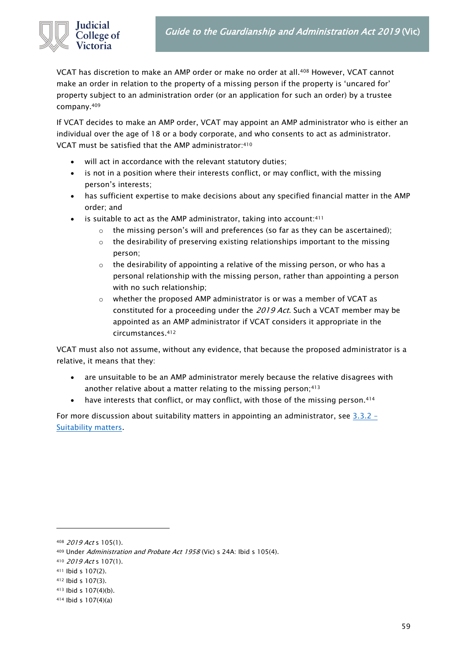

VCAT has discretion to make an AMP order or make no order at all.<sup>408</sup> However, VCAT cannot make an order in relation to the property of a missing person if the property is 'uncared for' property subject to an administration order (or an application for such an order) by a trustee company.<sup>409</sup>

If VCAT decides to make an AMP order, VCAT may appoint an AMP administrator who is either an individual over the age of 18 or a body corporate, and who consents to act as administrator. VCAT must be satisfied that the AMP administrator:<sup>410</sup>

- will act in accordance with the relevant statutory duties;
- is not in a position where their interests conflict, or may conflict, with the missing person's interests;
- has sufficient expertise to make decisions about any specified financial matter in the AMP order; and
- is suitable to act as the AMP administrator, taking into account:<sup>411</sup>
	- o the missing person's will and preferences (so far as they can be ascertained);
	- $\circ$  the desirability of preserving existing relationships important to the missing person;
	- o the desirability of appointing a relative of the missing person, or who has a personal relationship with the missing person, rather than appointing a person with no such relationship;
	- $\circ$  whether the proposed AMP administrator is or was a member of VCAT as constituted for a proceeding under the 2019 Act. Such a VCAT member may be appointed as an AMP administrator if VCAT considers it appropriate in the circumstances.<sup>412</sup>

VCAT must also not assume, without any evidence, that because the proposed administrator is a relative, it means that they:

- are unsuitable to be an AMP administrator merely because the relative disagrees with another relative about a matter relating to the missing person;<sup>413</sup>
- have interests that conflict, or may conflict, with those of the missing person.<sup>414</sup>

For more discussion about suitability matters in appointing an administrator, see  $3.3.2$  – [Suitability matters.](#page-22-0)

<sup>408 2019</sup> Act s 105(1).

<sup>409</sup> Under Administration and Probate Act 1958 (Vic) s 24A: Ibid s 105(4).

<sup>410</sup> 2019 Act s 107(1).

<sup>411</sup> Ibid s 107(2).

<sup>412</sup> Ibid s 107(3).

<sup>413</sup> Ibid s 107(4)(b).

<sup>414</sup> Ibid s 107(4)(a)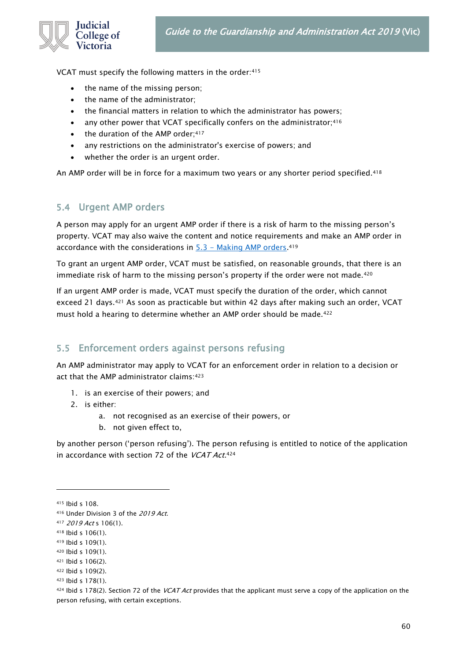VCAT must specify the following matters in the order:<sup>415</sup>

- the name of the missing person;
- the name of the administrator;
- the financial matters in relation to which the administrator has powers;
- any other power that VCAT specifically confers on the administrator; 416
- the duration of the AMP order;<sup>417</sup>
- any restrictions on the administrator's exercise of powers; and
- whether the order is an urgent order.

An AMP order will be in force for a maximum two years or any shorter period specified.<sup>418</sup>

#### 5.4 Urgent AMP orders

A person may apply for an urgent AMP order if there is a risk of harm to the missing person's property. VCAT may also waive the content and notice requirements and make an AMP order in accordance with the considerations in <u>5.3 - Making AMP orders</u>.<sup>419</sup>

To grant an urgent AMP order, VCAT must be satisfied, on reasonable grounds, that there is an immediate risk of harm to the missing person's property if the order were not made.<sup>420</sup>

If an urgent AMP order is made, VCAT must specify the duration of the order, which cannot exceed 21 days.<sup>421</sup> As soon as practicable but within 42 days after making such an order, VCAT must hold a hearing to determine whether an AMP order should be made.<sup>422</sup>

### 5.5 Enforcement orders against persons refusing

An AMP administrator may apply to VCAT for an enforcement order in relation to a decision or act that the AMP administrator claims: 423

- 1. is an exercise of their powers; and
- 2. is either:
	- a. not recognised as an exercise of their powers, or
	- b. not given effect to,

by another person ('person refusing'). The person refusing is entitled to notice of the application in accordance with section 72 of the *VCAT Act*.<sup>424</sup>

<sup>415</sup> Ibid s 108.

<sup>416</sup> Under Division 3 of the 2019 Act.

<sup>417</sup> *2019 Act* s 106(1).

<sup>418</sup> Ibid s 106(1).

<sup>419</sup> Ibid s 109(1).

<sup>420</sup> Ibid s 109(1).

<sup>421</sup> Ibid s 106(2).

<sup>422</sup> Ibid s 109(2).

<sup>423</sup> Ibid s 178(1).

 $424$  Ibid s 178(2). Section 72 of the VCAT Act provides that the applicant must serve a copy of the application on the person refusing, with certain exceptions.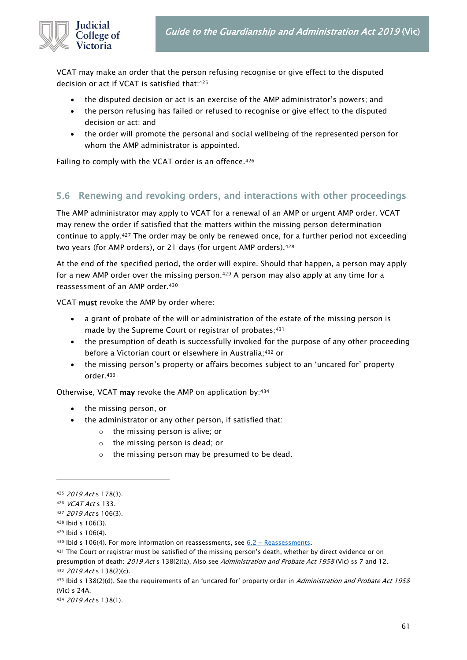

VCAT may make an order that the person refusing recognise or give effect to the disputed decision or act if VCAT is satisfied that:<sup>425</sup>

- the disputed decision or act is an exercise of the AMP administrator's powers; and
- the person refusing has failed or refused to recognise or give effect to the disputed decision or act; and
- the order will promote the personal and social wellbeing of the represented person for whom the AMP administrator is appointed.

Failing to comply with the VCAT order is an offence.<sup>426</sup>

### 5.6 Renewing and revoking orders, and interactions with other proceedings

The AMP administrator may apply to VCAT for a renewal of an AMP or urgent AMP order. VCAT may renew the order if satisfied that the matters within the missing person determination continue to apply.<sup>427</sup> The order may be only be renewed once, for a further period not exceeding two years (for AMP orders), or 21 days (for urgent AMP orders).<sup>428</sup>

At the end of the specified period, the order will expire. Should that happen, a person may apply for a new AMP order over the missing person.<sup>429</sup> A person may also apply at any time for a reassessment of an AMP order.<sup>430</sup>

VCAT must revoke the AMP by order where:

- a grant of probate of the will or administration of the estate of the missing person is made by the Supreme Court or registrar of probates;<sup>431</sup>
- the presumption of death is successfully invoked for the purpose of any other proceeding before a Victorian court or elsewhere in Australia;<sup>432</sup> or
- the missing person's property or affairs becomes subject to an 'uncared for' property order.<sup>433</sup>

Otherwise, VCAT may revoke the AMP on application by:<sup>434</sup>

- the missing person, or
- the administrator or any other person, if satisfied that:
	- o the missing person is alive; or
	- o the missing person is dead; or
	- o the missing person may be presumed to be dead.

<sup>425</sup> 2019 Act s 178(3).

<sup>426</sup> VCAT Act s 133.

<sup>427</sup> 2019 Act s 106(3).

<sup>428</sup> Ibid s 106(3).

<sup>429</sup> Ibid s 106(4).

 $430$  lbid s 106(4). For more information on reassessments, see  $6.2$  – [Reassessments.](#page-73-0)

<sup>431</sup> The Court or registrar must be satisfied of the missing person's death, whether by direct evidence or on

presumption of death: 2019 Act s 138(2)(a). Also see Administration and Probate Act 1958 (Vic) ss 7 and 12. <sup>432</sup> 2019 Act s 138(2)(c).

<sup>433</sup> Ibid s 138(2)(d). See the requirements of an 'uncared for' property order in Administration and Probate Act 1958 (Vic) s 24A.

<sup>434</sup> 2019 Act s 138(1).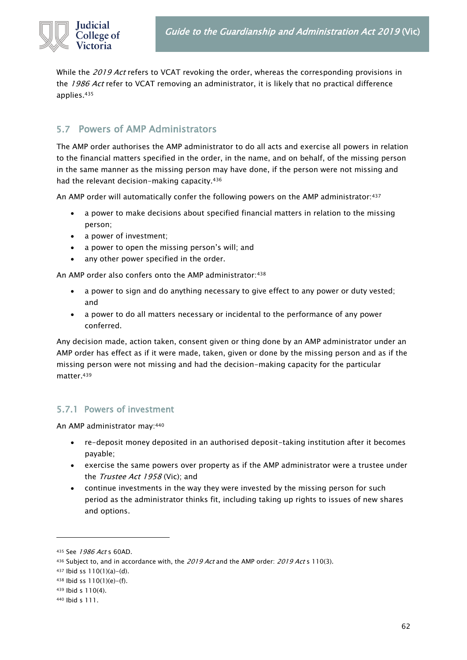

While the 2019 Act refers to VCAT revoking the order, whereas the corresponding provisions in the 1986 Act refer to VCAT removing an administrator, it is likely that no practical difference applies.<sup>435</sup>

### 5.7 Powers of AMP Administrators

The AMP order authorises the AMP administrator to do all acts and exercise all powers in relation to the financial matters specified in the order, in the name, and on behalf, of the missing person in the same manner as the missing person may have done, if the person were not missing and had the relevant decision-making capacity.<sup>436</sup>

An AMP order will automatically confer the following powers on the AMP administrator: 437

- a power to make decisions about specified financial matters in relation to the missing person;
- a power of investment;
- a power to open the missing person's will; and
- any other power specified in the order.

An AMP order also confers onto the AMP administrator: 438

- a power to sign and do anything necessary to give effect to any power or duty vested; and
- a power to do all matters necessary or incidental to the performance of any power conferred.

Any decision made, action taken, consent given or thing done by an AMP administrator under an AMP order has effect as if it were made, taken, given or done by the missing person and as if the missing person were not missing and had the decision-making capacity for the particular matter.<sup>439</sup>

### 5.7.1 Powers of investment

An AMP administrator may:<sup>440</sup>

- re-deposit money deposited in an authorised deposit-taking institution after it becomes payable;
- exercise the same powers over property as if the AMP administrator were a trustee under the Trustee Act 1958 (Vic); and
- continue investments in the way they were invested by the missing person for such period as the administrator thinks fit, including taking up rights to issues of new shares and options.

<sup>435</sup> See 1986 Act s 60AD.

<sup>436</sup> Subject to, and in accordance with, the 2019 Act and the AMP order: 2019 Act s 110(3).

<sup>437</sup> Ibid ss 110(1)(a)-(d).

<sup>438</sup> Ibid ss 110(1)(e)-(f).

<sup>439</sup> Ibid s 110(4).

<sup>440</sup> Ibid s 111.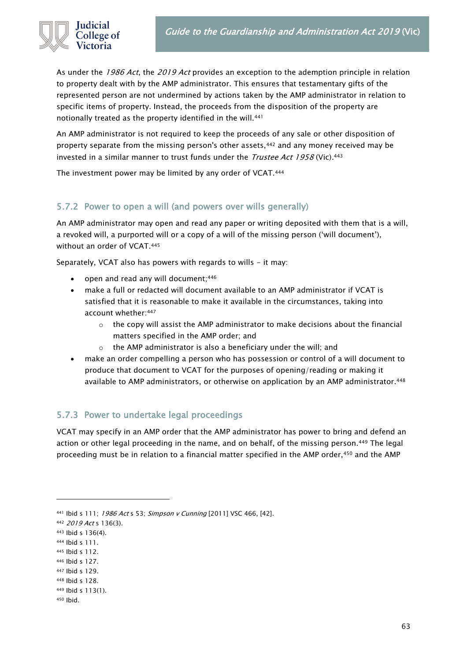

As under the 1986 Act, the 2019 Act provides an exception to the ademption principle in relation to property dealt with by the AMP administrator. This ensures that testamentary gifts of the represented person are not undermined by actions taken by the AMP administrator in relation to specific items of property. Instead, the proceeds from the disposition of the property are notionally treated as the property identified in the will.<sup>441</sup>

An AMP administrator is not required to keep the proceeds of any sale or other disposition of property separate from the missing person's other assets,<sup>442</sup> and any money received may be invested in a similar manner to trust funds under the *Trustee Act 1958* (Vic).<sup>443</sup>

The investment power may be limited by any order of VCAT.<sup>444</sup>

#### 5.7.2 Power to open a will (and powers over wills generally)

An AMP administrator may open and read any paper or writing deposited with them that is a will, a revoked will, a purported will or a copy of a will of the missing person ('will document'), without an order of VCAT.<sup>445</sup>

Separately, VCAT also has powers with regards to wills - it may:

- open and read any will document;<sup>446</sup>
- make a full or redacted will document available to an AMP administrator if VCAT is satisfied that it is reasonable to make it available in the circumstances, taking into account whether:<sup>447</sup>
	- $\circ$  the copy will assist the AMP administrator to make decisions about the financial matters specified in the AMP order; and
	- o the AMP administrator is also a beneficiary under the will; and
- make an order compelling a person who has possession or control of a will document to produce that document to VCAT for the purposes of opening/reading or making it available to AMP administrators, or otherwise on application by an AMP administrator.<sup>448</sup>

### 5.7.3 Power to undertake legal proceedings

VCAT may specify in an AMP order that the AMP administrator has power to bring and defend an action or other legal proceeding in the name, and on behalf, of the missing person.<sup>449</sup> The legal proceeding must be in relation to a financial matter specified in the AMP order,<sup>450</sup> and the AMP

<sup>441</sup> Ibid s 111; 1986 Act s 53; Simpson v Cunning [2011] VSC 466, [42].

<sup>442</sup> 2019 Act s 136(3).

<sup>443</sup> Ibid s 136(4).

<sup>444</sup> Ibid s 111.

<sup>445</sup> Ibid s 112.

<sup>446</sup> Ibid s 127.

<sup>447</sup> Ibid s 129.

<sup>448</sup> Ibid s 128.

<sup>449</sup> Ibid s 113(1).

<sup>450</sup> Ibid.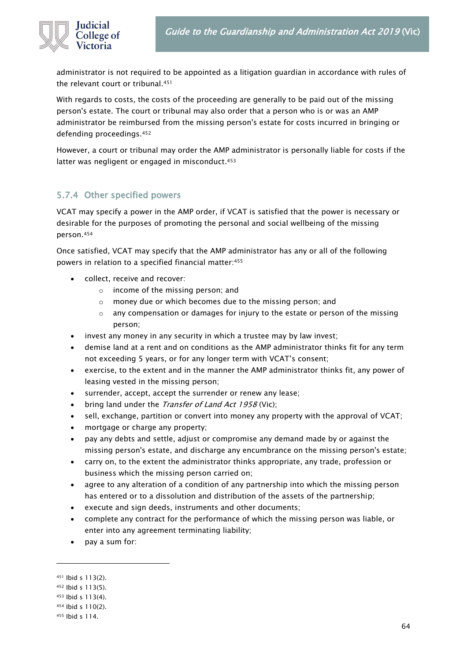

administrator is not required to be appointed as a litigation guardian in accordance with rules of the relevant court or tribunal.<sup>451</sup>

With regards to costs, the costs of the proceeding are generally to be paid out of the missing person's estate. The court or tribunal may also order that a person who is or was an AMP administrator be reimbursed from the missing person's estate for costs incurred in bringing or defending proceedings.<sup>452</sup>

However, a court or tribunal may order the AMP administrator is personally liable for costs if the latter was negligent or engaged in misconduct.<sup>453</sup>

### 5.7.4 Other specified powers

VCAT may specify a power in the AMP order, if VCAT is satisfied that the power is necessary or desirable for the purposes of promoting the personal and social wellbeing of the missing person.<sup>454</sup>

Once satisfied, VCAT may specify that the AMP administrator has any or all of the following powers in relation to a specified financial matter:<sup>455</sup>

- collect, receive and recover:
	- o income of the missing person; and
	- o money due or which becomes due to the missing person; and
	- $\circ$  any compensation or damages for injury to the estate or person of the missing person;
- invest any money in any security in which a trustee may by law invest;
- demise land at a rent and on conditions as the AMP administrator thinks fit for any term not exceeding 5 years, or for any longer term with VCAT's consent;
- exercise, to the extent and in the manner the AMP administrator thinks fit, any power of leasing vested in the missing person;
- surrender, accept, accept the surrender or renew any lease;
- bring land under the *Transfer of Land Act 1958* (Vic);
- sell, exchange, partition or convert into money any property with the approval of VCAT;
- mortgage or charge any property;
- pay any debts and settle, adjust or compromise any demand made by or against the missing person's estate, and discharge any encumbrance on the missing person's estate;
- carry on, to the extent the administrator thinks appropriate, any trade, profession or business which the missing person carried on;
- agree to any alteration of a condition of any partnership into which the missing person has entered or to a dissolution and distribution of the assets of the partnership;
- execute and sign deeds, instruments and other documents;
- complete any contract for the performance of which the missing person was liable, or enter into any agreement terminating liability;
- pay a sum for:

<sup>451</sup> Ibid s 113(2).

<sup>452</sup> Ibid s 113(5).

<sup>453</sup> Ibid s 113(4).

<sup>454</sup> Ibid s 110(2).

<sup>455</sup> Ibid s 114.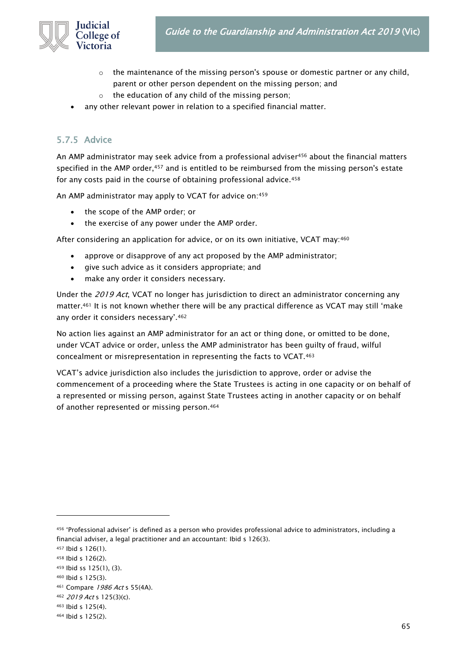

- $\circ$  the maintenance of the missing person's spouse or domestic partner or any child, parent or other person dependent on the missing person; and
- o the education of any child of the missing person;
- any other relevant power in relation to a specified financial matter.

### 5.7.5 Advice

An AMP administrator may seek advice from a professional adviser<sup>456</sup> about the financial matters specified in the AMP order,<sup>457</sup> and is entitled to be reimbursed from the missing person's estate for any costs paid in the course of obtaining professional advice.<sup>458</sup>

An AMP administrator may apply to VCAT for advice on:<sup>459</sup>

- the scope of the AMP order; or
- the exercise of any power under the AMP order.

After considering an application for advice, or on its own initiative, VCAT may:<sup>460</sup>

- approve or disapprove of any act proposed by the AMP administrator;
- give such advice as it considers appropriate; and
- make any order it considers necessary.

Under the 2019 Act, VCAT no longer has jurisdiction to direct an administrator concerning any matter.<sup>461</sup> It is not known whether there will be any practical difference as VCAT may still 'make any order it considers necessary'.<sup>462</sup>

No action lies against an AMP administrator for an act or thing done, or omitted to be done, under VCAT advice or order, unless the AMP administrator has been guilty of fraud, wilful concealment or misrepresentation in representing the facts to VCAT.<sup>463</sup>

VCAT's advice jurisdiction also includes the jurisdiction to approve, order or advise the commencement of a proceeding where the State Trustees is acting in one capacity or on behalf of a represented or missing person, against State Trustees acting in another capacity or on behalf of another represented or missing person.<sup>464</sup>

<sup>456</sup> 'Professional adviser' is defined as a person who provides professional advice to administrators, including a financial adviser, a legal practitioner and an accountant: Ibid s 126(3).

<sup>457</sup> Ibid s 126(1).

<sup>458</sup> Ibid s 126(2).

<sup>459</sup> Ibid ss 125(1), (3).

<sup>460</sup> Ibid s 125(3).

<sup>461</sup> Compare 1986 Act s 55(4A).

<sup>462</sup> 2019 Act s 125(3)(c).

<sup>463</sup> Ibid s 125(4).

<sup>464</sup> Ibid s 125(2).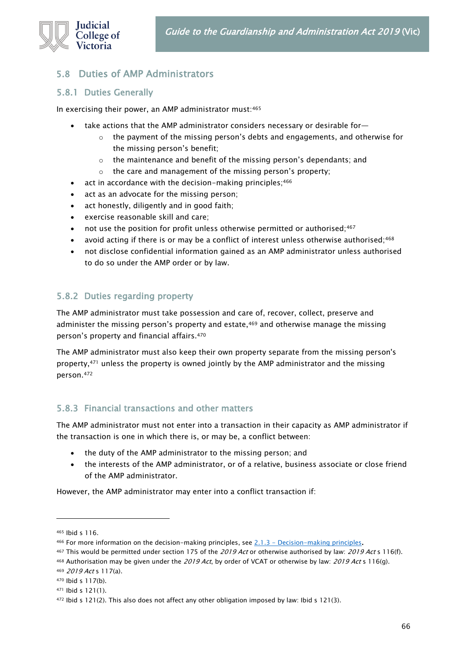

### 5.8 Duties of AMP Administrators

#### 5.8.1 Duties Generally

In exercising their power, an AMP administrator must:<sup>465</sup>

- take actions that the AMP administrator considers necessary or desirable for-
	- $\circ$  the payment of the missing person's debts and engagements, and otherwise for the missing person's benefit;
	- o the maintenance and benefit of the missing person's dependants; and
	- o the care and management of the missing person's property;
- act in accordance with the decision-making principles;  $466$
- act as an advocate for the missing person;
- act honestly, diligently and in good faith;
- exercise reasonable skill and care;
- not use the position for profit unless otherwise permitted or authorised;<sup>467</sup>
- avoid acting if there is or may be a conflict of interest unless otherwise authorised;<sup>468</sup>
- not disclose confidential information gained as an AMP administrator unless authorised to do so under the AMP order or by law.

### 5.8.2 Duties regarding property

The AMP administrator must take possession and care of, recover, collect, preserve and administer the missing person's property and estate,<sup>469</sup> and otherwise manage the missing person's property and financial affairs.<sup>470</sup>

The AMP administrator must also keep their own property separate from the missing person's property,<sup>471</sup> unless the property is owned jointly by the AMP administrator and the missing person.<sup>472</sup>

### 5.8.3 Financial transactions and other matters

The AMP administrator must not enter into a transaction in their capacity as AMP administrator if the transaction is one in which there is, or may be, a conflict between:

- the duty of the AMP administrator to the missing person; and
- the interests of the AMP administrator, or of a relative, business associate or close friend of the AMP administrator.

However, the AMP administrator may enter into a conflict transaction if:

<sup>465</sup> Ibid s 116.

<sup>466</sup> For more information on the decision-making principles, see  $2.1.3$  - [Decision-making principles.](#page-10-0)

<sup>467</sup> This would be permitted under section 175 of the 2019 Act or otherwise authorised by law: 2019 Act s 116(f).

<sup>468</sup> Authorisation may be given under the 2019 Act, by order of VCAT or otherwise by law: 2019 Act s 116(g). <sup>469</sup> 2019 Act s 117(a).

<sup>470</sup> Ibid s 117(b).

<sup>471</sup> Ibid s 121(1).

<sup>472</sup> Ibid s 121(2). This also does not affect any other obligation imposed by law: Ibid s 121(3).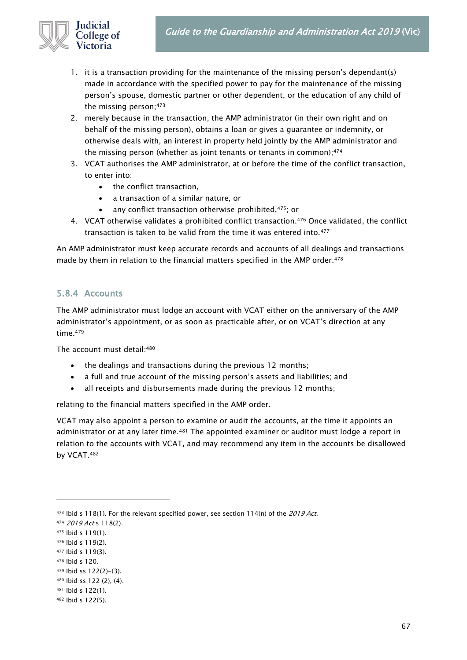

- 1. it is a transaction providing for the maintenance of the missing person's dependant(s) made in accordance with the specified power to pay for the maintenance of the missing person's spouse, domestic partner or other dependent, or the education of any child of the missing person;<sup>473</sup>
- 2. merely because in the transaction, the AMP administrator (in their own right and on behalf of the missing person), obtains a loan or gives a guarantee or indemnity, or otherwise deals with, an interest in property held jointly by the AMP administrator and the missing person (whether as joint tenants or tenants in common);474
- 3. VCAT authorises the AMP administrator, at or before the time of the conflict transaction, to enter into:
	- the conflict transaction,
	- a transaction of a similar nature, or
	- any conflict transaction otherwise prohibited, 475; or
- 4. VCAT otherwise validates a prohibited conflict transaction.<sup>476</sup> Once validated, the conflict transaction is taken to be valid from the time it was entered into.<sup>477</sup>

An AMP administrator must keep accurate records and accounts of all dealings and transactions made by them in relation to the financial matters specified in the AMP order.<sup>478</sup>

### <span id="page-66-0"></span>5.8.4 Accounts

The AMP administrator must lodge an account with VCAT either on the anniversary of the AMP administrator's appointment, or as soon as practicable after, or on VCAT's direction at any time.<sup>479</sup>

The account must detail: 480

- the dealings and transactions during the previous 12 months;
- a full and true account of the missing person's assets and liabilities; and
- all receipts and disbursements made during the previous 12 months;

relating to the financial matters specified in the AMP order.

VCAT may also appoint a person to examine or audit the accounts, at the time it appoints an administrator or at any later time.<sup>481</sup> The appointed examiner or auditor must lodge a report in relation to the accounts with VCAT, and may recommend any item in the accounts be disallowed by VCAT.<sup>482</sup>

<sup>473</sup> Ibid s 118(1). For the relevant specified power, see section 114(n) of the 2019 Act.

<sup>474</sup> 2019 Act s 118(2).

<sup>475</sup> Ibid s 119(1).

<sup>476</sup> Ibid s 119(2).

<sup>477</sup> Ibid s 119(3).

<sup>478</sup> Ibid s 120.

<sup>479</sup> Ibid ss 122(2)-(3).

<sup>480</sup> Ibid ss 122 (2), (4).

<sup>481</sup> Ibid s 122(1).

<sup>482</sup> Ibid s 122(5).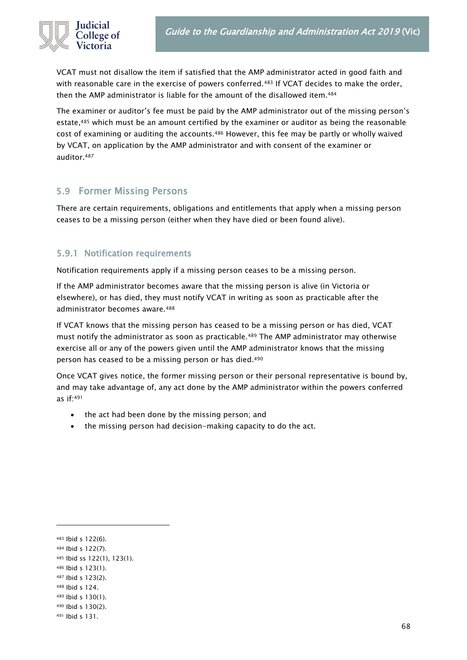

VCAT must not disallow the item if satisfied that the AMP administrator acted in good faith and with reasonable care in the exercise of powers conferred.<sup>483</sup> If VCAT decides to make the order, then the AMP administrator is liable for the amount of the disallowed item.<sup>484</sup>

The examiner or auditor's fee must be paid by the AMP administrator out of the missing person's estate,<sup>485</sup> which must be an amount certified by the examiner or auditor as being the reasonable cost of examining or auditing the accounts.<sup>486</sup> However, this fee may be partly or wholly waived by VCAT, on application by the AMP administrator and with consent of the examiner or auditor.<sup>487</sup>

### 5.9 Former Missing Persons

There are certain requirements, obligations and entitlements that apply when a missing person ceases to be a missing person (either when they have died or been found alive).

### 5.9.1 Notification requirements

Notification requirements apply if a missing person ceases to be a missing person.

If the AMP administrator becomes aware that the missing person is alive (in Victoria or elsewhere), or has died, they must notify VCAT in writing as soon as practicable after the administrator becomes aware.<sup>488</sup>

If VCAT knows that the missing person has ceased to be a missing person or has died, VCAT must notify the administrator as soon as practicable.<sup>489</sup> The AMP administrator may otherwise exercise all or any of the powers given until the AMP administrator knows that the missing person has ceased to be a missing person or has died.<sup>490</sup>

Once VCAT gives notice, the former missing person or their personal representative is bound by, and may take advantage of, any act done by the AMP administrator within the powers conferred as if:<sup>491</sup>

- the act had been done by the missing person; and
- the missing person had decision-making capacity to do the act.

68

<sup>483</sup> Ibid s 122(6).

<sup>484</sup> Ibid s 122(7).

<sup>485</sup> Ibid ss 122(1), 123(1).

<sup>486</sup> Ibid s 123(1).

<sup>487</sup> Ibid s 123(2).

<sup>488</sup> Ibid s 124.

<sup>489</sup> Ibid s 130(1).

<sup>490</sup> Ibid s 130(2). <sup>491</sup> Ibid s 131.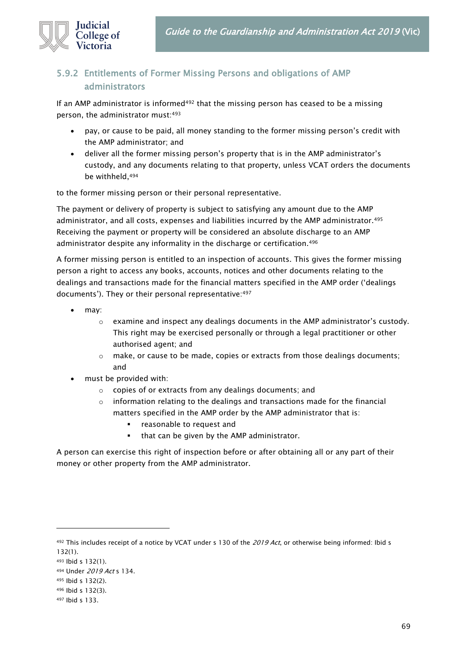

### 5.9.2 Entitlements of Former Missing Persons and obligations of AMP administrators

If an AMP administrator is informed<sup>492</sup> that the missing person has ceased to be a missing person, the administrator must:<sup>493</sup>

- pay, or cause to be paid, all money standing to the former missing person's credit with the AMP administrator; and
- deliver all the former missing person's property that is in the AMP administrator's custody, and any documents relating to that property, unless VCAT orders the documents be withheld,<sup>494</sup>

to the former missing person or their personal representative.

The payment or delivery of property is subject to satisfying any amount due to the AMP administrator, and all costs, expenses and liabilities incurred by the AMP administrator.<sup>495</sup> Receiving the payment or property will be considered an absolute discharge to an AMP administrator despite any informality in the discharge or certification.<sup>496</sup>

A former missing person is entitled to an inspection of accounts. This gives the former missing person a right to access any books, accounts, notices and other documents relating to the dealings and transactions made for the financial matters specified in the AMP order ('dealings documents'). They or their personal representative:<sup>497</sup>

- may:
	- o examine and inspect any dealings documents in the AMP administrator's custody. This right may be exercised personally or through a legal practitioner or other authorised agent; and
	- o make, or cause to be made, copies or extracts from those dealings documents; and
- must be provided with:
	- o copies of or extracts from any dealings documents; and
	- o information relating to the dealings and transactions made for the financial matters specified in the AMP order by the AMP administrator that is:
		- reasonable to request and
		- that can be given by the AMP administrator.

A person can exercise this right of inspection before or after obtaining all or any part of their money or other property from the AMP administrator.

<sup>492</sup> This includes receipt of a notice by VCAT under s 130 of the 2019 Act, or otherwise being informed: Ibid s 132(1).

<sup>493</sup> Ibid s 132(1).

<sup>494</sup> Under 2019 Act s 134.

<sup>495</sup> Ibid s 132(2).

<sup>496</sup> Ibid s 132(3).

<sup>497</sup> Ibid s 133.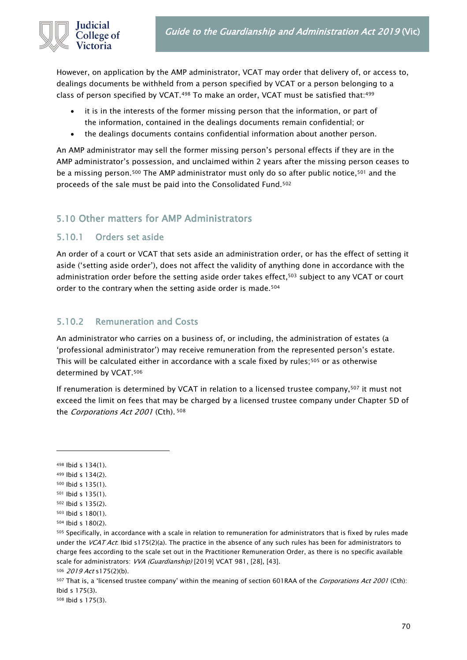

However, on application by the AMP administrator, VCAT may order that delivery of, or access to, dealings documents be withheld from a person specified by VCAT or a person belonging to a class of person specified by VCAT.<sup>498</sup> To make an order, VCAT must be satisfied that:<sup>499</sup>

- it is in the interests of the former missing person that the information, or part of the information, contained in the dealings documents remain confidential; or
- the dealings documents contains confidential information about another person.

An AMP administrator may sell the former missing person's personal effects if they are in the AMP administrator's possession, and unclaimed within 2 years after the missing person ceases to be a missing person.<sup>500</sup> The AMP administrator must only do so after public notice,<sup>501</sup> and the proceeds of the sale must be paid into the Consolidated Fund.<sup>502</sup>

### 5.10 Other matters for AMP Administrators

### 5.10.1 Orders set aside

An order of a court or VCAT that sets aside an administration order, or has the effect of setting it aside ('setting aside order'), does not affect the validity of anything done in accordance with the administration order before the setting aside order takes effect,<sup>503</sup> subject to any VCAT or court order to the contrary when the setting aside order is made.<sup>504</sup>

### 5.10.2 Remuneration and Costs

An administrator who carries on a business of, or including, the administration of estates (a 'professional administrator') may receive remuneration from the represented person's estate. This will be calculated either in accordance with a scale fixed by rules;<sup>505</sup> or as otherwise determined by VCAT.<sup>506</sup>

If renumeration is determined by VCAT in relation to a licensed trustee company,<sup>507</sup> it must not exceed the limit on fees that may be charged by a licensed trustee company under Chapter 5D of the *Corporations Act 2001* (Cth). <sup>508</sup>

<sup>498</sup> Ibid s 134(1).

<sup>499</sup> Ibid s 134(2).

<sup>500</sup> Ibid s 135(1).

<sup>501</sup> Ibid s 135(1).

<sup>502</sup> Ibid s 135(2).

<sup>503</sup> Ibid s 180(1).

<sup>504</sup> Ibid s 180(2).

<sup>505</sup> Specifically, in accordance with a scale in relation to remuneration for administrators that is fixed by rules made under the VCAT Act: Ibid s175(2)(a). The practice in the absence of any such rules has been for administrators to charge fees according to the scale set out in the Practitioner Remuneration Order, as there is no specific available scale for administrators: VVA (Guardianship) [2019] VCAT 981, [28], [43]. 506 2019 Act s175(2)(b).

<sup>507</sup> That is, a 'licensed trustee company' within the meaning of section 601RAA of the *Corporations Act 2001* (Cth): Ibid s 175(3).

<sup>508</sup> Ibid s 175(3).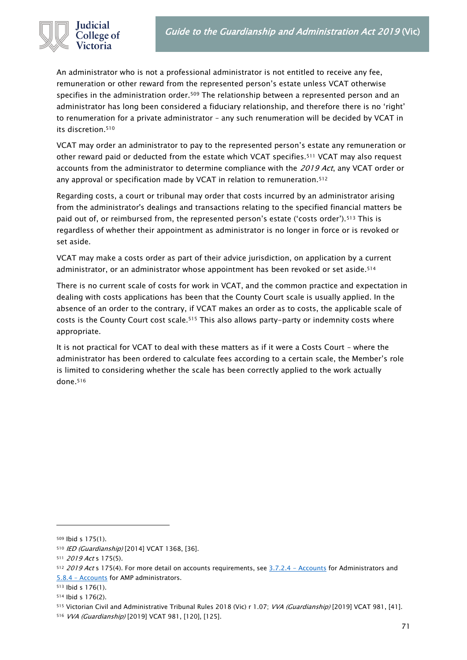

An administrator who is not a professional administrator is not entitled to receive any fee, remuneration or other reward from the represented person's estate unless VCAT otherwise specifies in the administration order.<sup>509</sup> The relationship between a represented person and an administrator has long been considered a fiduciary relationship, and therefore there is no 'right' to renumeration for a private administrator – any such renumeration will be decided by VCAT in its discretion.<sup>510</sup>

VCAT may order an administrator to pay to the represented person's estate any remuneration or other reward paid or deducted from the estate which VCAT specifies.<sup>511</sup> VCAT may also request accounts from the administrator to determine compliance with the 2019 Act, any VCAT order or any approval or specification made by VCAT in relation to remuneration.<sup>512</sup>

Regarding costs, a court or tribunal may order that costs incurred by an administrator arising from the administrator's dealings and transactions relating to the specified financial matters be paid out of, or reimbursed from, the represented person's estate ('costs order').<sup>513</sup> This is regardless of whether their appointment as administrator is no longer in force or is revoked or set aside.

VCAT may make a costs order as part of their advice jurisdiction, on application by a current administrator, or an administrator whose appointment has been revoked or set aside.<sup>514</sup>

There is no current scale of costs for work in VCAT, and the common practice and expectation in dealing with costs applications has been that the County Court scale is usually applied. In the absence of an order to the contrary, if VCAT makes an order as to costs, the applicable scale of costs is the County Court cost scale.<sup>515</sup> This also allows party-party or indemnity costs where appropriate.

It is not practical for VCAT to deal with these matters as if it were a Costs Court – where the administrator has been ordered to calculate fees according to a certain scale, the Member's role is limited to considering whether the scale has been correctly applied to the work actually done.<sup>516</sup>

<sup>509</sup> Ibid s 175(1).

<sup>510</sup> IED (Guardianship) [2014] VCAT 1368, [36].

<sup>511 2019</sup> Act s 175(5).

 $512$  2019 Act s 175(4). For more detail on accounts requirements, see  $3.7.2.4$  - Accounts for Administrators and 5.8.4 – [Accounts](#page-66-0) for AMP administrators.

<sup>513</sup> Ibid s 176(1).

<sup>514</sup> Ibid s 176(2).

<sup>515</sup> Victorian Civil and Administrative Tribunal Rules 2018 (Vic) r 1.07; VVA (Guardianship) [2019] VCAT 981, [41].

<sup>516</sup> VVA (Guardianship) [2019] VCAT 981, [120], [125].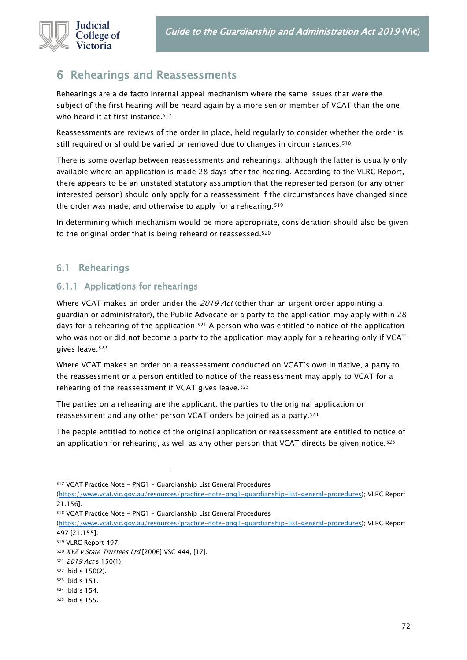

## <span id="page-71-0"></span>6 Rehearings and Reassessments

Rehearings are a de facto internal appeal mechanism where the same issues that were the subject of the first hearing will be heard again by a more senior member of VCAT than the one who heard it at first instance. 517

Reassessments are reviews of the order in place, held regularly to consider whether the order is still required or should be varied or removed due to changes in circumstances. 518

There is some overlap between reassessments and rehearings, although the latter is usually only available where an application is made 28 days after the hearing. According to the VLRC Report, there appears to be an unstated statutory assumption that the represented person (or any other interested person) should only apply for a reassessment if the circumstances have changed since the order was made, and otherwise to apply for a rehearing.<sup>519</sup>

In determining which mechanism would be more appropriate, consideration should also be given to the original order that is being reheard or reassessed.<sup>520</sup>

### 6.1 Rehearings

### 6.1.1 Applications for rehearings

Where VCAT makes an order under the 2019 Act (other than an urgent order appointing a guardian or administrator), the Public Advocate or a party to the application may apply within 28 days for a rehearing of the application.<sup>521</sup> A person who was entitled to notice of the application who was not or did not become a party to the application may apply for a rehearing only if VCAT gives leave.<sup>522</sup>

Where VCAT makes an order on a reassessment conducted on VCAT's own initiative, a party to the reassessment or a person entitled to notice of the reassessment may apply to VCAT for a rehearing of the reassessment if VCAT gives leave.<sup>523</sup>

The parties on a rehearing are the applicant, the parties to the original application or reassessment and any other person VCAT orders be joined as a party.<sup>524</sup>

The people entitled to notice of the original application or reassessment are entitled to notice of an application for rehearing, as well as any other person that VCAT directs be given notice.<sup>525</sup>

<sup>517</sup> VCAT Practice Note - PNG1 - Guardianship List General Procedures

[<sup>\(</sup>https://www.vcat.vic.gov.au/resources/practice-note-png1-guardianship-list-general-procedures\)](https://www.vcat.vic.gov.au/resources/practice-note-png1-guardianship-list-general-procedures); VLRC Report 21.156].

<sup>518</sup> VCAT Practice Note - PNG1 - Guardianship List General Procedures

[<sup>\(</sup>https://www.vcat.vic.gov.au/resources/practice-note-png1-guardianship-list-general-procedures\)](https://www.vcat.vic.gov.au/resources/practice-note-png1-guardianship-list-general-procedures); VLRC Report 497 [21.155].

<sup>519</sup> VLRC Report 497.

<sup>520</sup> XYZ v State Trustees Ltd [2006] VSC 444, [17].

<sup>521</sup> 2019 Act s 150(1).

<sup>522</sup> Ibid s 150(2).

<sup>523</sup> Ibid s 151.

<sup>524</sup> Ibid s 154.

<sup>525</sup> Ibid s 155.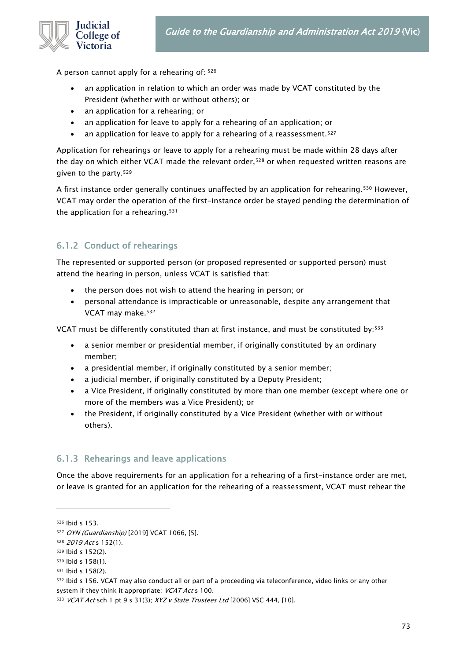

A person cannot apply for a rehearing of: <sup>526</sup>

- an application in relation to which an order was made by VCAT constituted by the President (whether with or without others); or
- an application for a rehearing; or
- an application for leave to apply for a rehearing of an application; or
- an application for leave to apply for a rehearing of a reassessment.<sup>527</sup>

Application for rehearings or leave to apply for a rehearing must be made within 28 days after the day on which either VCAT made the relevant order,<sup>528</sup> or when requested written reasons are given to the party.<sup>529</sup>

A first instance order generally continues unaffected by an application for rehearing.<sup>530</sup> However, VCAT may order the operation of the first-instance order be stayed pending the determination of the application for a rehearing.<sup>531</sup>

## 6.1.2 Conduct of rehearings

The represented or supported person (or proposed represented or supported person) must attend the hearing in person, unless VCAT is satisfied that:

- the person does not wish to attend the hearing in person; or
- personal attendance is impracticable or unreasonable, despite any arrangement that VCAT may make.<sup>532</sup>

VCAT must be differently constituted than at first instance, and must be constituted by: 533

- a senior member or presidential member, if originally constituted by an ordinary member;
- a presidential member, if originally constituted by a senior member;
- a judicial member, if originally constituted by a Deputy President;
- a Vice President, if originally constituted by more than one member (except where one or more of the members was a Vice President); or
- the President, if originally constituted by a Vice President (whether with or without others).

### 6.1.3 Rehearings and leave applications

Once the above requirements for an application for a rehearing of a first-instance order are met, or leave is granted for an application for the rehearing of a reassessment, VCAT must rehear the

<sup>526</sup> Ibid s 153.

<sup>527</sup> OYN (Guardianship) [2019] VCAT 1066, [5].

<sup>528 2019</sup> Act s 152(1).

<sup>529</sup> Ibid s 152(2).

<sup>530</sup> Ibid s 158(1).

<sup>531</sup> Ibid s 158(2).

<sup>532</sup> Ibid s 156. VCAT may also conduct all or part of a proceeding via teleconference, video links or any other system if they think it appropriate: VCAT Act s 100.

<sup>533</sup> VCAT Act sch 1 pt 9 s 31(3); XYZ v State Trustees Ltd [2006] VSC 444, [10].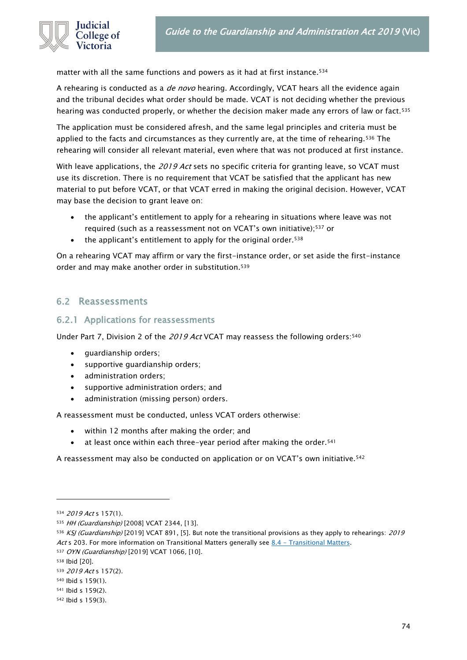

matter with all the same functions and powers as it had at first instance.<sup>534</sup>

A rehearing is conducted as a *de novo* hearing. Accordingly, VCAT hears all the evidence again and the tribunal decides what order should be made. VCAT is not deciding whether the previous hearing was conducted properly, or whether the decision maker made any errors of law or fact.<sup>535</sup>

The application must be considered afresh, and the same legal principles and criteria must be applied to the facts and circumstances as they currently are, at the time of rehearing.<sup>536</sup> The rehearing will consider all relevant material, even where that was not produced at first instance.

With leave applications, the 2019 Act sets no specific criteria for granting leave, so VCAT must use its discretion. There is no requirement that VCAT be satisfied that the applicant has new material to put before VCAT, or that VCAT erred in making the original decision. However, VCAT may base the decision to grant leave on:

- the applicant's entitlement to apply for a rehearing in situations where leave was not required (such as a reassessment not on VCAT's own initiative);<sup>537</sup> or
- the applicant's entitlement to apply for the original order.<sup>538</sup>

On a rehearing VCAT may affirm or vary the first-instance order, or set aside the first-instance order and may make another order in substitution.<sup>539</sup>

### 6.2 Reassessments

### 6.2.1 Applications for reassessments

Under Part 7, Division 2 of the 2019 Act VCAT may reassess the following orders: 540

- guardianship orders;
- supportive guardianship orders;
- administration orders;
- supportive administration orders; and
- administration (missing person) orders.

A reassessment must be conducted, unless VCAT orders otherwise:

- within 12 months after making the order; and
- at least once within each three-year period after making the order.<sup>541</sup>

A reassessment may also be conducted on application or on VCAT's own initiative.<sup>542</sup>

<sup>534 2019</sup> Act s 157(1).

<sup>535</sup> HH (Guardianship) [2008] VCAT 2344, [13].

<sup>536</sup> KSJ (Guardianship) [2019] VCAT 891, [5]. But note the transitional provisions as they apply to rehearings: 2019 Act s 203. For more information on Transitional Matters generally see  $8.4$  - [Transitional Matters.](#page-88-0)

<sup>537</sup> OYN (Guardianship) [2019] VCAT 1066, [10].

<sup>538</sup> Ibid [20].

<sup>539</sup> 2019 Act s 157(2).

<sup>540</sup> Ibid s 159(1).

<sup>541</sup> Ibid s 159(2).

<sup>542</sup> Ibid s 159(3).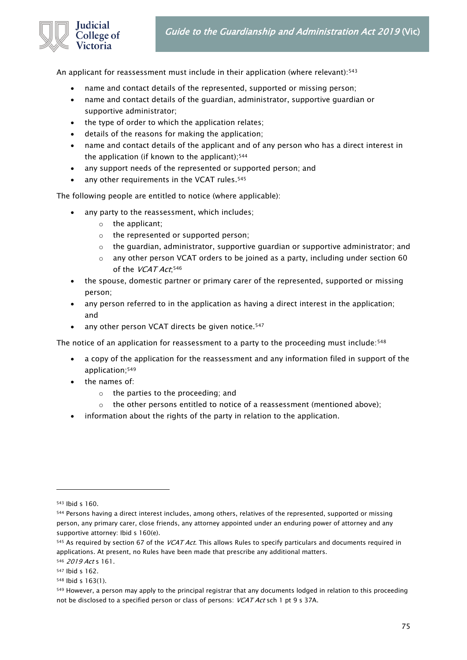

An applicant for reassessment must include in their application (where relevant): 543

- name and contact details of the represented, supported or missing person;
- name and contact details of the guardian, administrator, supportive guardian or supportive administrator;
- the type of order to which the application relates;
- details of the reasons for making the application;
- name and contact details of the applicant and of any person who has a direct interest in the application (if known to the applicant);<sup>544</sup>
- any support needs of the represented or supported person; and
- any other requirements in the VCAT rules. 545

The following people are entitled to notice (where applicable):

- any party to the reassessment, which includes;
	- o the applicant;
	- o the represented or supported person;
	- $\circ$  the guardian, administrator, supportive guardian or supportive administrator; and
	- $\circ$  any other person VCAT orders to be joined as a party, including under section 60 of the *VCAT Act*;<sup>546</sup>
- the spouse, domestic partner or primary carer of the represented, supported or missing person;
- any person referred to in the application as having a direct interest in the application; and
- any other person VCAT directs be given notice.<sup>547</sup>

The notice of an application for reassessment to a party to the proceeding must include: 548

- a copy of the application for the reassessment and any information filed in support of the application;<sup>549</sup>
- the names of:
	- o the parties to the proceeding; and
	- $\circ$  the other persons entitled to notice of a reassessment (mentioned above);
- information about the rights of the party in relation to the application.

<sup>543</sup> Ibid s 160.

<sup>544</sup> Persons having a direct interest includes, among others, relatives of the represented, supported or missing person, any primary carer, close friends, any attorney appointed under an enduring power of attorney and any supportive attorney: Ibid s 160(e).

<sup>545</sup> As required by section 67 of the VCAT Act. This allows Rules to specify particulars and documents required in applications. At present, no Rules have been made that prescribe any additional matters.

<sup>546</sup> 2019 Act s 161.

<sup>547</sup> Ibid s 162.

<sup>548</sup> Ibid s 163(1).

<sup>549</sup> However, a person may apply to the principal registrar that any documents lodged in relation to this proceeding not be disclosed to a specified person or class of persons: VCAT Act sch 1 pt 9 s 37A.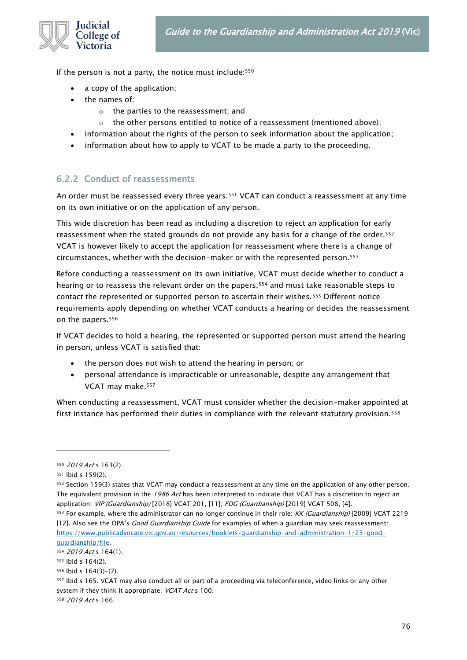

If the person is not a party, the notice must include:<sup>550</sup>

- a copy of the application;
- the names of:
	- o the parties to the reassessment; and
	- the other persons entitled to notice of a reassessment (mentioned above);
- information about the rights of the person to seek information about the application;
- information about how to apply to VCAT to be made a party to the proceeding.

### 6.2.2 Conduct of reassessments

An order must be reassessed every three years.<sup>551</sup> VCAT can conduct a reassessment at any time on its own initiative or on the application of any person.

This wide discretion has been read as including a discretion to reject an application for early reassessment when the stated grounds do not provide any basis for a change of the order.<sup>552</sup> VCAT is however likely to accept the application for reassessment where there is a change of circumstances, whether with the decision-maker or with the represented person.<sup>553</sup>

Before conducting a reassessment on its own initiative, VCAT must decide whether to conduct a hearing or to reassess the relevant order on the papers,<sup>554</sup> and must take reasonable steps to contact the represented or supported person to ascertain their wishes.<sup>555</sup> Different notice requirements apply depending on whether VCAT conducts a hearing or decides the reassessment on the papers.<sup>556</sup>

If VCAT decides to hold a hearing, the represented or supported person must attend the hearing in person, unless VCAT is satisfied that:

- the person does not wish to attend the hearing in person; or
- personal attendance is impracticable or unreasonable, despite any arrangement that VCAT may make.<sup>557</sup>

When conducting a reassessment, VCAT must consider whether the decision-maker appointed at first instance has performed their duties in compliance with the relevant statutory provision.<sup>558</sup>

<sup>550 2019</sup> Act s 163(2).

<sup>551</sup> Ibid s 159(2).

<sup>552</sup> Section 159(3) states that VCAT may conduct a reassessment at any time on the application of any other person. The equivalent provision in the 1986 Act has been interpreted to indicate that VCAT has a discretion to reject an application: VIP (Guardianship) [2018] VCAT 201, [11]: FDG (Guardianship) [2019] VCAT 508, [4].

<sup>553</sup> For example, where the administrator can no longer continue in their role: KK (Guardianship) [2009] VCAT 2219 [12]. Also see the OPA's *Good Guardianship Guide* for examples of when a guardian may seek reassessment: [https://www.publicadvocate.vic.gov.au/resources/booklets/guardianship-and-administration-1/23-good](https://www.publicadvocate.vic.gov.au/resources/booklets/guardianship-and-administration-1/23-good-guardianship/file)[guardianship/file.](https://www.publicadvocate.vic.gov.au/resources/booklets/guardianship-and-administration-1/23-good-guardianship/file)

<sup>554</sup> 2019 Act s 164(1).

<sup>555</sup> Ibid s 164(2).

<sup>556</sup> Ibid s 164(3)-(7).

<sup>557</sup> Ibid s 165. VCAT may also conduct all or part of a proceeding via teleconference, video links or any other system if they think it appropriate: VCAT Act s 100.

<sup>558</sup> 2019 Act s 166.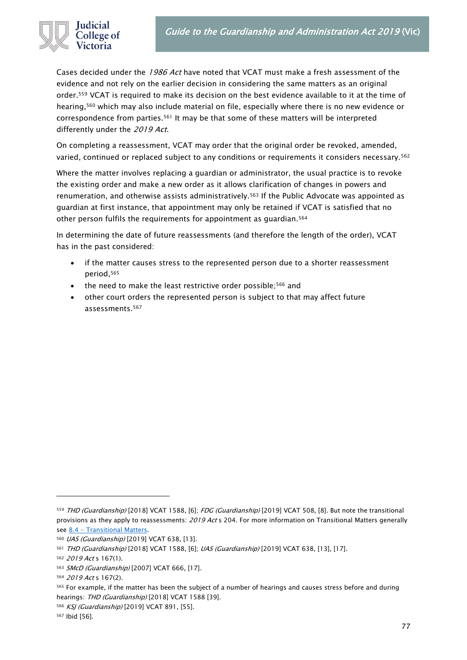

Cases decided under the 1986 Act have noted that VCAT must make a fresh assessment of the evidence and not rely on the earlier decision in considering the same matters as an original order.<sup>559</sup> VCAT is required to make its decision on the best evidence available to it at the time of hearing,<sup>560</sup> which may also include material on file, especially where there is no new evidence or correspondence from parties.<sup>561</sup> It may be that some of these matters will be interpreted differently under the 2019 Act.

On completing a reassessment, VCAT may order that the original order be revoked, amended, varied, continued or replaced subject to any conditions or requirements it considers necessary.<sup>562</sup>

Where the matter involves replacing a guardian or administrator, the usual practice is to revoke the existing order and make a new order as it allows clarification of changes in powers and renumeration, and otherwise assists administratively.<sup>563</sup> If the Public Advocate was appointed as guardian at first instance, that appointment may only be retained if VCAT is satisfied that no other person fulfils the requirements for appointment as guardian.<sup>564</sup>

In determining the date of future reassessments (and therefore the length of the order), VCAT has in the past considered:

- if the matter causes stress to the represented person due to a shorter reassessment period,<sup>565</sup>
- the need to make the least restrictive order possible;<sup>566</sup> and
- other court orders the represented person is subject to that may affect future assessments.<sup>567</sup>

<sup>559</sup> THD (Guardianship) [2018] VCAT 1588, [6]; FDG (Guardianship) [2019] VCAT 508, [8]. But note the transitional provisions as they apply to reassessments: 2019 Act s 204. For more information on Transitional Matters generally see 8.4 - [Transitional Matters.](#page-88-0)

<sup>560</sup> UAS (Guardianship) [2019] VCAT 638, [13].

<sup>561</sup> THD (Guardianship) [2018] VCAT 1588, [6]; UAS (Guardianship) [2019] VCAT 638, [13], [17].

<sup>562</sup> 2019 Act s 167(1).

<sup>563</sup> SMcD (Guardianship) [2007] VCAT 666, [17].

<sup>564</sup> 2019 Act s 167(2).

<sup>565</sup> For example, if the matter has been the subject of a number of hearings and causes stress before and during hearings: THD (Guardianship) [2018] VCAT 1588 [39].

<sup>566</sup> KSJ (Guardianship) [2019] VCAT 891, [55].

<sup>567</sup> Ibid [56].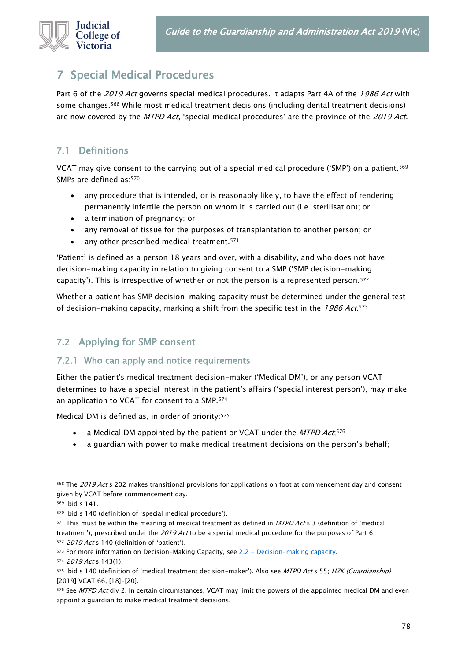# 7 Special Medical Procedures

Part 6 of the 2019 Act governs special medical procedures. It adapts Part 4A of the 1986 Act with some changes.<sup>568</sup> While most medical treatment decisions (including dental treatment decisions) are now covered by the MTPD Act, 'special medical procedures' are the province of the 2019 Act.

## 7.1 Definitions

VCAT may give consent to the carrying out of a special medical procedure ('SMP') on a patient.<sup>569</sup> SMPs are defined as:<sup>570</sup>

- any procedure that is intended, or is reasonably likely, to have the effect of rendering permanently infertile the person on whom it is carried out (i.e. sterilisation); or
- a termination of pregnancy; or
- any removal of tissue for the purposes of transplantation to another person; or
- any other prescribed medical treatment.<sup>571</sup>

'Patient' is defined as a person 18 years and over, with a disability, and who does not have decision-making capacity in relation to giving consent to a SMP ('SMP decision-making capacity'). This is irrespective of whether or not the person is a represented person.<sup>572</sup>

Whether a patient has SMP decision-making capacity must be determined under the general test of decision-making capacity, marking a shift from the specific test in the *1986 Act*.<sup>573</sup>

## 7.2 Applying for SMP consent

### 7.2.1 Who can apply and notice requirements

Either the patient's medical treatment decision-maker ('Medical DM'), or any person VCAT determines to have a special interest in the patient's affairs ('special interest person'), may make an application to VCAT for consent to a SMP.<sup>574</sup>

Medical DM is defined as, in order of priority:<sup>575</sup>

- a Medical DM appointed by the patient or VCAT under the *MTPD Act*;<sup>576</sup>
- a guardian with power to make medical treatment decisions on the person's behalf;

571 This must be within the meaning of medical treatment as defined in MTPD Act s 3 (definition of 'medical treatment'), prescribed under the 2019 Act to be a special medical procedure for the purposes of Part 6. 572 2019 Act s 140 (definition of 'patient').

<sup>568</sup> The 2019 Act s 202 makes transitional provisions for applications on foot at commencement day and consent given by VCAT before commencement day.

<sup>569</sup> Ibid s 141.

<sup>570</sup> Ibid s 140 (definition of 'special medical procedure').

<sup>573</sup> For more information on Decision-Making Capacity, see 2.2 - [Decision-making capacity.](#page-11-0)

<sup>574</sup> 2019 Act s 143(1).

<sup>575</sup> Ibid s 140 (definition of 'medical treatment decision-maker'). Also see MTPD Act s 55; HZK (Guardianship) [2019] VCAT 66, [18]-[20].

<sup>576</sup> See MTPD Act div 2. In certain circumstances, VCAT may limit the powers of the appointed medical DM and even appoint a guardian to make medical treatment decisions.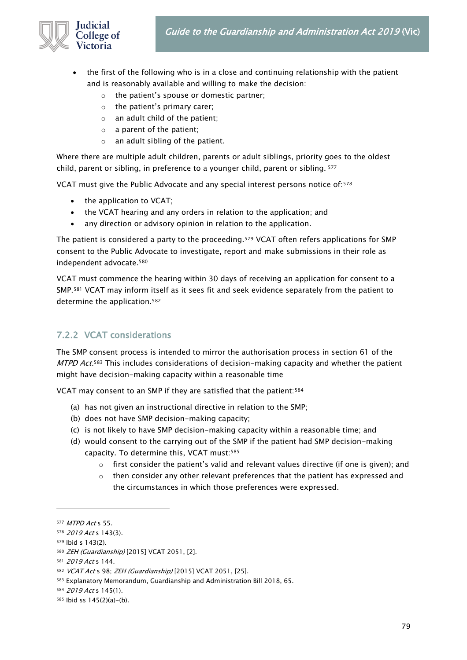

- the first of the following who is in a close and continuing relationship with the patient and is reasonably available and willing to make the decision:
	- o the patient's spouse or domestic partner;
	- o the patient's primary carer;
	- $\circ$  an adult child of the patient;
	- o a parent of the patient;
	- o an adult sibling of the patient.

Where there are multiple adult children, parents or adult siblings, priority goes to the oldest child, parent or sibling, in preference to a younger child, parent or sibling. <sup>577</sup>

VCAT must give the Public Advocate and any special interest persons notice of:<sup>578</sup>

- the application to VCAT;
- the VCAT hearing and any orders in relation to the application; and
- any direction or advisory opinion in relation to the application.

The patient is considered a party to the proceeding.<sup>579</sup> VCAT often refers applications for SMP consent to the Public Advocate to investigate, report and make submissions in their role as independent advocate.<sup>580</sup>

VCAT must commence the hearing within 30 days of receiving an application for consent to a SMP.<sup>581</sup> VCAT may inform itself as it sees fit and seek evidence separately from the patient to determine the application.<sup>582</sup>

## 7.2.2 VCAT considerations

The SMP consent process is intended to mirror the authorisation process in section 61 of the *MTPD Act.*<sup>583</sup> This includes considerations of decision-making capacity and whether the patient might have decision-making capacity within a reasonable time

VCAT may consent to an SMP if they are satisfied that the patient:<sup>584</sup>

- (a) has not given an instructional directive in relation to the SMP;
- (b) does not have SMP decision-making capacity;
- (c) is not likely to have SMP decision-making capacity within a reasonable time; and
- (d) would consent to the carrying out of the SMP if the patient had SMP decision-making capacity. To determine this, VCAT must:<sup>585</sup>
	- $\circ$  first consider the patient's valid and relevant values directive (if one is given); and
	- $\circ$  then consider any other relevant preferences that the patient has expressed and the circumstances in which those preferences were expressed.

<sup>577</sup> MTPD Act s 55.

<sup>578 2019</sup> Act s 143(3).

<sup>579</sup> Ibid s 143(2).

<sup>580</sup> ZEH (Guardianship) [2015] VCAT 2051, [2].

<sup>581</sup> 2019 Act s 144.

<sup>582</sup> VCAT Act s 98; ZEH (Guardianship) [2015] VCAT 2051, [25].

<sup>583</sup> Explanatory Memorandum, Guardianship and Administration Bill 2018, 65.

<sup>584</sup> 2019 Act s 145(1).

<sup>585</sup> Ibid ss 145(2)(a)-(b).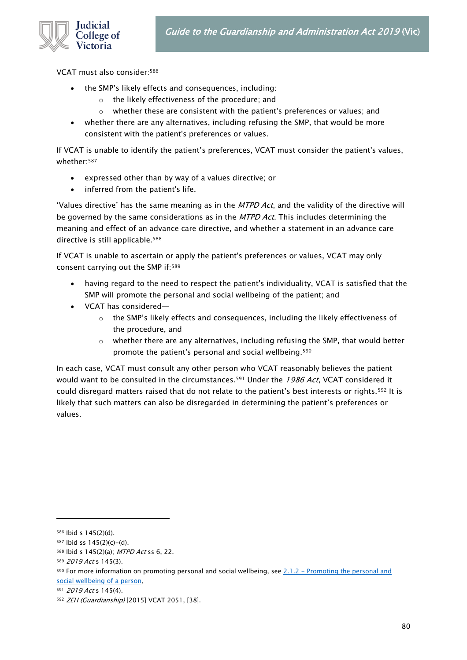

VCAT must also consider:<sup>586</sup>

- the SMP's likely effects and consequences, including:
	- o the likely effectiveness of the procedure; and
	- $\circ$  whether these are consistent with the patient's preferences or values; and
- whether there are any alternatives, including refusing the SMP, that would be more consistent with the patient's preferences or values.

If VCAT is unable to identify the patient's preferences, VCAT must consider the patient's values, whether:<sup>587</sup>

- expressed other than by way of a values directive; or
- inferred from the patient's life.

'Values directive' has the same meaning as in the MTPD Act, and the validity of the directive will be governed by the same considerations as in the MTPD Act. This includes determining the meaning and effect of an advance care directive, and whether a statement in an advance care directive is still applicable.<sup>588</sup>

If VCAT is unable to ascertain or apply the patient's preferences or values, VCAT may only consent carrying out the SMP if:<sup>589</sup>

- having regard to the need to respect the patient's individuality, VCAT is satisfied that the SMP will promote the personal and social wellbeing of the patient; and
- VCAT has considered—
	- $\circ$  the SMP's likely effects and consequences, including the likely effectiveness of the procedure, and
	- $\circ$  whether there are any alternatives, including refusing the SMP, that would better promote the patient's personal and social wellbeing.<sup>590</sup>

In each case, VCAT must consult any other person who VCAT reasonably believes the patient would want to be consulted in the circumstances.<sup>591</sup> Under the 1986 Act, VCAT considered it could disregard matters raised that do not relate to the patient's best interests or rights.<sup>592</sup> It is likely that such matters can also be disregarded in determining the patient's preferences or values.

<sup>586</sup> Ibid s 145(2)(d).

<sup>587</sup> Ibid ss 145(2)(c)-(d).

<sup>588</sup> Ibid s 145(2)(a); MTPD Act ss 6, 22.

<sup>589 2019</sup> Act s 145(3).

<sup>590</sup> For more information on promoting personal and social wellbeing, see 2.1.2 - Promoting the personal and [social wellbeing of a person.](#page-9-0)

<sup>591</sup> 2019 Act s 145(4).

<sup>592</sup> ZEH (Guardianship) [2015] VCAT 2051, [38].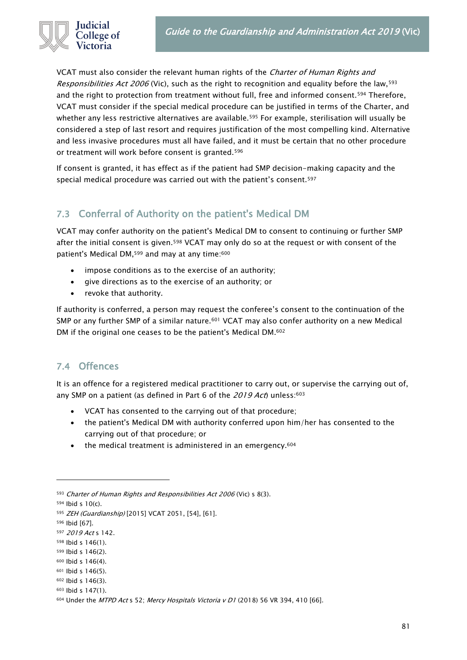

VCAT must also consider the relevant human rights of the *Charter of Human Rights and* Responsibilities Act 2006 (Vic), such as the right to recognition and equality before the law,<sup>593</sup> and the right to protection from treatment without full, free and informed consent.<sup>594</sup> Therefore, VCAT must consider if the special medical procedure can be justified in terms of the Charter, and whether any less restrictive alternatives are available.<sup>595</sup> For example, sterilisation will usually be considered a step of last resort and requires justification of the most compelling kind. Alternative and less invasive procedures must all have failed, and it must be certain that no other procedure or treatment will work before consent is granted.<sup>596</sup>

If consent is granted, it has effect as if the patient had SMP decision-making capacity and the special medical procedure was carried out with the patient's consent.<sup>597</sup>

## 7.3 Conferral of Authority on the patient's Medical DM

VCAT may confer authority on the patient's Medical DM to consent to continuing or further SMP after the initial consent is given.<sup>598</sup> VCAT may only do so at the request or with consent of the patient's Medical DM, <sup>599</sup> and may at any time: 600

- impose conditions as to the exercise of an authority;
- give directions as to the exercise of an authority; or
- revoke that authority.

If authority is conferred, a person may request the conferee's consent to the continuation of the SMP or any further SMP of a similar nature.<sup>601</sup> VCAT may also confer authority on a new Medical DM if the original one ceases to be the patient's Medical DM. 602

### 7.4 Offences

It is an offence for a registered medical practitioner to carry out, or supervise the carrying out of, any SMP on a patient (as defined in Part 6 of the  $2019$  Act) unless:  $603$ 

- VCAT has consented to the carrying out of that procedure;
- the patient's Medical DM with authority conferred upon him/her has consented to the carrying out of that procedure; or
- the medical treatment is administered in an emergency.<sup>604</sup>

<sup>596</sup> Ibid [67].

<sup>593</sup> Charter of Human Rights and Responsibilities Act 2006 (Vic) s 8(3).

<sup>594</sup> Ibid s 10(c).

<sup>595</sup> ZEH (Guardianship) [2015] VCAT 2051, [54], [61].

<sup>597</sup> 2019 Act s 142.

<sup>598</sup> Ibid s 146(1).

<sup>599</sup> Ibid s 146(2).

<sup>600</sup> Ibid s 146(4).

<sup>601</sup> Ibid s 146(5).

<sup>602</sup> Ibid s 146(3).

<sup>603</sup> Ibid s 147(1).

<sup>604</sup> Under the MTPD Act s 52; Mercy Hospitals Victoria v D1 (2018) 56 VR 394, 410 [66].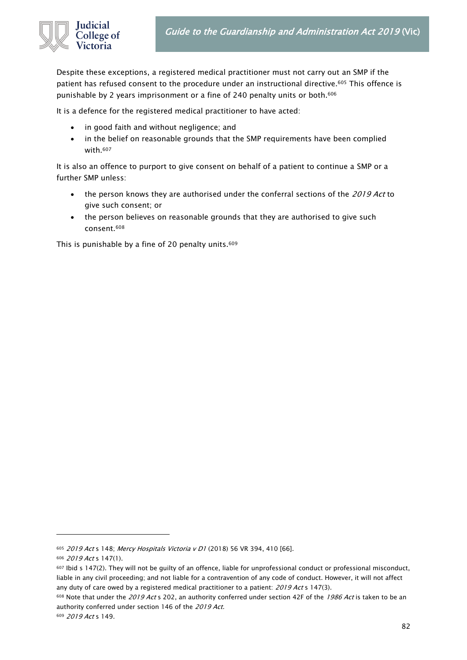

Despite these exceptions, a registered medical practitioner must not carry out an SMP if the patient has refused consent to the procedure under an instructional directive.<sup>605</sup> This offence is punishable by 2 years imprisonment or a fine of 240 penalty units or both.<sup>606</sup>

It is a defence for the registered medical practitioner to have acted:

- in good faith and without negligence; and
- in the belief on reasonable grounds that the SMP requirements have been complied with.<sup>607</sup>

It is also an offence to purport to give consent on behalf of a patient to continue a SMP or a further SMP unless:

- the person knows they are authorised under the conferral sections of the 2019 Act to give such consent; or
- the person believes on reasonable grounds that they are authorised to give such consent.<sup>608</sup>

This is punishable by a fine of 20 penalty units.<sup>609</sup>

<sup>605 2019</sup> Act s 148; Mercy Hospitals Victoria v D1 (2018) 56 VR 394, 410 [66].

<sup>606</sup> 2019 Act s 147(1).

 $607$  Ibid s 147(2). They will not be guilty of an offence, liable for unprofessional conduct or professional misconduct, liable in any civil proceeding; and not liable for a contravention of any code of conduct. However, it will not affect any duty of care owed by a registered medical practitioner to a patient: 2019 Act s 147(3).

<sup>608</sup> Note that under the 2019 Act s 202, an authority conferred under section 42F of the 1986 Act is taken to be an authority conferred under section 146 of the 2019 Act.

<sup>609</sup> 2019 Act s 149.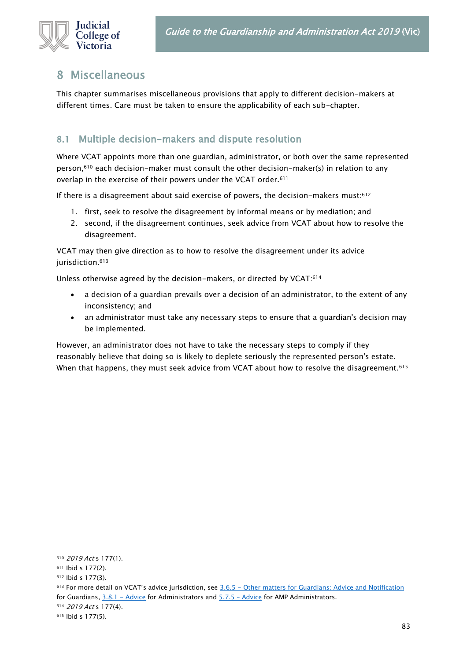

## 8 Miscellaneous

This chapter summarises miscellaneous provisions that apply to different decision-makers at different times. Care must be taken to ensure the applicability of each sub-chapter.

## 8.1 Multiple decision-makers and dispute resolution

Where VCAT appoints more than one guardian, administrator, or both over the same represented person, $610$  each decision-maker must consult the other decision-maker(s) in relation to any overlap in the exercise of their powers under the VCAT order.<sup>611</sup>

If there is a disagreement about said exercise of powers, the decision-makers must: $612$ 

- 1. first, seek to resolve the disagreement by informal means or by mediation; and
- 2. second, if the disagreement continues, seek advice from VCAT about how to resolve the disagreement.

VCAT may then give direction as to how to resolve the disagreement under its advice jurisdiction.<sup>613</sup>

Unless otherwise agreed by the decision-makers, or directed by VCAT:<sup>614</sup>

- a decision of a guardian prevails over a decision of an administrator, to the extent of any inconsistency; and
- an administrator must take any necessary steps to ensure that a guardian's decision may be implemented.

However, an administrator does not have to take the necessary steps to comply if they reasonably believe that doing so is likely to deplete seriously the represented person's estate. When that happens, they must seek advice from VCAT about how to resolve the disagreement.<sup>615</sup>

<sup>610</sup> 2019 Act s 177(1).

<sup>611</sup> Ibid s 177(2).

<sup>612</sup> Ibid s 177(3).

<sup>613</sup> For more detail on VCAT's advice jurisdiction, see 3.6.5 - [Other matters for Guardians: Advice and Notification](#page-31-0) for Guardians, [3.8.1 -](#page-41-0) [Advice](#page-64-0) for Administrators and 5.7.5 - Advice for AMP Administrators.

<sup>614</sup> 2019 Act s 177(4).

<sup>615</sup> Ibid s 177(5).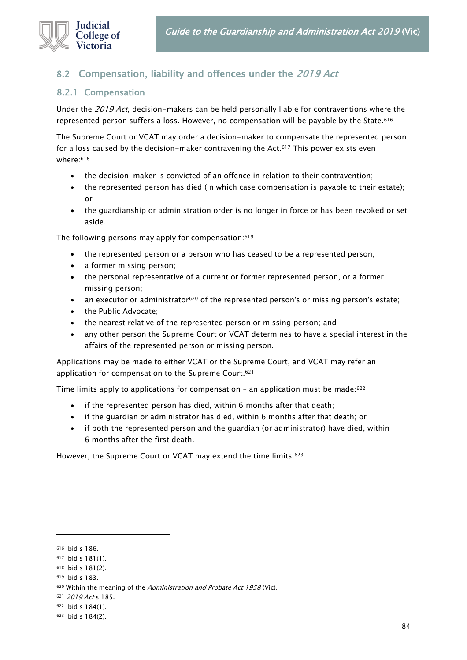

## 8.2 Compensation, liability and offences under the 2019 Act

### 8.2.1 Compensation

Under the 2019 Act, decision-makers can be held personally liable for contraventions where the represented person suffers a loss. However, no compensation will be payable by the State.<sup>616</sup>

The Supreme Court or VCAT may order a decision-maker to compensate the represented person for a loss caused by the decision-maker contravening the Act.<sup>617</sup> This power exists even where:<sup>618</sup>

- the decision-maker is convicted of an offence in relation to their contravention;
- the represented person has died (in which case compensation is payable to their estate); or
- the guardianship or administration order is no longer in force or has been revoked or set aside.

The following persons may apply for compensation:<sup>619</sup>

- the represented person or a person who has ceased to be a represented person;
- a former missing person;
- the personal representative of a current or former represented person, or a former missing person;
- an executor or administrator<sup>620</sup> of the represented person's or missing person's estate;
- the Public Advocate;
- the nearest relative of the represented person or missing person; and
- any other person the Supreme Court or VCAT determines to have a special interest in the affairs of the represented person or missing person.

Applications may be made to either VCAT or the Supreme Court, and VCAT may refer an application for compensation to the Supreme Court.<sup>621</sup>

Time limits apply to applications for compensation - an application must be made:<sup>622</sup>

- if the represented person has died, within 6 months after that death;
- if the guardian or administrator has died, within 6 months after that death; or
- if both the represented person and the guardian (or administrator) have died, within 6 months after the first death.

However, the Supreme Court or VCAT may extend the time limits.<sup>623</sup>

<sup>616</sup> Ibid s 186.

<sup>617</sup> Ibid s 181(1).

<sup>618</sup> Ibid s 181(2).

<sup>619</sup> Ibid s 183.

<sup>620</sup> Within the meaning of the Administration and Probate Act 1958 (Vic).

<sup>621 2019</sup> Act s 185.

<sup>622</sup> Ibid s 184(1).

<sup>623</sup> Ibid s 184(2).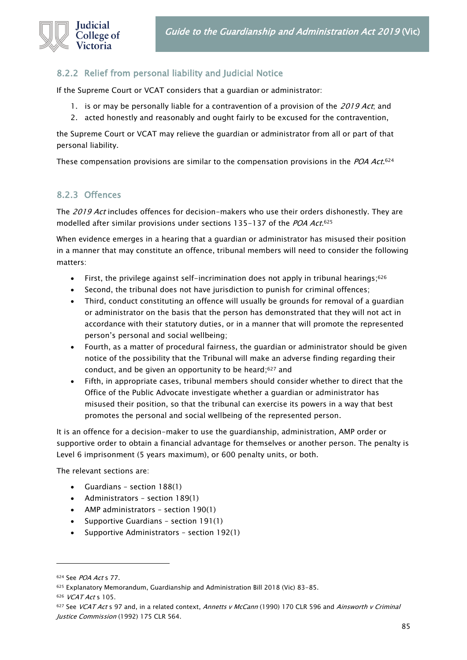

### 8.2.2 Relief from personal liability and Judicial Notice

If the Supreme Court or VCAT considers that a guardian or administrator:

- 1. is or may be personally liable for a contravention of a provision of the 2019 Act, and
- 2. acted honestly and reasonably and ought fairly to be excused for the contravention,

the Supreme Court or VCAT may relieve the guardian or administrator from all or part of that personal liability.

These compensation provisions are similar to the compensation provisions in the *POA Act*.<sup>624</sup>

### 8.2.3 Offences

The 2019 Act includes offences for decision-makers who use their orders dishonestly. They are modelled after similar provisions under sections 135–137 of the *POA Act*.<sup>625</sup>

When evidence emerges in a hearing that a guardian or administrator has misused their position in a manner that may constitute an offence, tribunal members will need to consider the following matters:

- $\bullet$  First, the privilege against self-incrimination does not apply in tribunal hearings;<sup>626</sup>
- Second, the tribunal does not have jurisdiction to punish for criminal offences;
- Third, conduct constituting an offence will usually be grounds for removal of a guardian or administrator on the basis that the person has demonstrated that they will not act in accordance with their statutory duties, or in a manner that will promote the represented person's personal and social wellbeing;
- Fourth, as a matter of procedural fairness, the guardian or administrator should be given notice of the possibility that the Tribunal will make an adverse finding regarding their conduct, and be given an opportunity to be heard; <sup>627</sup> and
- Fifth, in appropriate cases, tribunal members should consider whether to direct that the Office of the Public Advocate investigate whether a guardian or administrator has misused their position, so that the tribunal can exercise its powers in a way that best promotes the personal and social wellbeing of the represented person.

It is an offence for a decision-maker to use the guardianship, administration, AMP order or supportive order to obtain a financial advantage for themselves or another person. The penalty is Level 6 imprisonment (5 years maximum), or 600 penalty units, or both.

The relevant sections are:

- Guardians section 188(1)
- Administrators section 189(1)
- AMP administrators section 190(1)
- Supportive Guardians section 191(1)
- Supportive Administrators section 192(1)

<sup>624</sup> See POA Act s 77.

<sup>625</sup> Explanatory Memorandum, Guardianship and Administration Bill 2018 (Vic) 83-85.

<sup>626</sup> VCAT Act s 105.

<sup>627</sup> See VCAT Act s 97 and, in a related context, Annetts v McCann (1990) 170 CLR 596 and Ainsworth v Criminal Justice Commission (1992) 175 CLR 564.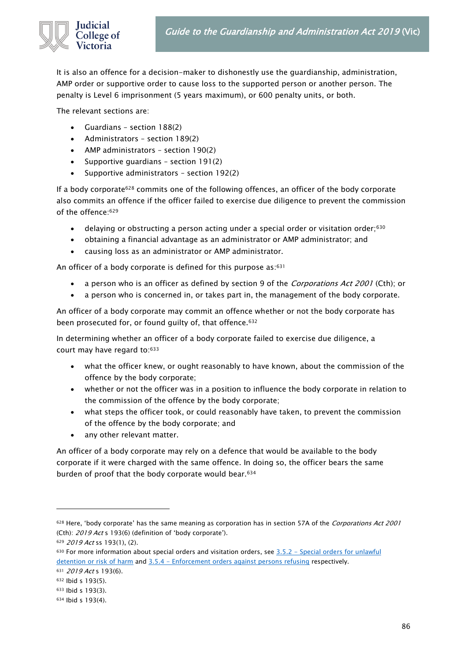

It is also an offence for a decision-maker to dishonestly use the guardianship, administration, AMP order or supportive order to cause loss to the supported person or another person. The penalty is Level 6 imprisonment (5 years maximum), or 600 penalty units, or both.

The relevant sections are:

- Guardians section 188(2)
- Administrators section 189(2)
- AMP administrators section 190(2)
- Supportive guardians section 191(2)
- Supportive administrators section 192(2)

If a body corporate<sup>628</sup> commits one of the following offences, an officer of the body corporate also commits an offence if the officer failed to exercise due diligence to prevent the commission of the offence:<sup>629</sup>

- delaying or obstructing a person acting under a special order or visitation order;<sup>630</sup>
- obtaining a financial advantage as an administrator or AMP administrator; and
- causing loss as an administrator or AMP administrator.

An officer of a body corporate is defined for this purpose as: 631

- a person who is an officer as defined by section 9 of the Corporations Act 2001 (Cth); or
- a person who is concerned in, or takes part in, the management of the body corporate.

An officer of a body corporate may commit an offence whether or not the body corporate has been prosecuted for, or found guilty of, that offence.<sup>632</sup>

In determining whether an officer of a body corporate failed to exercise due diligence, a court may have regard to:<sup>633</sup>

- what the officer knew, or ought reasonably to have known, about the commission of the offence by the body corporate;
- whether or not the officer was in a position to influence the body corporate in relation to the commission of the offence by the body corporate;
- what steps the officer took, or could reasonably have taken, to prevent the commission of the offence by the body corporate; and
- any other relevant matter.

An officer of a body corporate may rely on a defence that would be available to the body corporate if it were charged with the same offence. In doing so, the officer bears the same burden of proof that the body corporate would bear.<sup>634</sup>

<sup>628</sup> Here, 'body corporate' has the same meaning as corporation has in section 57A of the Corporations Act 2001 (Cth): 2019 Act s 193(6) (definition of 'body corporate').

<sup>629</sup> 2019 Act ss 193(1), (2).

<sup>630</sup> For more information about special orders and visitation orders, see 3.5.2 - [Special orders for unlawful](#page-26-0)  [detention or risk of harm](#page-26-0) and 3.5.4 - [Enforcement orders against persons refusing](#page-27-0) respectively.

<sup>631 2019</sup> Act s 193(6).

<sup>632</sup> Ibid s 193(5).

<sup>633</sup> Ibid s 193(3).

<sup>634</sup> Ibid s 193(4).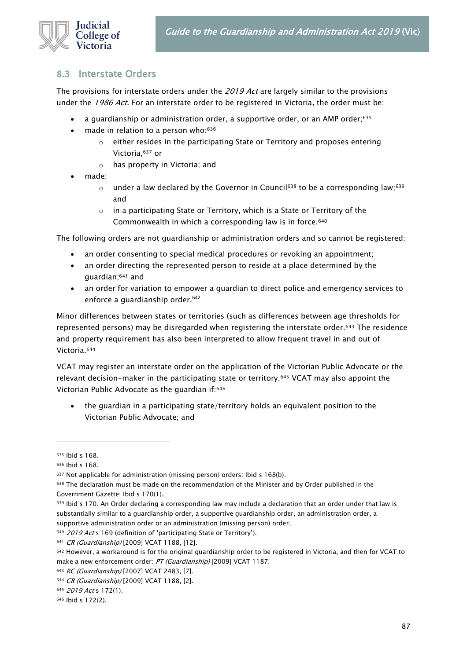

### 8.3 Interstate Orders

The provisions for interstate orders under the 2019 Act are largely similar to the provisions under the 1986 Act. For an interstate order to be registered in Victoria, the order must be:

- a guardianship or administration order, a supportive order, or an AMP order;<sup>635</sup>
- made in relation to a person who: 636
	- o either resides in the participating State or Territory and proposes entering Victoria,<sup>637</sup> or
	- o has property in Victoria; and
- made:
	- $\circ$  under a law declared by the Governor in Council<sup>638</sup> to be a corresponding law;<sup>639</sup> and
	- $\circ$  in a participating State or Territory, which is a State or Territory of the Commonwealth in which a corresponding law is in force.<sup>640</sup>

The following orders are not guardianship or administration orders and so cannot be registered:

- an order consenting to special medical procedures or revoking an appointment;
- an order directing the represented person to reside at a place determined by the guardian;<sup>641</sup> and
- an order for variation to empower a guardian to direct police and emergency services to enforce a guardianship order.<sup>642</sup>

Minor differences between states or territories (such as differences between age thresholds for represented persons) may be disregarded when registering the interstate order.<sup>643</sup> The residence and property requirement has also been interpreted to allow frequent travel in and out of Victoria.<sup>644</sup>

VCAT may register an interstate order on the application of the Victorian Public Advocate or the relevant decision-maker in the participating state or territory.<sup>645</sup> VCAT may also appoint the Victorian Public Advocate as the guardian if:<sup>646</sup>

• the guardian in a participating state/territory holds an equivalent position to the Victorian Public Advocate; and

<sup>639</sup> Ibid s 170. An Order declaring a corresponding law may include a declaration that an order under that law is substantially similar to a guardianship order, a supportive guardianship order, an administration order, a supportive administration order or an administration (missing person) order.

<sup>635</sup> Ibid s 168.

<sup>636</sup> Ibid s 168.

<sup>637</sup> Not applicable for administration (missing person) orders: Ibid s 168(b).

<sup>638</sup> The declaration must be made on the recommendation of the Minister and by Order published in the Government Gazette: Ibid s 170(1).

<sup>&</sup>lt;sup>640</sup> 2019 Act s 169 (definition of 'participating State or Territory').

<sup>641</sup> CR (Guardianship) [2009] VCAT 1188, [12].

<sup>642</sup> However, a workaround is for the original guardianship order to be registered in Victoria, and then for VCAT to make a new enforcement order: PT (Guardianship) [2009] VCAT 1187.

<sup>643</sup> RC (Guardianship) [2007] VCAT 2483, [7].

<sup>644</sup> CR (Guardianship) [2009] VCAT 1188, [2].

<sup>645</sup> 2019 Act s 172(1).

<sup>646</sup> Ibid s 172(2).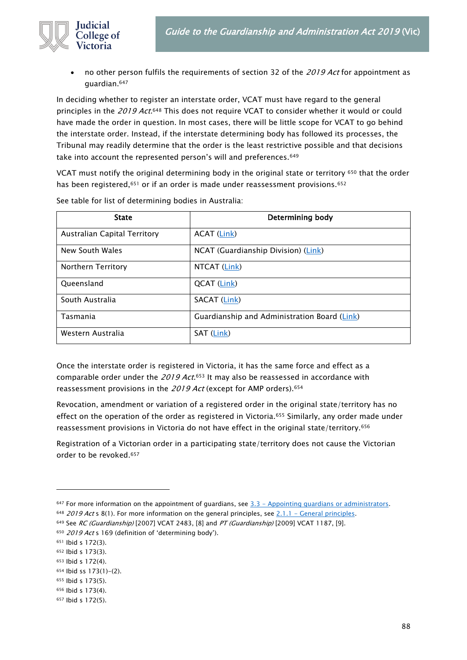

no other person fulfils the requirements of section 32 of the 2019 Act for appointment as guardian.<sup>647</sup>

In deciding whether to register an interstate order, VCAT must have regard to the general principles in the *2019 Act*.<sup>648</sup> This does not require VCAT to consider whether it would or could have made the order in question. In most cases, there will be little scope for VCAT to go behind the interstate order. Instead, if the interstate determining body has followed its processes, the Tribunal may readily determine that the order is the least restrictive possible and that decisions take into account the represented person's will and preferences.<sup>649</sup>

VCAT must notify the original determining body in the original state or territory <sup>650</sup> that the order has been registered,<sup>651</sup> or if an order is made under reassessment provisions.<sup>652</sup>

| <b>State</b>                 | Determining body                             |
|------------------------------|----------------------------------------------|
| Australian Capital Territory | <b>ACAT</b> (Link)                           |
| New South Wales              | NCAT (Guardianship Division) (Link)          |
| Northern Territory           | NTCAT (Link)                                 |
| Queensland                   | <b>QCAT (Link)</b>                           |
| South Australia              | SACAT (Link)                                 |
| Tasmania                     | Guardianship and Administration Board (Link) |
| Western Australia            | SAT (Link)                                   |

See table for list of determining bodies in Australia:

Once the interstate order is registered in Victoria, it has the same force and effect as a comparable order under the 2019 Act.<sup>653</sup> It may also be reassessed in accordance with reassessment provisions in the 2019 Act (except for AMP orders).<sup>654</sup>

Revocation, amendment or variation of a registered order in the original state/territory has no effect on the operation of the order as registered in Victoria.<sup>655</sup> Similarly, any order made under reassessment provisions in Victoria do not have effect in the original state/territory.<sup>656</sup>

Registration of a Victorian order in a participating state/territory does not cause the Victorian order to be revoked.<sup>657</sup>

 $647$  For more information on the appointment of quardians, see  $3.3$  - Appointing quardians or administrators.

<sup>648 2019</sup> Act s 8(1). For more information on the general principles, see  $2.1.1$  - [General principles.](#page-8-0)

<sup>649</sup> See RC (Guardianship) [2007] VCAT 2483, [8] and PT (Guardianship) [2009] VCAT 1187, [9].

<sup>&</sup>lt;sup>650</sup> 2019 Act s 169 (definition of 'determining body').

<sup>651</sup> Ibid s 172(3).

<sup>652</sup> Ibid s 173(3).

<sup>653</sup> Ibid s 172(4).

<sup>654</sup> Ibid ss 173(1)-(2). <sup>655</sup> Ibid s 173(5).

<sup>656</sup> Ibid s 173(4).

<sup>657</sup> Ibid s 172(5).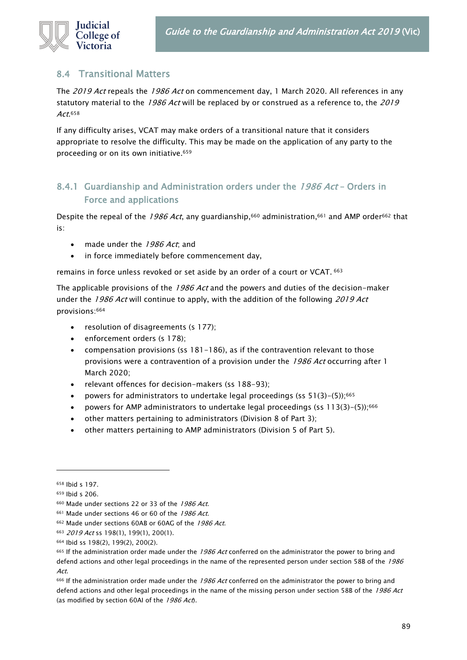

## <span id="page-88-0"></span>8.4 Transitional Matters

The 2019 Act repeals the 1986 Act on commencement day, 1 March 2020. All references in any statutory material to the 1986 Act will be replaced by or construed as a reference to, the 2019 Act.<sup>658</sup>

If any difficulty arises, VCAT may make orders of a transitional nature that it considers appropriate to resolve the difficulty. This may be made on the application of any party to the proceeding or on its own initiative.<sup>659</sup>

### 8.4.1 Guardianship and Administration orders under the 1986 Act - Orders in Force and applications

Despite the repeal of the 1986 Act, any guardianship,<sup>660</sup> administration,<sup>661</sup> and AMP order<sup>662</sup> that is:

- made under the 1986 Act, and
- in force immediately before commencement day,

remains in force unless revoked or set aside by an order of a court or VCAT. <sup>663</sup>

The applicable provisions of the 1986 Act and the powers and duties of the decision-maker under the 1986 Act will continue to apply, with the addition of the following 2019 Act provisions:<sup>664</sup>

- resolution of disagreements (s 177);
- enforcement orders (s 178);
- compensation provisions (ss 181-186), as if the contravention relevant to those provisions were a contravention of a provision under the 1986 Act occurring after 1 March 2020;
- relevant offences for decision-makers (ss 188-93);
- powers for administrators to undertake legal proceedings (ss  $51(3)-(5)$ );<sup>665</sup>
- powers for AMP administrators to undertake legal proceedings (ss 113(3)-(5));<sup>666</sup>
- other matters pertaining to administrators (Division 8 of Part 3);
- other matters pertaining to AMP administrators (Division 5 of Part 5).

<sup>658</sup> Ibid s 197.

<sup>659</sup> Ibid s 206.

<sup>660</sup> Made under sections 22 or 33 of the 1986 Act.

<sup>661</sup> Made under sections 46 or 60 of the 1986 Act.

<sup>662</sup> Made under sections 60AB or 60AG of the 1986 Act.

<sup>663 2019</sup> Act ss 198(1), 199(1), 200(1).

<sup>664</sup> Ibid ss 198(2), 199(2), 200(2).

<sup>665</sup> If the administration order made under the 1986 Act conferred on the administrator the power to bring and defend actions and other legal proceedings in the name of the represented person under section 58B of the 1986 Act.

<sup>&</sup>lt;sup>666</sup> If the administration order made under the 1986 Act conferred on the administrator the power to bring and defend actions and other legal proceedings in the name of the missing person under section 58B of the 1986 Act (as modified by section 60AI of the 1986 Act).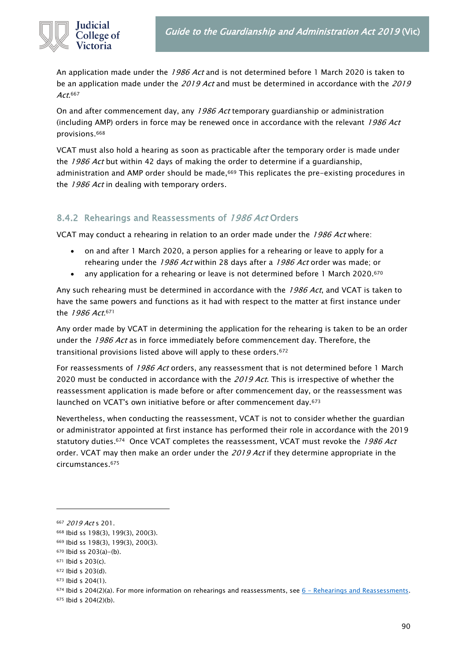

An application made under the 1986 Act and is not determined before 1 March 2020 is taken to be an application made under the 2019 Act and must be determined in accordance with the 2019 Act.<sup>667</sup>

On and after commencement day, any 1986 Act temporary guardianship or administration (including AMP) orders in force may be renewed once in accordance with the relevant  $1986$  Act provisions.<sup>668</sup>

VCAT must also hold a hearing as soon as practicable after the temporary order is made under the 1986 Act but within 42 days of making the order to determine if a guardianship, administration and AMP order should be made,<sup>669</sup> This replicates the pre-existing procedures in the 1986 Act in dealing with temporary orders.

### 8.4.2 Rehearings and Reassessments of 1986 Act Orders

VCAT may conduct a rehearing in relation to an order made under the 1986 Act where:

- on and after 1 March 2020, a person applies for a rehearing or leave to apply for a rehearing under the 1986 Act within 28 days after a 1986 Act order was made; or
- any application for a rehearing or leave is not determined before 1 March 2020.<sup>670</sup>

Any such rehearing must be determined in accordance with the 1986 Act, and VCAT is taken to have the same powers and functions as it had with respect to the matter at first instance under the *1986 Act*.<sup>671</sup>

Any order made by VCAT in determining the application for the rehearing is taken to be an order under the  $1986$  Act as in force immediately before commencement day. Therefore, the transitional provisions listed above will apply to these orders.<sup>672</sup>

For reassessments of 1986 Act orders, any reassessment that is not determined before 1 March 2020 must be conducted in accordance with the 2019 Act. This is irrespective of whether the reassessment application is made before or after commencement day, or the reassessment was launched on VCAT's own initiative before or after commencement day.<sup>673</sup>

Nevertheless, when conducting the reassessment, VCAT is not to consider whether the guardian or administrator appointed at first instance has performed their role in accordance with the 2019 statutory duties.<sup>674</sup> Once VCAT completes the reassessment, VCAT must revoke the 1986 Act order. VCAT may then make an order under the 2019 Act if they determine appropriate in the circumstances.<sup>675</sup>

<sup>667 2019</sup> Act s 201.

<sup>668</sup> Ibid ss 198(3), 199(3), 200(3).

<sup>669</sup> Ibid ss 198(3), 199(3), 200(3).

<sup>670</sup> Ibid ss 203(a)-(b).

<sup>671</sup> Ibid s 203(c).

<sup>672</sup> Ibid s 203(d).

 $673$  Ibid s  $204(1)$ .

 $674$  Ibid s 204(2)(a). For more information on rehearings and reassessments, see  $6$  - [Rehearings and Reassessments.](#page-71-0)

<sup>675</sup> Ibid s 204(2)(b).